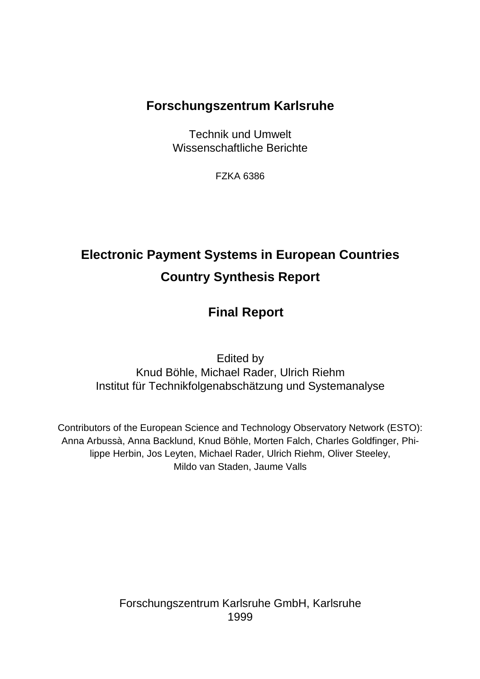## **Forschungszentrum Karlsruhe**

Technik und Umwelt Wissenschaftliche Berichte

FZKA 6386

# **Electronic Payment Systems in European Countries Country Synthesis Report**

## **Final Report**

Edited by Knud Böhle, Michael Rader, Ulrich Riehm Institut für Technikfolgenabschätzung und Systemanalyse

Contributors of the European Science and Technology Observatory Network (ESTO): Anna Arbussà, Anna Backlund, Knud Böhle, Morten Falch, Charles Goldfinger, Philippe Herbin, Jos Leyten, Michael Rader, Ulrich Riehm, Oliver Steeley, Mildo van Staden, Jaume Valls

> Forschungszentrum Karlsruhe GmbH, Karlsruhe 1999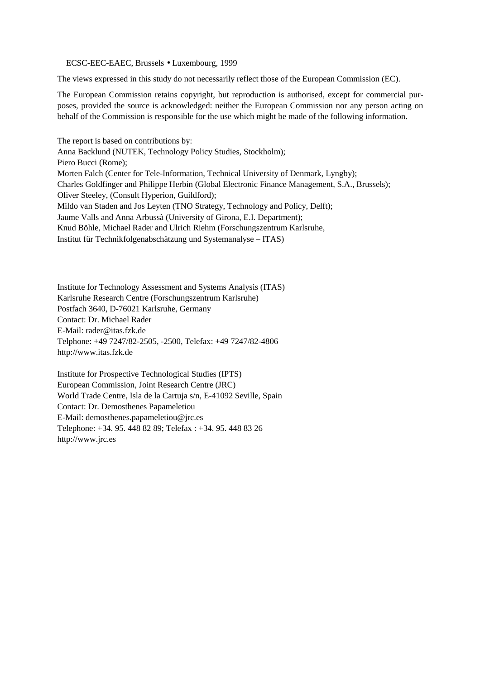ECSC-EEC-EAEC, Brussels • Luxembourg, 1999

The views expressed in this study do not necessarily reflect those of the European Commission (EC).

The European Commission retains copyright, but reproduction is authorised, except for commercial purposes, provided the source is acknowledged: neither the European Commission nor any person acting on behalf of the Commission is responsible for the use which might be made of the following information.

The report is based on contributions by: Anna Backlund (NUTEK, Technology Policy Studies, Stockholm); Piero Bucci (Rome); Morten Falch (Center for Tele-Information, Technical University of Denmark, Lyngby); Charles Goldfinger and Philippe Herbin (Global Electronic Finance Management, S.A., Brussels); Oliver Steeley, (Consult Hyperion, Guildford); Mildo van Staden and Jos Leyten (TNO Strategy, Technology and Policy, Delft); Jaume Valls and Anna Arbussà (University of Girona, E.I. Department); Knud Böhle, Michael Rader and Ulrich Riehm (Forschungszentrum Karlsruhe, Institut für Technikfolgenabschätzung und Systemanalyse – ITAS)

Institute for Technology Assessment and Systems Analysis (ITAS) Karlsruhe Research Centre (Forschungszentrum Karlsruhe) Postfach 3640, D-76021 Karlsruhe, Germany Contact: Dr. Michael Rader E-Mail: rader@itas.fzk.de Telphone: +49 7247/82-2505, -2500, Telefax: +49 7247/82-4806 http://www.itas.fzk.de

Institute for Prospective Technological Studies (IPTS) European Commission, Joint Research Centre (JRC) World Trade Centre, Isla de la Cartuja s/n, E-41092 Seville, Spain Contact: Dr. Demosthenes Papameletiou E-Mail: demosthenes.papameletiou@jrc.es Telephone: +34. 95. 448 82 89; Telefax : +34. 95. 448 83 26 http://www.jrc.es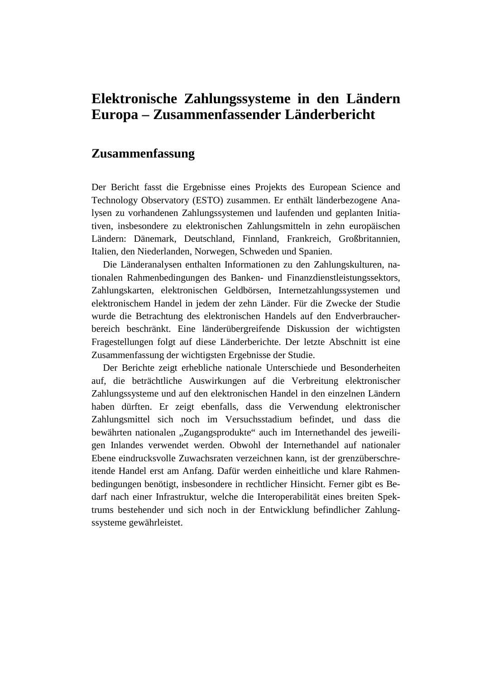## <span id="page-2-0"></span>**Elektronische Zahlungssysteme in den Ländern Europa – Zusammenfassender Länderbericht**

### **Zusammenfassung**

Der Bericht fasst die Ergebnisse eines Projekts des European Science and Technology Observatory (ESTO) zusammen. Er enthält länderbezogene Analysen zu vorhandenen Zahlungssystemen und laufenden und geplanten Initiativen, insbesondere zu elektronischen Zahlungsmitteln in zehn europäischen Ländern: Dänemark, Deutschland, Finnland, Frankreich, Großbritannien, Italien, den Niederlanden, Norwegen, Schweden und Spanien.

Die Länderanalysen enthalten Informationen zu den Zahlungskulturen, nationalen Rahmenbedingungen des Banken- und Finanzdienstleistungssektors, Zahlungskarten, elektronischen Geldbörsen, Internetzahlungssystemen und elektronischem Handel in jedem der zehn Länder. Für die Zwecke der Studie wurde die Betrachtung des elektronischen Handels auf den Endverbraucherbereich beschränkt. Eine länderübergreifende Diskussion der wichtigsten Fragestellungen folgt auf diese Länderberichte. Der letzte Abschnitt ist eine Zusammenfassung der wichtigsten Ergebnisse der Studie.

Der Berichte zeigt erhebliche nationale Unterschiede und Besonderheiten auf, die beträchtliche Auswirkungen auf die Verbreitung elektronischer Zahlungssysteme und auf den elektronischen Handel in den einzelnen Ländern haben dürften. Er zeigt ebenfalls, dass die Verwendung elektronischer Zahlungsmittel sich noch im Versuchsstadium befindet, und dass die bewährten nationalen "Zugangsprodukte" auch im Internethandel des jeweiligen Inlandes verwendet werden. Obwohl der Internethandel auf nationaler Ebene eindrucksvolle Zuwachsraten verzeichnen kann, ist der grenzüberschreitende Handel erst am Anfang. Dafür werden einheitliche und klare Rahmenbedingungen benötigt, insbesondere in rechtlicher Hinsicht. Ferner gibt es Bedarf nach einer Infrastruktur, welche die Interoperabilität eines breiten Spektrums bestehender und sich noch in der Entwicklung befindlicher Zahlungssysteme gewährleistet.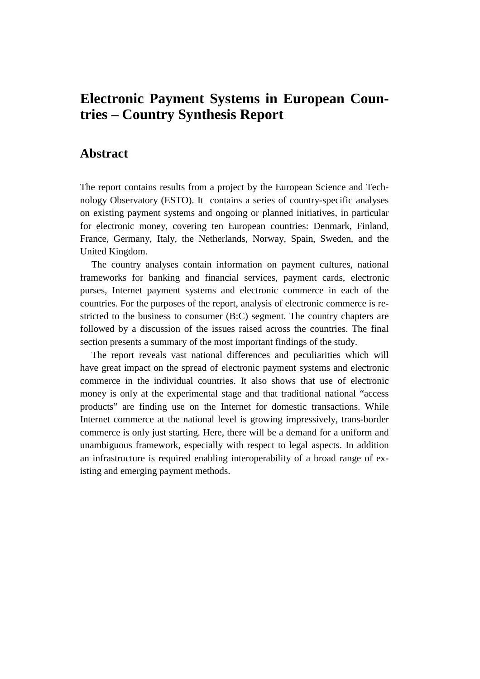## <span id="page-3-0"></span>**Electronic Payment Systems in European Countries – Country Synthesis Report**

### **Abstract**

The report contains results from a project by the European Science and Technology Observatory (ESTO). It contains a series of country-specific analyses on existing payment systems and ongoing or planned initiatives, in particular for electronic money, covering ten European countries: Denmark, Finland, France, Germany, Italy, the Netherlands, Norway, Spain, Sweden, and the United Kingdom.

The country analyses contain information on payment cultures, national frameworks for banking and financial services, payment cards, electronic purses, Internet payment systems and electronic commerce in each of the countries. For the purposes of the report, analysis of electronic commerce is restricted to the business to consumer (B:C) segment. The country chapters are followed by a discussion of the issues raised across the countries. The final section presents a summary of the most important findings of the study.

The report reveals vast national differences and peculiarities which will have great impact on the spread of electronic payment systems and electronic commerce in the individual countries. It also shows that use of electronic money is only at the experimental stage and that traditional national "access products" are finding use on the Internet for domestic transactions. While Internet commerce at the national level is growing impressively, trans-border commerce is only just starting. Here, there will be a demand for a uniform and unambiguous framework, especially with respect to legal aspects. In addition an infrastructure is required enabling interoperability of a broad range of existing and emerging payment methods.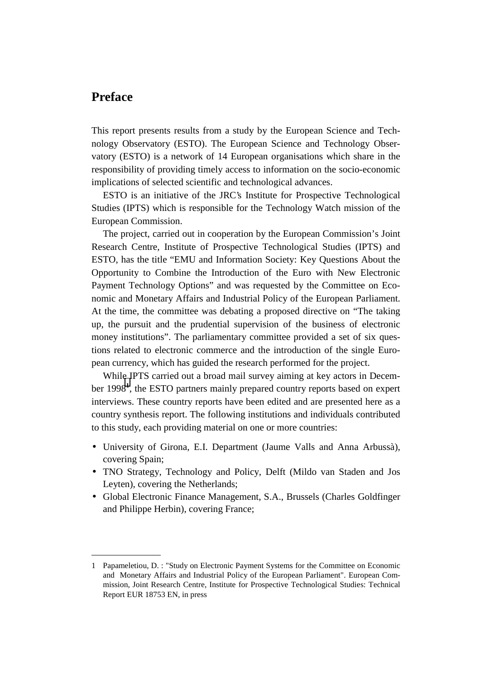### <span id="page-4-0"></span>**Preface**

This report presents results from a study by the European Science and Technology Observatory (ESTO). The European Science and Technology Observatory (ESTO) is a network of 14 European organisations which share in the responsibility of providing timely access to information on the socio-economic implications of selected scientific and technological advances.

ESTO is an initiative of the JRC's Institute for Prospective Technological Studies (IPTS) which is responsible for the Technology Watch mission of the European Commission.

The project, carried out in cooperation by the European Commission's Joint Research Centre, Institute of Prospective Technological Studies (IPTS) and ESTO, has the title "EMU and Information Society: Key Questions About the Opportunity to Combine the Introduction of the Euro with New Electronic Payment Technology Options" and was requested by the Committee on Economic and Monetary Affairs and Industrial Policy of the European Parliament. At the time, the committee was debating a proposed directive on "The taking up, the pursuit and the prudential supervision of the business of electronic money institutions". The parliamentary committee provided a set of six questions related to electronic commerce and the introduction of the single European currency, which has guided the research performed for the project.

While IPTS carried out a broad mail survey aiming at key actors in December 1998**<sup>1</sup>** , the ESTO partners mainly prepared country reports based on expert interviews. These country reports have been edited and are presented here as a country synthesis report. The following institutions and individuals contributed to this study, each providing material on one or more countries:

- University of Girona, E.I. Department (Jaume Valls and Anna Arbussà), covering Spain;
- TNO Strategy, Technology and Policy, Delft (Mildo van Staden and Jos Leyten), covering the Netherlands;
- Global Electronic Finance Management, S.A., Brussels (Charles Goldfinger and Philippe Herbin), covering France;

<sup>1</sup> Papameletiou, D. : "Study on Electronic Payment Systems for the Committee on Economic and Monetary Affairs and Industrial Policy of the European Parliament". European Commission, Joint Research Centre, Institute for Prospective Technological Studies: Technical Report EUR 18753 EN, in press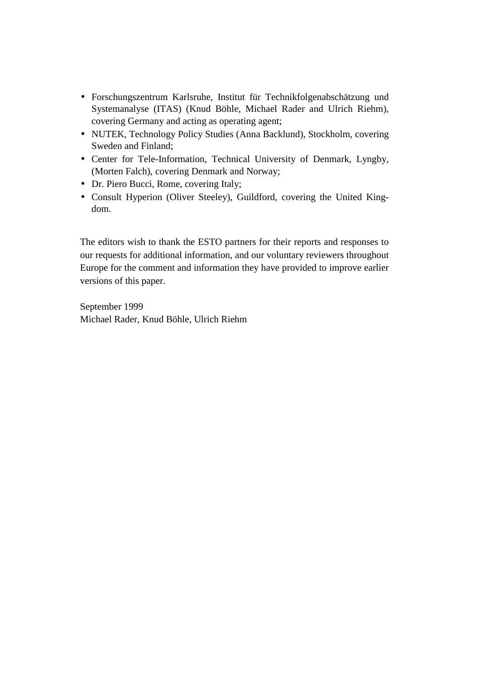- Forschungszentrum Karlsruhe, Institut für Technikfolgenabschätzung und Systemanalyse (ITAS) (Knud Böhle, Michael Rader and Ulrich Riehm), covering Germany and acting as operating agent;
- NUTEK, Technology Policy Studies (Anna Backlund), Stockholm, covering Sweden and Finland;
- Center for Tele-Information, Technical University of Denmark, Lyngby, (Morten Falch), covering Denmark and Norway;
- Dr. Piero Bucci, Rome, covering Italy;
- Consult Hyperion (Oliver Steeley), Guildford, covering the United Kingdom.

The editors wish to thank the ESTO partners for their reports and responses to our requests for additional information, and our voluntary reviewers throughout Europe for the comment and information they have provided to improve earlier versions of this paper.

September 1999 Michael Rader, Knud Böhle, Ulrich Riehm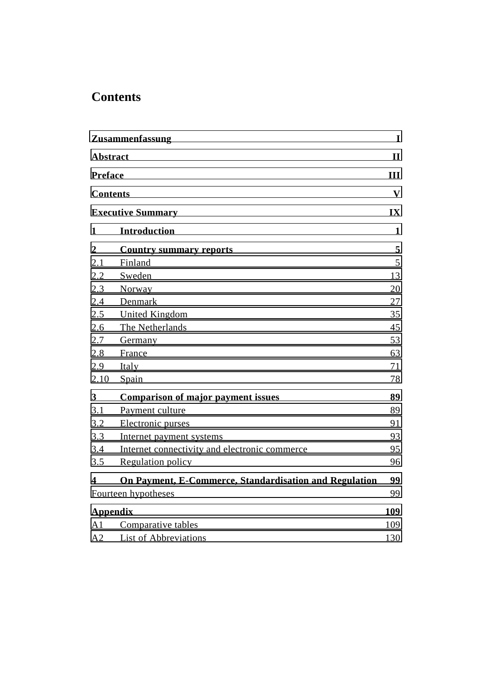## **Contents**

| Zusammenfassung<br>I     |                                                        |              |  |
|--------------------------|--------------------------------------------------------|--------------|--|
| <b>Abstract</b>          |                                                        | $\mathbf{I}$ |  |
| <b>Preface</b>           |                                                        | III          |  |
| <b>Contents</b>          |                                                        |              |  |
| <b>Executive Summary</b> |                                                        |              |  |
| 1                        | <b>Introduction</b>                                    | $\mathbf{1}$ |  |
| $\overline{2}$           | <b>Country summary reports</b>                         | 5            |  |
| 2.1                      | Finland                                                | 5            |  |
| 2.2                      | Sweden                                                 | 13           |  |
| 2.3                      | Norway                                                 | 20           |  |
| 2.4                      | Denmark                                                | 27           |  |
| 2.5                      | United Kingdom                                         | 35           |  |
| 2.6                      | The Netherlands                                        | 45           |  |
| 2.7                      | Germany                                                | 53           |  |
| 2.8                      | France                                                 | 63           |  |
| 2.9                      | Italy                                                  | 71           |  |
| 2.10                     | Spain                                                  | 78           |  |
| 3                        | <b>Comparison of major payment issues</b>              | 89           |  |
| 3.1                      | Payment culture                                        | 89           |  |
| 3.2                      | Electronic purses                                      | 91           |  |
| 3.3                      | Internet payment systems                               | 93           |  |
| 3.4                      | Internet connectivity and electronic commerce          | 95           |  |
| 3.5                      | Regulation policy                                      | 96           |  |
| $\overline{\mathbf{4}}$  | On Payment, E-Commerce, Standardisation and Regulation | 99<br>99     |  |
| Fourteen hypotheses      |                                                        |              |  |
| <b>Appendix</b>          |                                                        |              |  |
| A <sub>1</sub>           | Comparative tables                                     | 109          |  |
| A <sub>2</sub>           | <b>List of Abbreviations</b>                           | 130          |  |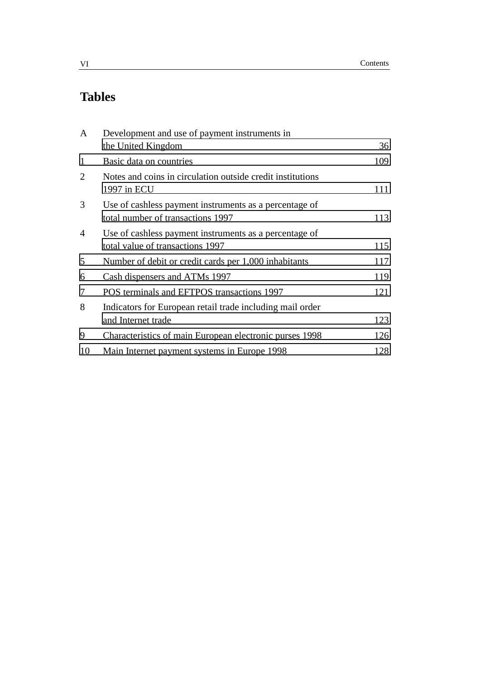## **Tables**

| A              | Development and use of payment instruments in                                               |     |  |
|----------------|---------------------------------------------------------------------------------------------|-----|--|
|                | the United Kingdom                                                                          | 36  |  |
| $\mathbf{1}$   | Basic data on countries                                                                     | 109 |  |
| $\overline{2}$ | Notes and coins in circulation outside credit institutions<br>1997 in ECU                   | 111 |  |
| 3              | Use of cashless payment instruments as a percentage of<br>total number of transactions 1997 | 113 |  |
| 4              | Use of cashless payment instruments as a percentage of<br>total value of transactions 1997  | 115 |  |
| 5              | Number of debit or credit cards per 1,000 inhabitants                                       | 117 |  |
| 6              | Cash dispensers and ATMs 1997                                                               | 119 |  |
| 7              | POS terminals and EFTPOS transactions 1997                                                  | 121 |  |
| 8              | Indicators for European retail trade including mail order                                   |     |  |
|                | and Internet trade                                                                          | 123 |  |
| 9              | Characteristics of main European electronic purses 1998                                     | 126 |  |
| 10             | Main Internet payment systems in Europe 1998                                                | 128 |  |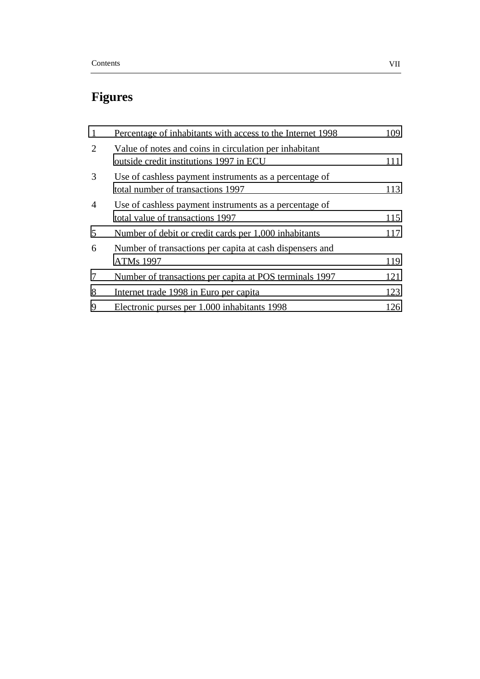## **Figures**

| $\mathbf{1}$   | Percentage of inhabitants with access to the Internet 1998                                        | 109 |
|----------------|---------------------------------------------------------------------------------------------------|-----|
| $\overline{2}$ | Value of notes and coins in circulation per inhabitant<br>outside credit institutions 1997 in ECU | 111 |
| 3              | Use of cashless payment instruments as a percentage of<br>total number of transactions 1997       | 113 |
| $\overline{4}$ | Use of cashless payment instruments as a percentage of<br>total value of transactions 1997        | 115 |
| 5              | Number of debit or credit cards per 1,000 inhabitants                                             | 117 |
| 6              | Number of transactions per capita at cash dispensers and                                          |     |
|                | <b>ATMs 1997</b>                                                                                  | 119 |
| 7              | Number of transactions per capita at POS terminals 1997                                           | 121 |
| 8              | Internet trade 1998 in Euro per capita                                                            | 123 |
| 9              | Electronic purses per 1.000 inhabitants 1998                                                      | 126 |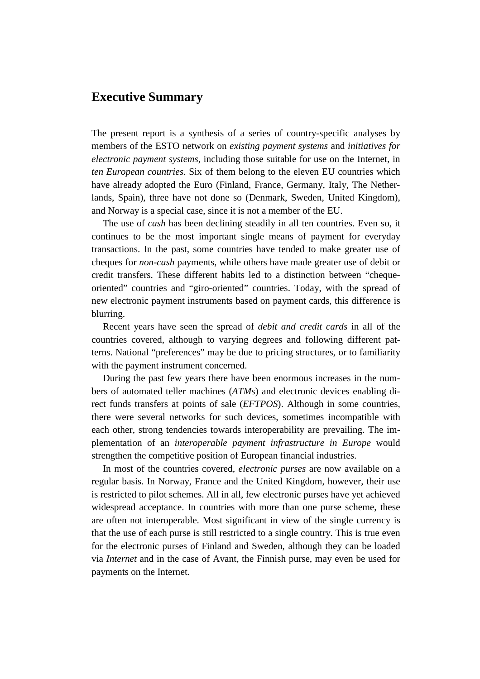### <span id="page-10-0"></span>**Executive Summary**

The present report is a synthesis of a series of country-specific analyses by members of the ESTO network on *existing payment systems* and *initiatives for electronic payment systems*, including those suitable for use on the Internet, in *ten European countries*. Six of them belong to the eleven EU countries which have already adopted the Euro (Finland, France, Germany, Italy, The Netherlands, Spain), three have not done so (Denmark, Sweden, United Kingdom), and Norway is a special case, since it is not a member of the EU.

The use of *cash* has been declining steadily in all ten countries. Even so, it continues to be the most important single means of payment for everyday transactions. In the past, some countries have tended to make greater use of cheques for *non-cash* payments, while others have made greater use of debit or credit transfers. These different habits led to a distinction between "chequeoriented" countries and "giro-oriented" countries. Today, with the spread of new electronic payment instruments based on payment cards, this difference is blurring.

Recent years have seen the spread of *debit and credit cards* in all of the countries covered, although to varying degrees and following different patterns. National "preferences" may be due to pricing structures, or to familiarity with the payment instrument concerned.

During the past few years there have been enormous increases in the numbers of automated teller machines (*ATM*s) and electronic devices enabling direct funds transfers at points of sale (*EFTPOS*). Although in some countries, there were several networks for such devices, sometimes incompatible with each other, strong tendencies towards interoperability are prevailing. The implementation of an *interoperable payment infrastructure in Europe* would strengthen the competitive position of European financial industries.

In most of the countries covered, *electronic purses* are now available on a regular basis. In Norway, France and the United Kingdom, however, their use is restricted to pilot schemes. All in all, few electronic purses have yet achieved widespread acceptance. In countries with more than one purse scheme, these are often not interoperable. Most significant in view of the single currency is that the use of each purse is still restricted to a single country. This is true even for the electronic purses of Finland and Sweden, although they can be loaded via *Internet* and in the case of Avant, the Finnish purse, may even be used for payments on the Internet.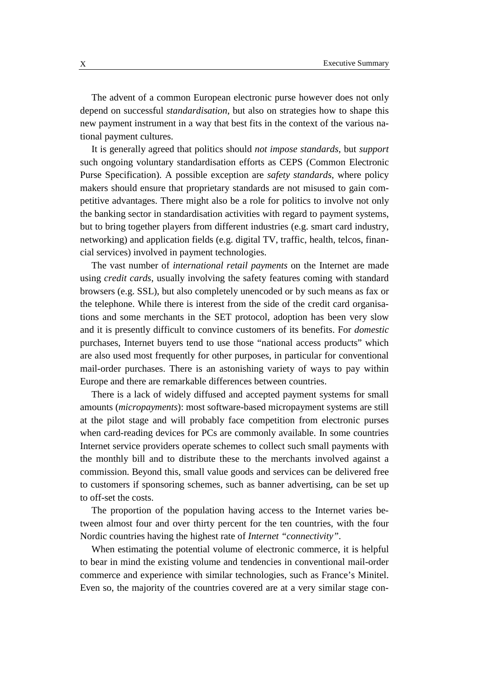The advent of a common European electronic purse however does not only depend on successful *standardisation*, but also on strategies how to shape this new payment instrument in a way that best fits in the context of the various national payment cultures.

It is generally agreed that politics should *not impose standards*, but *support* such ongoing voluntary standardisation efforts as CEPS (Common Electronic Purse Specification). A possible exception are *safety standards*, where policy makers should ensure that proprietary standards are not misused to gain competitive advantages. There might also be a role for politics to involve not only the banking sector in standardisation activities with regard to payment systems, but to bring together players from different industries (e.g. smart card industry, networking) and application fields (e.g. digital TV, traffic, health, telcos, financial services) involved in payment technologies.

The vast number of *international retail payments* on the Internet are made using *credit cards*, usually involving the safety features coming with standard browsers (e.g. SSL), but also completely unencoded or by such means as fax or the telephone. While there is interest from the side of the credit card organisations and some merchants in the SET protocol, adoption has been very slow and it is presently difficult to convince customers of its benefits. For *domestic* purchases, Internet buyers tend to use those "national access products" which are also used most frequently for other purposes, in particular for conventional mail-order purchases. There is an astonishing variety of ways to pay within Europe and there are remarkable differences between countries.

There is a lack of widely diffused and accepted payment systems for small amounts (*micropayments*): most software-based micropayment systems are still at the pilot stage and will probably face competition from electronic purses when card-reading devices for PCs are commonly available. In some countries Internet service providers operate schemes to collect such small payments with the monthly bill and to distribute these to the merchants involved against a commission. Beyond this, small value goods and services can be delivered free to customers if sponsoring schemes, such as banner advertising, can be set up to off-set the costs.

The proportion of the population having access to the Internet varies between almost four and over thirty percent for the ten countries, with the four Nordic countries having the highest rate of *Internet "connectivity"*.

When estimating the potential volume of electronic commerce, it is helpful to bear in mind the existing volume and tendencies in conventional mail-order commerce and experience with similar technologies, such as France's Minitel. Even so, the majority of the countries covered are at a very similar stage con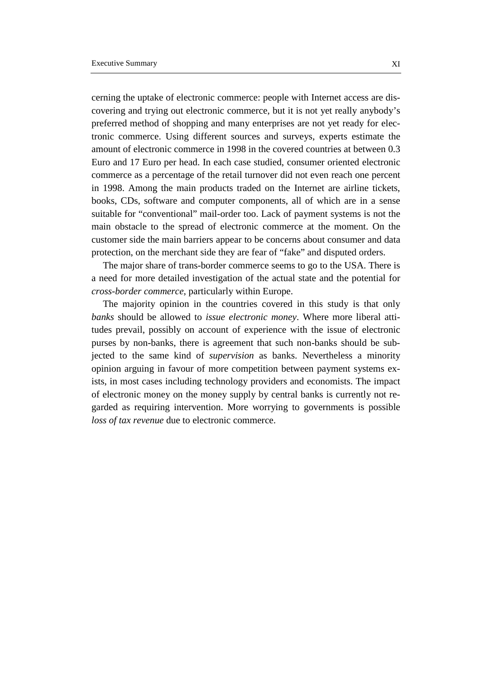cerning the uptake of electronic commerce: people with Internet access are discovering and trying out electronic commerce, but it is not yet really anybody's preferred method of shopping and many enterprises are not yet ready for electronic commerce. Using different sources and surveys, experts estimate the amount of electronic commerce in 1998 in the covered countries at between 0.3 Euro and 17 Euro per head. In each case studied, consumer oriented electronic commerce as a percentage of the retail turnover did not even reach one percent in 1998. Among the main products traded on the Internet are airline tickets, books, CDs, software and computer components, all of which are in a sense suitable for "conventional" mail-order too. Lack of payment systems is not the main obstacle to the spread of electronic commerce at the moment. On the customer side the main barriers appear to be concerns about consumer and data protection, on the merchant side they are fear of "fake" and disputed orders.

The major share of trans-border commerce seems to go to the USA. There is a need for more detailed investigation of the actual state and the potential for *cross-border commerce*, particularly within Europe.

The majority opinion in the countries covered in this study is that only *banks* should be allowed to *issue electronic money*. Where more liberal attitudes prevail, possibly on account of experience with the issue of electronic purses by non-banks, there is agreement that such non-banks should be subjected to the same kind of *supervision* as banks. Nevertheless a minority opinion arguing in favour of more competition between payment systems exists, in most cases including technology providers and economists. The impact of electronic money on the money supply by central banks is currently not regarded as requiring intervention. More worrying to governments is possible *loss of tax revenue* due to electronic commerce.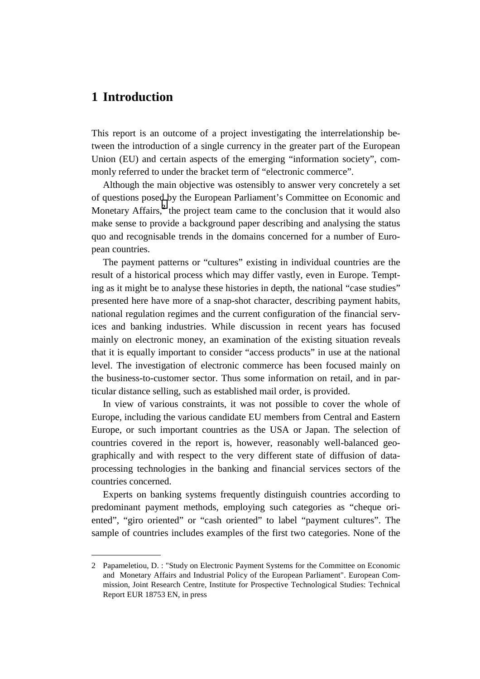### <span id="page-14-0"></span>**1 Introduction**

This report is an outcome of a project investigating the interrelationship between the introduction of a single currency in the greater part of the European Union (EU) and certain aspects of the emerging "information society", commonly referred to under the bracket term of "electronic commerce".

Although the main objective was ostensibly to answer very concretely a set of questions posed by the European Parliament's Committee on Economic and Monetary Affairs,<sup>2</sup> the project team came to the conclusion that it would also make sense to provide a background paper describing and analysing the status quo and recognisable trends in the domains concerned for a number of European countries.

The payment patterns or "cultures" existing in individual countries are the result of a historical process which may differ vastly, even in Europe. Tempting as it might be to analyse these histories in depth, the national "case studies" presented here have more of a snap-shot character, describing payment habits, national regulation regimes and the current configuration of the financial services and banking industries. While discussion in recent years has focused mainly on electronic money, an examination of the existing situation reveals that it is equally important to consider "access products" in use at the national level. The investigation of electronic commerce has been focused mainly on the business-to-customer sector. Thus some information on retail, and in particular distance selling, such as established mail order, is provided.

In view of various constraints, it was not possible to cover the whole of Europe, including the various candidate EU members from Central and Eastern Europe, or such important countries as the USA or Japan. The selection of countries covered in the report is, however, reasonably well-balanced geographically and with respect to the very different state of diffusion of dataprocessing technologies in the banking and financial services sectors of the countries concerned.

Experts on banking systems frequently distinguish countries according to predominant payment methods, employing such categories as "cheque oriented", "giro oriented" or "cash oriented" to label "payment cultures". The sample of countries includes examples of the first two categories. None of the

<sup>2</sup> Papameletiou, D. : "Study on Electronic Payment Systems for the Committee on Economic and Monetary Affairs and Industrial Policy of the European Parliament". European Commission, Joint Research Centre, Institute for Prospective Technological Studies: Technical Report EUR 18753 EN, in press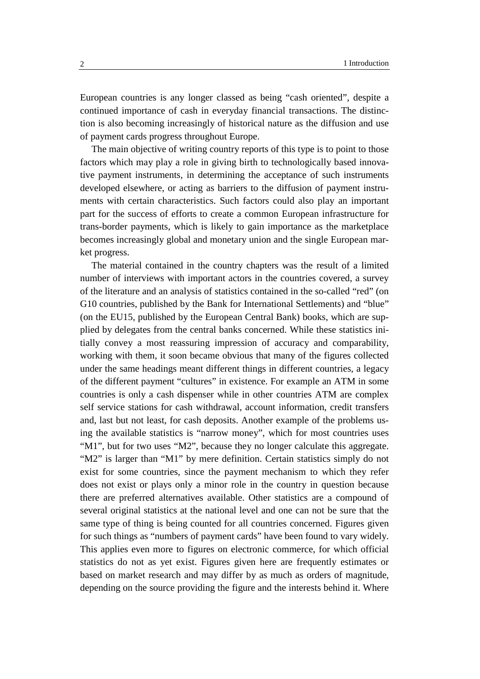European countries is any longer classed as being "cash oriented", despite a continued importance of cash in everyday financial transactions. The distinction is also becoming increasingly of historical nature as the diffusion and use of payment cards progress throughout Europe.

The main objective of writing country reports of this type is to point to those factors which may play a role in giving birth to technologically based innovative payment instruments, in determining the acceptance of such instruments developed elsewhere, or acting as barriers to the diffusion of payment instruments with certain characteristics. Such factors could also play an important part for the success of efforts to create a common European infrastructure for trans-border payments, which is likely to gain importance as the marketplace becomes increasingly global and monetary union and the single European market progress.

The material contained in the country chapters was the result of a limited number of interviews with important actors in the countries covered, a survey of the literature and an analysis of statistics contained in the so-called "red" (on G10 countries, published by the Bank for International Settlements) and "blue" (on the EU15, published by the European Central Bank) books, which are supplied by delegates from the central banks concerned. While these statistics initially convey a most reassuring impression of accuracy and comparability, working with them, it soon became obvious that many of the figures collected under the same headings meant different things in different countries, a legacy of the different payment "cultures" in existence. For example an ATM in some countries is only a cash dispenser while in other countries ATM are complex self service stations for cash withdrawal, account information, credit transfers and, last but not least, for cash deposits. Another example of the problems using the available statistics is "narrow money", which for most countries uses "M1", but for two uses "M2", because they no longer calculate this aggregate. "M2" is larger than "M1" by mere definition. Certain statistics simply do not exist for some countries, since the payment mechanism to which they refer does not exist or plays only a minor role in the country in question because there are preferred alternatives available. Other statistics are a compound of several original statistics at the national level and one can not be sure that the same type of thing is being counted for all countries concerned. Figures given for such things as "numbers of payment cards" have been found to vary widely. This applies even more to figures on electronic commerce, for which official statistics do not as yet exist. Figures given here are frequently estimates or based on market research and may differ by as much as orders of magnitude, depending on the source providing the figure and the interests behind it. Where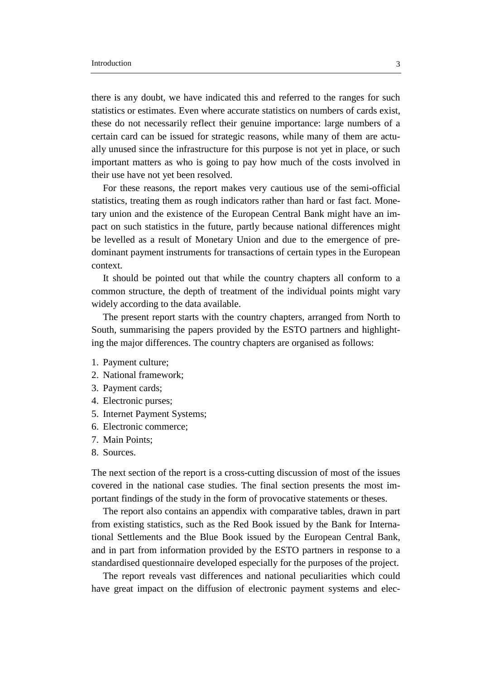there is any doubt, we have indicated this and referred to the ranges for such statistics or estimates. Even where accurate statistics on numbers of cards exist, these do not necessarily reflect their genuine importance: large numbers of a certain card can be issued for strategic reasons, while many of them are actually unused since the infrastructure for this purpose is not yet in place, or such important matters as who is going to pay how much of the costs involved in their use have not yet been resolved.

For these reasons, the report makes very cautious use of the semi-official statistics, treating them as rough indicators rather than hard or fast fact. Monetary union and the existence of the European Central Bank might have an impact on such statistics in the future, partly because national differences might be levelled as a result of Monetary Union and due to the emergence of predominant payment instruments for transactions of certain types in the European context.

It should be pointed out that while the country chapters all conform to a common structure, the depth of treatment of the individual points might vary widely according to the data available.

The present report starts with the country chapters, arranged from North to South, summarising the papers provided by the ESTO partners and highlighting the major differences. The country chapters are organised as follows:

- 1. Payment culture;
- 2. National framework;
- 3. Payment cards;
- 4. Electronic purses;
- 5. Internet Payment Systems;
- 6. Electronic commerce;
- 7. Main Points;
- 8. Sources.

The next section of the report is a cross-cutting discussion of most of the issues covered in the national case studies. The final section presents the most important findings of the study in the form of provocative statements or theses.

The report also contains an appendix with comparative tables, drawn in part from existing statistics, such as the Red Book issued by the Bank for International Settlements and the Blue Book issued by the European Central Bank, and in part from information provided by the ESTO partners in response to a standardised questionnaire developed especially for the purposes of the project.

The report reveals vast differences and national peculiarities which could have great impact on the diffusion of electronic payment systems and elec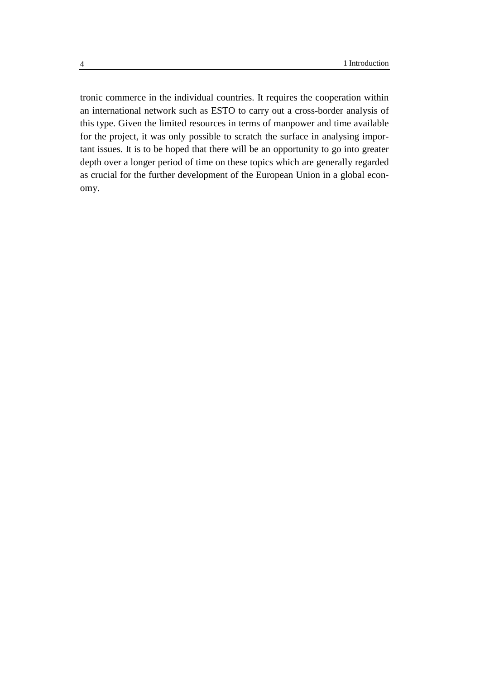tronic commerce in the individual countries. It requires the cooperation within an international network such as ESTO to carry out a cross-border analysis of this type. Given the limited resources in terms of manpower and time available for the project, it was only possible to scratch the surface in analysing important issues. It is to be hoped that there will be an opportunity to go into greater depth over a longer period of time on these topics which are generally regarded as crucial for the further development of the European Union in a global economy.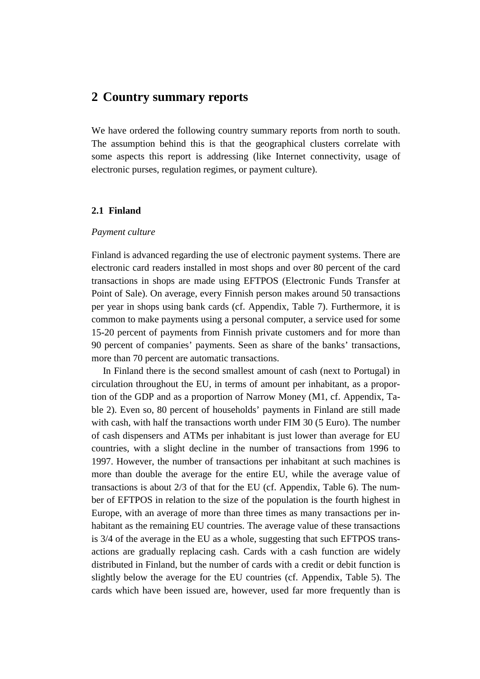### <span id="page-18-0"></span>**2 Country summary reports**

We have ordered the following country summary reports from north to south. The assumption behind this is that the geographical clusters correlate with some aspects this report is addressing (like Internet connectivity, usage of electronic purses, regulation regimes, or payment culture).

#### **2.1 Finland**

#### *Payment culture*

Finland is advanced regarding the use of electronic payment systems. There are electronic card readers installed in most shops and over 80 percent of the card transactions in shops are made using EFTPOS (Electronic Funds Transfer at Point of Sale). On average, every Finnish person makes around 50 transactions per year in shops using bank cards (cf. Appendix, Table 7). Furthermore, it is common to make payments using a personal computer, a service used for some 15-20 percent of payments from Finnish private customers and for more than 90 percent of companies' payments. Seen as share of the banks' transactions, more than 70 percent are automatic transactions.

In Finland there is the second smallest amount of cash (next to Portugal) in circulation throughout the EU, in terms of amount per inhabitant, as a proportion of the GDP and as a proportion of Narrow Money (M1, cf. Appendix, Table 2). Even so, 80 percent of households' payments in Finland are still made with cash, with half the transactions worth under FIM 30 (5 Euro). The number of cash dispensers and ATMs per inhabitant is just lower than average for EU countries, with a slight decline in the number of transactions from 1996 to 1997. However, the number of transactions per inhabitant at such machines is more than double the average for the entire EU, while the average value of transactions is about 2/3 of that for the EU (cf. Appendix, Table 6). The number of EFTPOS in relation to the size of the population is the fourth highest in Europe, with an average of more than three times as many transactions per inhabitant as the remaining EU countries. The average value of these transactions is 3/4 of the average in the EU as a whole, suggesting that such EFTPOS transactions are gradually replacing cash. Cards with a cash function are widely distributed in Finland, but the number of cards with a credit or debit function is slightly below the average for the EU countries (cf. Appendix, Table 5). The cards which have been issued are, however, used far more frequently than is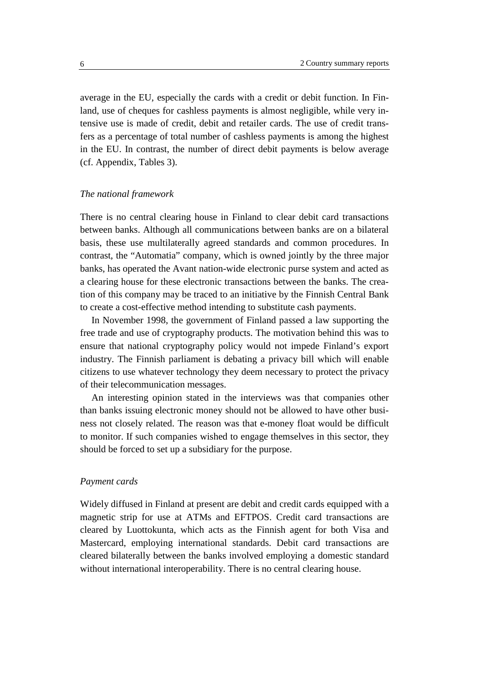average in the EU, especially the cards with a credit or debit function. In Finland, use of cheques for cashless payments is almost negligible, while very intensive use is made of credit, debit and retailer cards. The use of credit transfers as a percentage of total number of cashless payments is among the highest in the EU. In contrast, the number of direct debit payments is below average (cf. Appendix, Tables 3).

#### *The national framework*

There is no central clearing house in Finland to clear debit card transactions between banks. Although all communications between banks are on a bilateral basis, these use multilaterally agreed standards and common procedures. In contrast, the "Automatia" company, which is owned jointly by the three major banks, has operated the Avant nation-wide electronic purse system and acted as a clearing house for these electronic transactions between the banks. The creation of this company may be traced to an initiative by the Finnish Central Bank to create a cost-effective method intending to substitute cash payments.

In November 1998, the government of Finland passed a law supporting the free trade and use of cryptography products. The motivation behind this was to ensure that national cryptography policy would not impede Finland's export industry. The Finnish parliament is debating a privacy bill which will enable citizens to use whatever technology they deem necessary to protect the privacy of their telecommunication messages.

An interesting opinion stated in the interviews was that companies other than banks issuing electronic money should not be allowed to have other business not closely related. The reason was that e-money float would be difficult to monitor. If such companies wished to engage themselves in this sector, they should be forced to set up a subsidiary for the purpose.

#### *Payment cards*

Widely diffused in Finland at present are debit and credit cards equipped with a magnetic strip for use at ATMs and EFTPOS. Credit card transactions are cleared by Luottokunta, which acts as the Finnish agent for both Visa and Mastercard, employing international standards. Debit card transactions are cleared bilaterally between the banks involved employing a domestic standard without international interoperability. There is no central clearing house.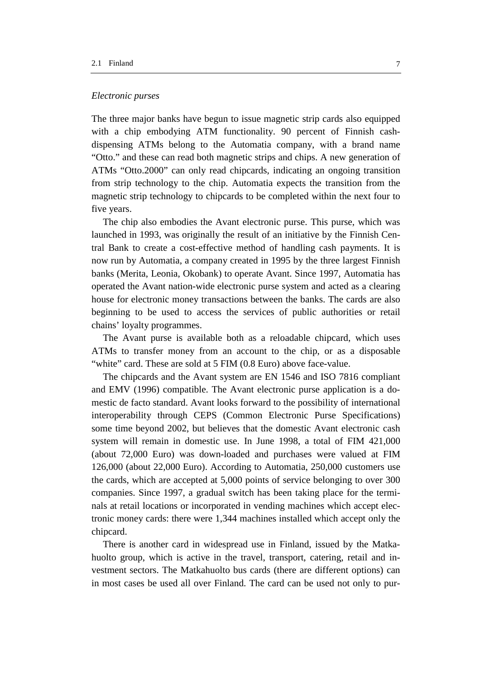#### *Electronic purses*

The three major banks have begun to issue magnetic strip cards also equipped with a chip embodying ATM functionality. 90 percent of Finnish cashdispensing ATMs belong to the Automatia company, with a brand name "Otto." and these can read both magnetic strips and chips. A new generation of ATMs "Otto.2000" can only read chipcards, indicating an ongoing transition from strip technology to the chip. Automatia expects the transition from the magnetic strip technology to chipcards to be completed within the next four to five years.

The chip also embodies the Avant electronic purse. This purse, which was launched in 1993, was originally the result of an initiative by the Finnish Central Bank to create a cost-effective method of handling cash payments. It is now run by Automatia, a company created in 1995 by the three largest Finnish banks (Merita, Leonia, Okobank) to operate Avant. Since 1997, Automatia has operated the Avant nation-wide electronic purse system and acted as a clearing house for electronic money transactions between the banks. The cards are also beginning to be used to access the services of public authorities or retail chains' loyalty programmes.

The Avant purse is available both as a reloadable chipcard, which uses ATMs to transfer money from an account to the chip, or as a disposable "white" card. These are sold at 5 FIM (0.8 Euro) above face-value.

The chipcards and the Avant system are EN 1546 and ISO 7816 compliant and EMV (1996) compatible. The Avant electronic purse application is a domestic de facto standard. Avant looks forward to the possibility of international interoperability through CEPS (Common Electronic Purse Specifications) some time beyond 2002, but believes that the domestic Avant electronic cash system will remain in domestic use. In June 1998, a total of FIM 421,000 (about 72,000 Euro) was down-loaded and purchases were valued at FIM 126,000 (about 22,000 Euro). According to Automatia, 250,000 customers use the cards, which are accepted at 5,000 points of service belonging to over 300 companies. Since 1997, a gradual switch has been taking place for the terminals at retail locations or incorporated in vending machines which accept electronic money cards: there were 1,344 machines installed which accept only the chipcard.

There is another card in widespread use in Finland, issued by the Matkahuolto group, which is active in the travel, transport, catering, retail and investment sectors. The Matkahuolto bus cards (there are different options) can in most cases be used all over Finland. The card can be used not only to pur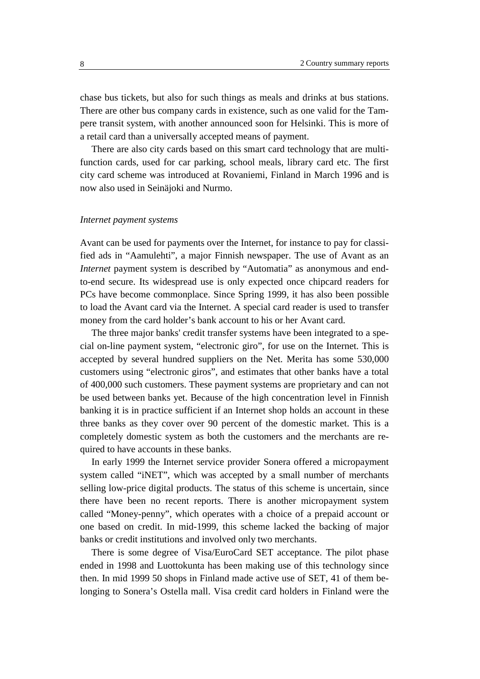chase bus tickets, but also for such things as meals and drinks at bus stations. There are other bus company cards in existence, such as one valid for the Tampere transit system, with another announced soon for Helsinki. This is more of a retail card than a universally accepted means of payment.

There are also city cards based on this smart card technology that are multifunction cards, used for car parking, school meals, library card etc. The first city card scheme was introduced at Rovaniemi, Finland in March 1996 and is now also used in Seinäjoki and Nurmo.

#### *Internet payment systems*

Avant can be used for payments over the Internet, for instance to pay for classified ads in "Aamulehti", a major Finnish newspaper. The use of Avant as an *Internet* payment system is described by "Automatia" as anonymous and endto-end secure. Its widespread use is only expected once chipcard readers for PCs have become commonplace. Since Spring 1999, it has also been possible to load the Avant card via the Internet. A special card reader is used to transfer money from the card holder's bank account to his or her Avant card.

The three major banks' credit transfer systems have been integrated to a special on-line payment system, "electronic giro", for use on the Internet. This is accepted by several hundred suppliers on the Net. Merita has some 530,000 customers using "electronic giros", and estimates that other banks have a total of 400,000 such customers. These payment systems are proprietary and can not be used between banks yet. Because of the high concentration level in Finnish banking it is in practice sufficient if an Internet shop holds an account in these three banks as they cover over 90 percent of the domestic market. This is a completely domestic system as both the customers and the merchants are required to have accounts in these banks.

In early 1999 the Internet service provider Sonera offered a micropayment system called "iNET", which was accepted by a small number of merchants selling low-price digital products. The status of this scheme is uncertain, since there have been no recent reports. There is another micropayment system called "Money-penny", which operates with a choice of a prepaid account or one based on credit. In mid-1999, this scheme lacked the backing of major banks or credit institutions and involved only two merchants.

There is some degree of Visa/EuroCard SET acceptance. The pilot phase ended in 1998 and Luottokunta has been making use of this technology since then. In mid 1999 50 shops in Finland made active use of SET, 41 of them belonging to Sonera's Ostella mall. Visa credit card holders in Finland were the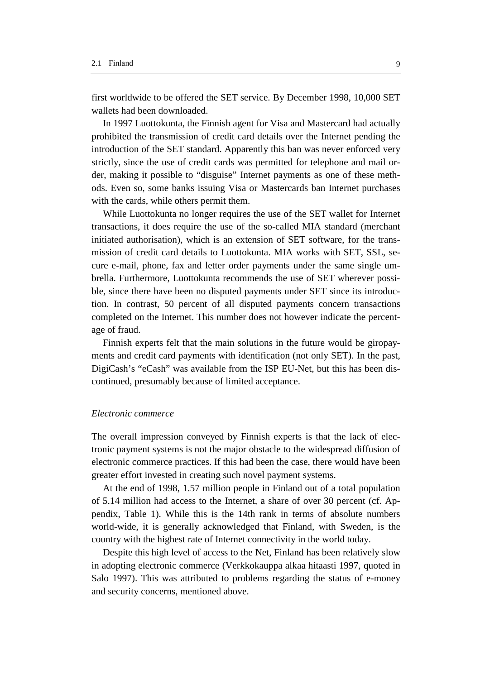first worldwide to be offered the SET service. By December 1998, 10,000 SET wallets had been downloaded.

In 1997 Luottokunta, the Finnish agent for Visa and Mastercard had actually prohibited the transmission of credit card details over the Internet pending the introduction of the SET standard. Apparently this ban was never enforced very strictly, since the use of credit cards was permitted for telephone and mail order, making it possible to "disguise" Internet payments as one of these methods. Even so, some banks issuing Visa or Mastercards ban Internet purchases with the cards, while others permit them.

While Luottokunta no longer requires the use of the SET wallet for Internet transactions, it does require the use of the so-called MIA standard (merchant initiated authorisation), which is an extension of SET software, for the transmission of credit card details to Luottokunta. MIA works with SET, SSL, secure e-mail, phone, fax and letter order payments under the same single umbrella. Furthermore, Luottokunta recommends the use of SET wherever possible, since there have been no disputed payments under SET since its introduction. In contrast, 50 percent of all disputed payments concern transactions completed on the Internet. This number does not however indicate the percentage of fraud.

Finnish experts felt that the main solutions in the future would be giropayments and credit card payments with identification (not only SET). In the past, DigiCash's "eCash" was available from the ISP EU-Net, but this has been discontinued, presumably because of limited acceptance.

#### *Electronic commerce*

The overall impression conveyed by Finnish experts is that the lack of electronic payment systems is not the major obstacle to the widespread diffusion of electronic commerce practices. If this had been the case, there would have been greater effort invested in creating such novel payment systems.

At the end of 1998, 1.57 million people in Finland out of a total population of 5.14 million had access to the Internet, a share of over 30 percent (cf. Appendix, Table 1). While this is the 14th rank in terms of absolute numbers world-wide, it is generally acknowledged that Finland, with Sweden, is the country with the highest rate of Internet connectivity in the world today.

Despite this high level of access to the Net, Finland has been relatively slow in adopting electronic commerce (Verkkokauppa alkaa hitaasti 1997, quoted in Salo 1997). This was attributed to problems regarding the status of e-money and security concerns, mentioned above.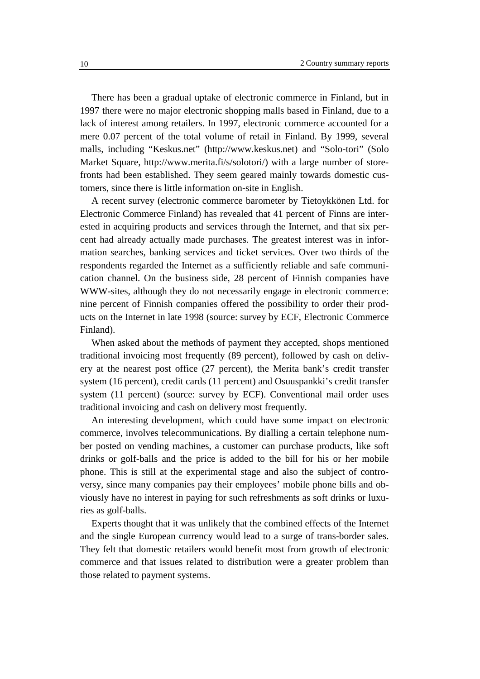There has been a gradual uptake of electronic commerce in Finland, but in 1997 there were no major electronic shopping malls based in Finland, due to a lack of interest among retailers. In 1997, electronic commerce accounted for a mere 0.07 percent of the total volume of retail in Finland. By 1999, several malls, including "Keskus.net" (http://www.keskus.net) and "Solo-tori" (Solo Market Square, http://www.merita.fi/s/solotori/) with a large number of storefronts had been established. They seem geared mainly towards domestic customers, since there is little information on-site in English.

A recent survey (electronic commerce barometer by Tietoykkönen Ltd. for Electronic Commerce Finland) has revealed that 41 percent of Finns are interested in acquiring products and services through the Internet, and that six percent had already actually made purchases. The greatest interest was in information searches, banking services and ticket services. Over two thirds of the respondents regarded the Internet as a sufficiently reliable and safe communication channel. On the business side, 28 percent of Finnish companies have WWW-sites, although they do not necessarily engage in electronic commerce: nine percent of Finnish companies offered the possibility to order their products on the Internet in late 1998 (source: survey by ECF, Electronic Commerce Finland).

When asked about the methods of payment they accepted, shops mentioned traditional invoicing most frequently (89 percent), followed by cash on delivery at the nearest post office (27 percent), the Merita bank's credit transfer system (16 percent), credit cards (11 percent) and Osuuspankki's credit transfer system (11 percent) (source: survey by ECF). Conventional mail order uses traditional invoicing and cash on delivery most frequently.

An interesting development, which could have some impact on electronic commerce, involves telecommunications. By dialling a certain telephone number posted on vending machines, a customer can purchase products, like soft drinks or golf-balls and the price is added to the bill for his or her mobile phone. This is still at the experimental stage and also the subject of controversy, since many companies pay their employees' mobile phone bills and obviously have no interest in paying for such refreshments as soft drinks or luxuries as golf-balls.

Experts thought that it was unlikely that the combined effects of the Internet and the single European currency would lead to a surge of trans-border sales. They felt that domestic retailers would benefit most from growth of electronic commerce and that issues related to distribution were a greater problem than those related to payment systems.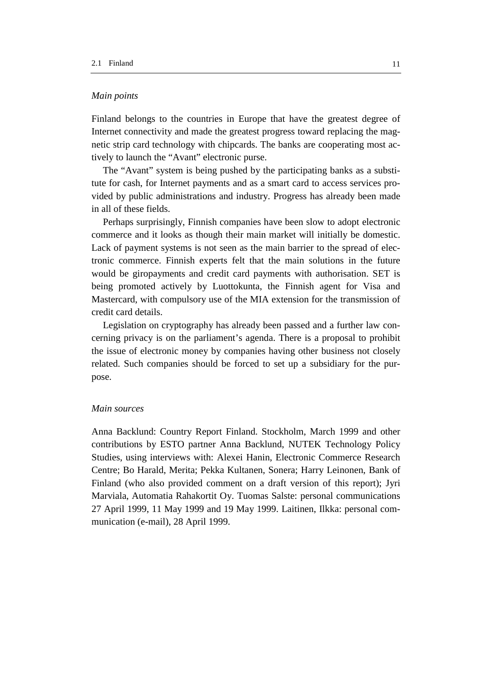#### *Main points*

Finland belongs to the countries in Europe that have the greatest degree of Internet connectivity and made the greatest progress toward replacing the magnetic strip card technology with chipcards. The banks are cooperating most actively to launch the "Avant" electronic purse.

The "Avant" system is being pushed by the participating banks as a substitute for cash, for Internet payments and as a smart card to access services provided by public administrations and industry. Progress has already been made in all of these fields.

Perhaps surprisingly, Finnish companies have been slow to adopt electronic commerce and it looks as though their main market will initially be domestic. Lack of payment systems is not seen as the main barrier to the spread of electronic commerce. Finnish experts felt that the main solutions in the future would be giropayments and credit card payments with authorisation. SET is being promoted actively by Luottokunta, the Finnish agent for Visa and Mastercard, with compulsory use of the MIA extension for the transmission of credit card details.

Legislation on cryptography has already been passed and a further law concerning privacy is on the parliament's agenda. There is a proposal to prohibit the issue of electronic money by companies having other business not closely related. Such companies should be forced to set up a subsidiary for the purpose.

#### *Main sources*

Anna Backlund: Country Report Finland. Stockholm, March 1999 and other contributions by ESTO partner Anna Backlund, NUTEK Technology Policy Studies, using interviews with: Alexei Hanin, Electronic Commerce Research Centre; Bo Harald, Merita; Pekka Kultanen, Sonera; Harry Leinonen, Bank of Finland (who also provided comment on a draft version of this report); Jyri Marviala, Automatia Rahakortit Oy. Tuomas Salste: personal communications 27 April 1999, 11 May 1999 and 19 May 1999. Laitinen, Ilkka: personal communication (e-mail), 28 April 1999.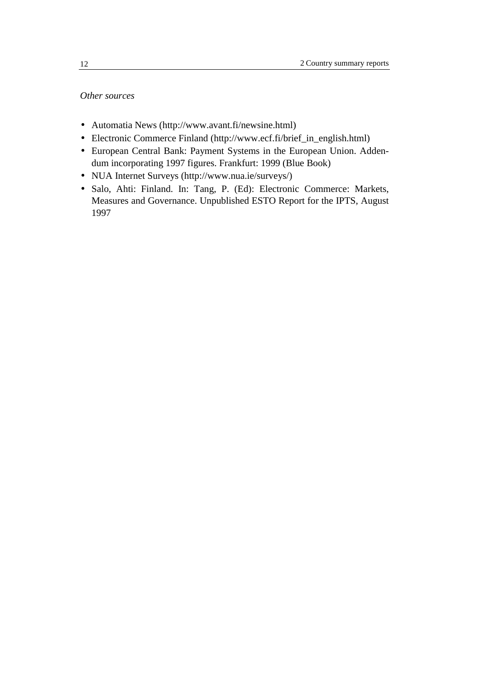#### *Other sources*

- Automatia News (http://www.avant.fi/newsine.html)
- Electronic Commerce Finland (http://www.ecf.fi/brief\_in\_english.html)
- European Central Bank: Payment Systems in the European Union. Addendum incorporating 1997 figures. Frankfurt: 1999 (Blue Book)
- NUA Internet Surveys (http://www.nua.ie/surveys/)
- Salo, Ahti: Finland. In: Tang, P. (Ed): Electronic Commerce: Markets, Measures and Governance. Unpublished ESTO Report for the IPTS, August 1997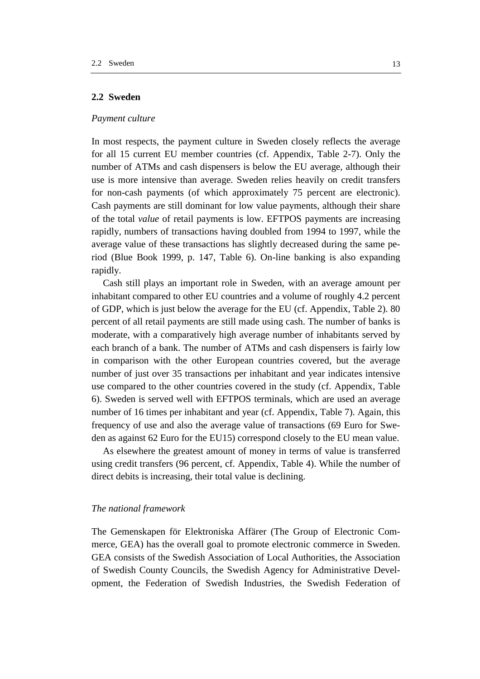#### <span id="page-26-0"></span>**2.2 Sweden**

#### *Payment culture*

In most respects, the payment culture in Sweden closely reflects the average for all 15 current EU member countries (cf. Appendix, Table 2-7). Only the number of ATMs and cash dispensers is below the EU average, although their use is more intensive than average. Sweden relies heavily on credit transfers for non-cash payments (of which approximately 75 percent are electronic). Cash payments are still dominant for low value payments, although their share of the total *value* of retail payments is low. EFTPOS payments are increasing rapidly, numbers of transactions having doubled from 1994 to 1997, while the average value of these transactions has slightly decreased during the same period (Blue Book 1999, p. 147, Table 6). On-line banking is also expanding rapidly.

Cash still plays an important role in Sweden, with an average amount per inhabitant compared to other EU countries and a volume of roughly 4.2 percent of GDP, which is just below the average for the EU (cf. Appendix, Table 2). 80 percent of all retail payments are still made using cash. The number of banks is moderate, with a comparatively high average number of inhabitants served by each branch of a bank. The number of ATMs and cash dispensers is fairly low in comparison with the other European countries covered, but the average number of just over 35 transactions per inhabitant and year indicates intensive use compared to the other countries covered in the study (cf. Appendix, Table 6). Sweden is served well with EFTPOS terminals, which are used an average number of 16 times per inhabitant and year (cf. Appendix, Table 7). Again, this frequency of use and also the average value of transactions (69 Euro for Sweden as against 62 Euro for the EU15) correspond closely to the EU mean value.

As elsewhere the greatest amount of money in terms of value is transferred using credit transfers (96 percent, cf. Appendix, Table 4). While the number of direct debits is increasing, their total value is declining.

#### *The national framework*

The Gemenskapen för Elektroniska Affärer (The Group of Electronic Commerce, GEA) has the overall goal to promote electronic commerce in Sweden. GEA consists of the Swedish Association of Local Authorities, the Association of Swedish County Councils, the Swedish Agency for Administrative Development, the Federation of Swedish Industries, the Swedish Federation of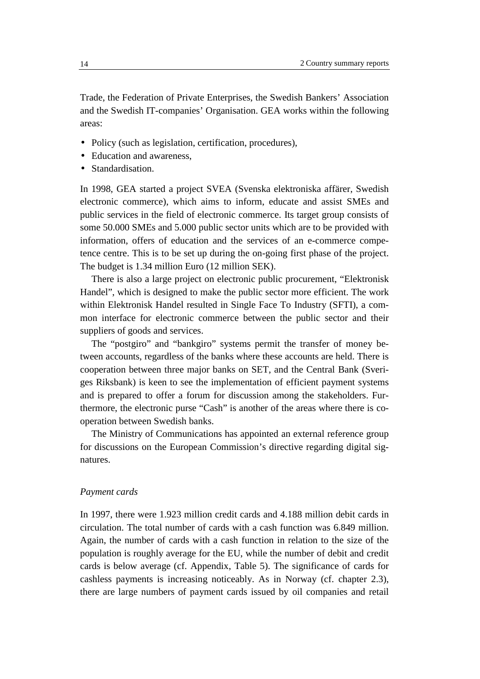Trade, the Federation of Private Enterprises, the Swedish Bankers' Association and the Swedish IT-companies' Organisation. GEA works within the following areas:

- Policy (such as legislation, certification, procedures),
- Education and awareness.
- Standardisation.

In 1998, GEA started a project SVEA (Svenska elektroniska affärer, Swedish electronic commerce), which aims to inform, educate and assist SMEs and public services in the field of electronic commerce. Its target group consists of some 50.000 SMEs and 5.000 public sector units which are to be provided with information, offers of education and the services of an e-commerce competence centre. This is to be set up during the on-going first phase of the project. The budget is 1.34 million Euro (12 million SEK).

There is also a large project on electronic public procurement, "Elektronisk Handel", which is designed to make the public sector more efficient. The work within Elektronisk Handel resulted in Single Face To Industry (SFTI), a common interface for electronic commerce between the public sector and their suppliers of goods and services.

The "postgiro" and "bankgiro" systems permit the transfer of money between accounts, regardless of the banks where these accounts are held. There is cooperation between three major banks on SET, and the Central Bank (Sveriges Riksbank) is keen to see the implementation of efficient payment systems and is prepared to offer a forum for discussion among the stakeholders. Furthermore, the electronic purse "Cash" is another of the areas where there is cooperation between Swedish banks.

The Ministry of Communications has appointed an external reference group for discussions on the European Commission's directive regarding digital signatures.

#### *Payment cards*

In 1997, there were 1.923 million credit cards and 4.188 million debit cards in circulation. The total number of cards with a cash function was 6.849 million. Again, the number of cards with a cash function in relation to the size of the population is roughly average for the EU, while the number of debit and credit cards is below average (cf. Appendix, Table 5). The significance of cards for cashless payments is increasing noticeably. As in Norway (cf. chapter 2.3), there are large numbers of payment cards issued by oil companies and retail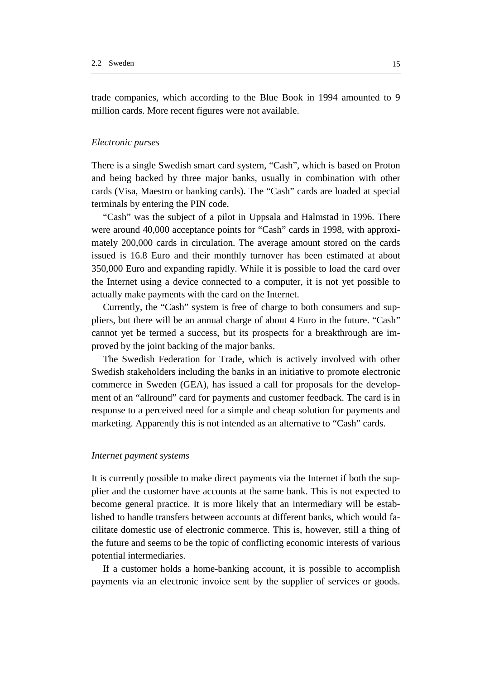trade companies, which according to the Blue Book in 1994 amounted to 9 million cards. More recent figures were not available.

#### *Electronic purses*

There is a single Swedish smart card system, "Cash", which is based on Proton and being backed by three major banks, usually in combination with other cards (Visa, Maestro or banking cards). The "Cash" cards are loaded at special terminals by entering the PIN code.

"Cash" was the subject of a pilot in Uppsala and Halmstad in 1996. There were around 40,000 acceptance points for "Cash" cards in 1998, with approximately 200,000 cards in circulation. The average amount stored on the cards issued is 16.8 Euro and their monthly turnover has been estimated at about 350,000 Euro and expanding rapidly. While it is possible to load the card over the Internet using a device connected to a computer, it is not yet possible to actually make payments with the card on the Internet.

Currently, the "Cash" system is free of charge to both consumers and suppliers, but there will be an annual charge of about 4 Euro in the future. "Cash" cannot yet be termed a success, but its prospects for a breakthrough are improved by the joint backing of the major banks.

The Swedish Federation for Trade, which is actively involved with other Swedish stakeholders including the banks in an initiative to promote electronic commerce in Sweden (GEA), has issued a call for proposals for the development of an "allround" card for payments and customer feedback. The card is in response to a perceived need for a simple and cheap solution for payments and marketing. Apparently this is not intended as an alternative to "Cash" cards.

#### *Internet payment systems*

It is currently possible to make direct payments via the Internet if both the supplier and the customer have accounts at the same bank. This is not expected to become general practice. It is more likely that an intermediary will be established to handle transfers between accounts at different banks, which would facilitate domestic use of electronic commerce. This is, however, still a thing of the future and seems to be the topic of conflicting economic interests of various potential intermediaries.

If a customer holds a home-banking account, it is possible to accomplish payments via an electronic invoice sent by the supplier of services or goods.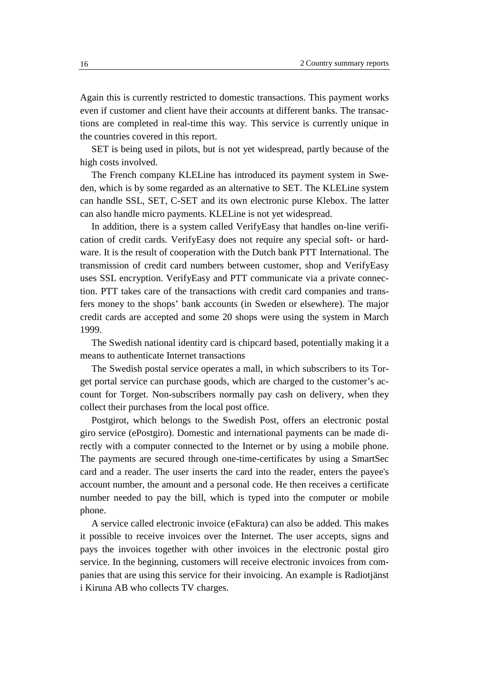Again this is currently restricted to domestic transactions. This payment works even if customer and client have their accounts at different banks. The transactions are completed in real-time this way. This service is currently unique in the countries covered in this report.

SET is being used in pilots, but is not yet widespread, partly because of the high costs involved.

The French company KLELine has introduced its payment system in Sweden, which is by some regarded as an alternative to SET. The KLELine system can handle SSL, SET, C-SET and its own electronic purse Klebox. The latter can also handle micro payments. KLELine is not yet widespread.

In addition, there is a system called VerifyEasy that handles on-line verification of credit cards. VerifyEasy does not require any special soft- or hardware. It is the result of cooperation with the Dutch bank PTT International. The transmission of credit card numbers between customer, shop and VerifyEasy uses SSL encryption. VerifyEasy and PTT communicate via a private connection. PTT takes care of the transactions with credit card companies and transfers money to the shops' bank accounts (in Sweden or elsewhere). The major credit cards are accepted and some 20 shops were using the system in March 1999.

The Swedish national identity card is chipcard based, potentially making it a means to authenticate Internet transactions

The Swedish postal service operates a mall, in which subscribers to its Torget portal service can purchase goods, which are charged to the customer's account for Torget. Non-subscribers normally pay cash on delivery, when they collect their purchases from the local post office.

Postgirot, which belongs to the Swedish Post, offers an electronic postal giro service (ePostgiro). Domestic and international payments can be made directly with a computer connected to the Internet or by using a mobile phone. The payments are secured through one-time-certificates by using a SmartSec card and a reader. The user inserts the card into the reader, enters the payee's account number, the amount and a personal code. He then receives a certificate number needed to pay the bill, which is typed into the computer or mobile phone.

A service called electronic invoice (eFaktura) can also be added. This makes it possible to receive invoices over the Internet. The user accepts, signs and pays the invoices together with other invoices in the electronic postal giro service. In the beginning, customers will receive electronic invoices from companies that are using this service for their invoicing. An example is Radiotjänst i Kiruna AB who collects TV charges.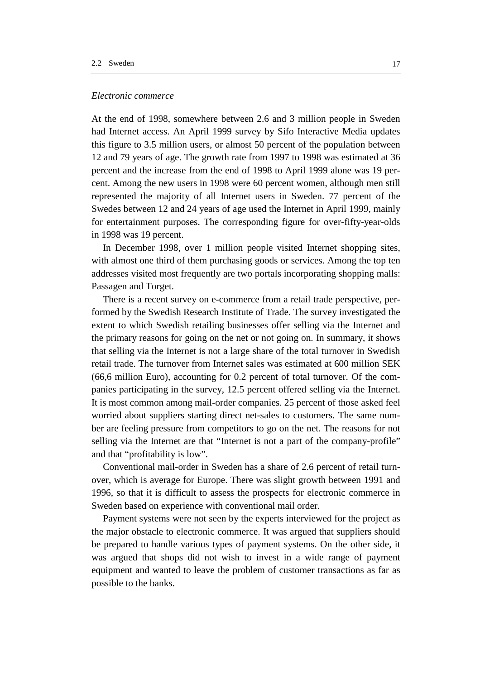#### *Electronic commerce*

At the end of 1998, somewhere between 2.6 and 3 million people in Sweden had Internet access. An April 1999 survey by Sifo Interactive Media updates this figure to 3.5 million users, or almost 50 percent of the population between 12 and 79 years of age. The growth rate from 1997 to 1998 was estimated at 36 percent and the increase from the end of 1998 to April 1999 alone was 19 percent. Among the new users in 1998 were 60 percent women, although men still represented the majority of all Internet users in Sweden. 77 percent of the Swedes between 12 and 24 years of age used the Internet in April 1999, mainly for entertainment purposes. The corresponding figure for over-fifty-year-olds in 1998 was 19 percent.

In December 1998, over 1 million people visited Internet shopping sites, with almost one third of them purchasing goods or services. Among the top ten addresses visited most frequently are two portals incorporating shopping malls: Passagen and Torget.

There is a recent survey on e-commerce from a retail trade perspective, performed by the Swedish Research Institute of Trade. The survey investigated the extent to which Swedish retailing businesses offer selling via the Internet and the primary reasons for going on the net or not going on. In summary, it shows that selling via the Internet is not a large share of the total turnover in Swedish retail trade. The turnover from Internet sales was estimated at 600 million SEK (66,6 million Euro), accounting for 0.2 percent of total turnover. Of the companies participating in the survey, 12.5 percent offered selling via the Internet. It is most common among mail-order companies. 25 percent of those asked feel worried about suppliers starting direct net-sales to customers. The same number are feeling pressure from competitors to go on the net. The reasons for not selling via the Internet are that "Internet is not a part of the company-profile" and that "profitability is low".

Conventional mail-order in Sweden has a share of 2.6 percent of retail turnover, which is average for Europe. There was slight growth between 1991 and 1996, so that it is difficult to assess the prospects for electronic commerce in Sweden based on experience with conventional mail order.

Payment systems were not seen by the experts interviewed for the project as the major obstacle to electronic commerce. It was argued that suppliers should be prepared to handle various types of payment systems. On the other side, it was argued that shops did not wish to invest in a wide range of payment equipment and wanted to leave the problem of customer transactions as far as possible to the banks.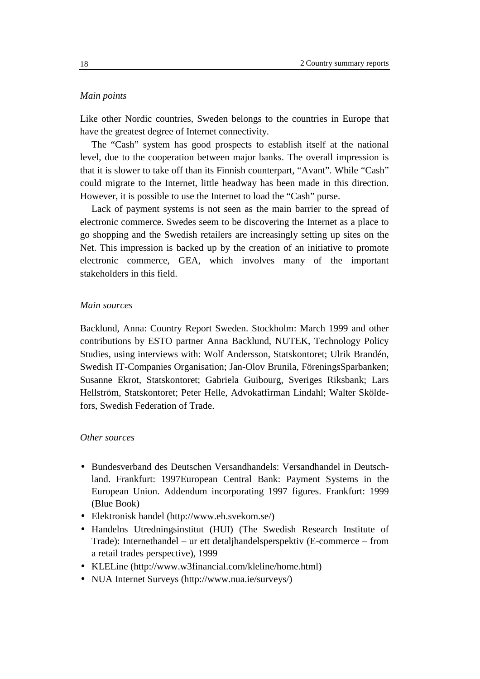#### *Main points*

Like other Nordic countries, Sweden belongs to the countries in Europe that have the greatest degree of Internet connectivity.

The "Cash" system has good prospects to establish itself at the national level, due to the cooperation between major banks. The overall impression is that it is slower to take off than its Finnish counterpart, "Avant". While "Cash" could migrate to the Internet, little headway has been made in this direction. However, it is possible to use the Internet to load the "Cash" purse.

Lack of payment systems is not seen as the main barrier to the spread of electronic commerce. Swedes seem to be discovering the Internet as a place to go shopping and the Swedish retailers are increasingly setting up sites on the Net. This impression is backed up by the creation of an initiative to promote electronic commerce, GEA, which involves many of the important stakeholders in this field.

#### *Main sources*

Backlund, Anna: Country Report Sweden. Stockholm: March 1999 and other contributions by ESTO partner Anna Backlund, NUTEK, Technology Policy Studies, using interviews with: Wolf Andersson, Statskontoret; Ulrik Brandén, Swedish IT-Companies Organisation; Jan-Olov Brunila, FöreningsSparbanken; Susanne Ekrot, Statskontoret; Gabriela Guibourg, Sveriges Riksbank; Lars Hellström, Statskontoret; Peter Helle, Advokatfirman Lindahl; Walter Sköldefors, Swedish Federation of Trade.

#### *Other sources*

- Bundesverband des Deutschen Versandhandels: Versandhandel in Deutschland. Frankfurt: 1997European Central Bank: Payment Systems in the European Union. Addendum incorporating 1997 figures. Frankfurt: 1999 (Blue Book)
- Elektronisk handel (http://www.eh.svekom.se/)
- Handelns Utredningsinstitut (HUI) (The Swedish Research Institute of Trade): Internethandel – ur ett detaljhandelsperspektiv (E-commerce – from a retail trades perspective), 1999
- KLELine (http://www.w3financial.com/kleline/home.html)
- NUA Internet Surveys (http://www.nua.ie/surveys/)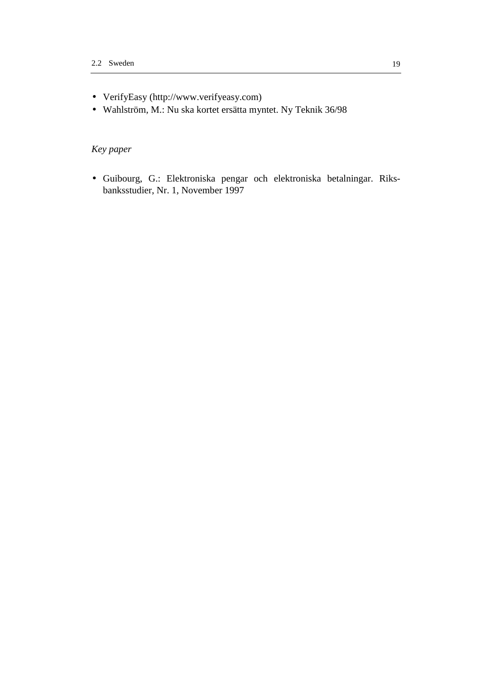- VerifyEasy (http://www.verifyeasy.com)
- Wahlström, M.: Nu ska kortet ersätta myntet. Ny Teknik 36/98

### *Key paper*

• Guibourg, G.: Elektroniska pengar och elektroniska betalningar. Riksbanksstudier, Nr. 1, November 1997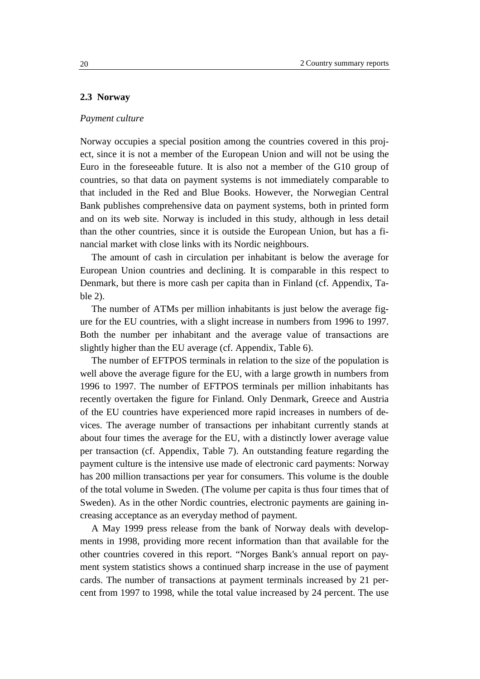#### <span id="page-33-0"></span>**2.3 Norway**

#### *Payment culture*

Norway occupies a special position among the countries covered in this project, since it is not a member of the European Union and will not be using the Euro in the foreseeable future. It is also not a member of the G10 group of countries, so that data on payment systems is not immediately comparable to that included in the Red and Blue Books. However, the Norwegian Central Bank publishes comprehensive data on payment systems, both in printed form and on its web site. Norway is included in this study, although in less detail than the other countries, since it is outside the European Union, but has a financial market with close links with its Nordic neighbours.

The amount of cash in circulation per inhabitant is below the average for European Union countries and declining. It is comparable in this respect to Denmark, but there is more cash per capita than in Finland (cf. Appendix, Table 2).

The number of ATMs per million inhabitants is just below the average figure for the EU countries, with a slight increase in numbers from 1996 to 1997. Both the number per inhabitant and the average value of transactions are slightly higher than the EU average (cf. Appendix, Table 6).

The number of EFTPOS terminals in relation to the size of the population is well above the average figure for the EU, with a large growth in numbers from 1996 to 1997. The number of EFTPOS terminals per million inhabitants has recently overtaken the figure for Finland. Only Denmark, Greece and Austria of the EU countries have experienced more rapid increases in numbers of devices. The average number of transactions per inhabitant currently stands at about four times the average for the EU, with a distinctly lower average value per transaction (cf. Appendix, Table 7). An outstanding feature regarding the payment culture is the intensive use made of electronic card payments: Norway has 200 million transactions per year for consumers. This volume is the double of the total volume in Sweden. (The volume per capita is thus four times that of Sweden). As in the other Nordic countries, electronic payments are gaining increasing acceptance as an everyday method of payment.

A May 1999 press release from the bank of Norway deals with developments in 1998, providing more recent information than that available for the other countries covered in this report. "Norges Bank's annual report on payment system statistics shows a continued sharp increase in the use of payment cards. The number of transactions at payment terminals increased by 21 percent from 1997 to 1998, while the total value increased by 24 percent. The use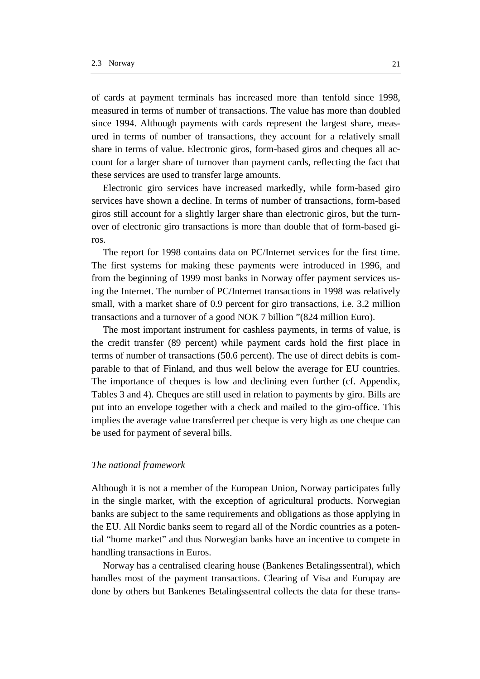of cards at payment terminals has increased more than tenfold since 1998, measured in terms of number of transactions. The value has more than doubled since 1994. Although payments with cards represent the largest share, measured in terms of number of transactions, they account for a relatively small share in terms of value. Electronic giros, form-based giros and cheques all account for a larger share of turnover than payment cards, reflecting the fact that these services are used to transfer large amounts.

Electronic giro services have increased markedly, while form-based giro services have shown a decline. In terms of number of transactions, form-based giros still account for a slightly larger share than electronic giros, but the turnover of electronic giro transactions is more than double that of form-based giros.

The report for 1998 contains data on PC/Internet services for the first time. The first systems for making these payments were introduced in 1996, and from the beginning of 1999 most banks in Norway offer payment services using the Internet. The number of PC/Internet transactions in 1998 was relatively small, with a market share of 0.9 percent for giro transactions, i.e. 3.2 million transactions and a turnover of a good NOK 7 billion "(824 million Euro).

The most important instrument for cashless payments, in terms of value, is the credit transfer (89 percent) while payment cards hold the first place in terms of number of transactions (50.6 percent). The use of direct debits is comparable to that of Finland, and thus well below the average for EU countries. The importance of cheques is low and declining even further (cf. Appendix, Tables 3 and 4). Cheques are still used in relation to payments by giro. Bills are put into an envelope together with a check and mailed to the giro-office. This implies the average value transferred per cheque is very high as one cheque can be used for payment of several bills.

#### *The national framework*

Although it is not a member of the European Union, Norway participates fully in the single market, with the exception of agricultural products. Norwegian banks are subject to the same requirements and obligations as those applying in the EU. All Nordic banks seem to regard all of the Nordic countries as a potential "home market" and thus Norwegian banks have an incentive to compete in handling transactions in Euros.

Norway has a centralised clearing house (Bankenes Betalingssentral), which handles most of the payment transactions. Clearing of Visa and Europay are done by others but Bankenes Betalingssentral collects the data for these trans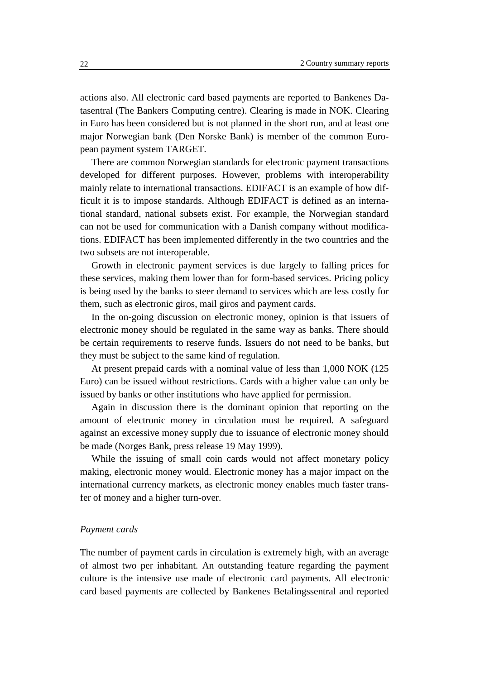actions also. All electronic card based payments are reported to Bankenes Datasentral (The Bankers Computing centre). Clearing is made in NOK. Clearing in Euro has been considered but is not planned in the short run, and at least one major Norwegian bank (Den Norske Bank) is member of the common European payment system TARGET.

There are common Norwegian standards for electronic payment transactions developed for different purposes. However, problems with interoperability mainly relate to international transactions. EDIFACT is an example of how difficult it is to impose standards. Although EDIFACT is defined as an international standard, national subsets exist. For example, the Norwegian standard can not be used for communication with a Danish company without modifications. EDIFACT has been implemented differently in the two countries and the two subsets are not interoperable.

Growth in electronic payment services is due largely to falling prices for these services, making them lower than for form-based services. Pricing policy is being used by the banks to steer demand to services which are less costly for them, such as electronic giros, mail giros and payment cards.

In the on-going discussion on electronic money, opinion is that issuers of electronic money should be regulated in the same way as banks. There should be certain requirements to reserve funds. Issuers do not need to be banks, but they must be subject to the same kind of regulation.

At present prepaid cards with a nominal value of less than 1,000 NOK (125 Euro) can be issued without restrictions. Cards with a higher value can only be issued by banks or other institutions who have applied for permission.

Again in discussion there is the dominant opinion that reporting on the amount of electronic money in circulation must be required. A safeguard against an excessive money supply due to issuance of electronic money should be made (Norges Bank, press release 19 May 1999).

While the issuing of small coin cards would not affect monetary policy making, electronic money would. Electronic money has a major impact on the international currency markets, as electronic money enables much faster transfer of money and a higher turn-over.

#### *Payment cards*

The number of payment cards in circulation is extremely high, with an average of almost two per inhabitant. An outstanding feature regarding the payment culture is the intensive use made of electronic card payments. All electronic card based payments are collected by Bankenes Betalingssentral and reported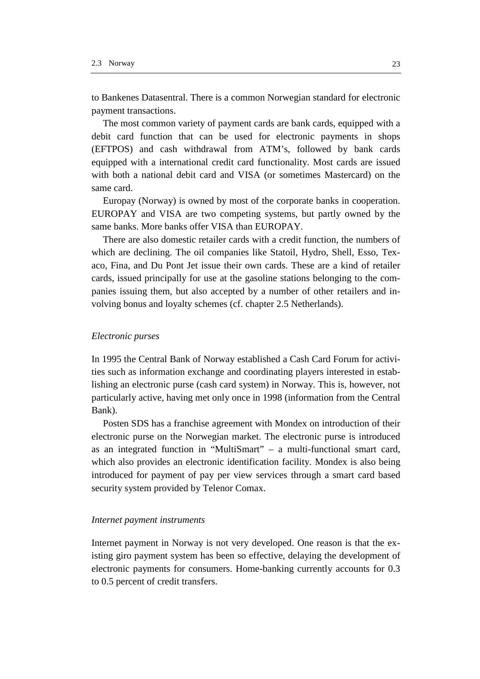to Bankenes Datasentral. There is a common Norwegian standard for electronic payment transactions.

The most common variety of payment cards are bank cards, equipped with a debit card function that can be used for electronic payments in shops (EFTPOS) and cash withdrawal from ATM's, followed by bank cards equipped with a international credit card functionality. Most cards are issued with both a national debit card and VISA (or sometimes Mastercard) on the same card.

Europay (Norway) is owned by most of the corporate banks in cooperation. EUROPAY and VISA are two competing systems, but partly owned by the same banks. More banks offer VISA than EUROPAY.

There are also domestic retailer cards with a credit function, the numbers of which are declining. The oil companies like Statoil, Hydro, Shell, Esso, Texaco, Fina, and Du Pont Jet issue their own cards. These are a kind of retailer cards, issued principally for use at the gasoline stations belonging to the companies issuing them, but also accepted by a number of other retailers and involving bonus and loyalty schemes (cf. chapter 2.5 Netherlands).

#### *Electronic purses*

In 1995 the Central Bank of Norway established a Cash Card Forum for activities such as information exchange and coordinating players interested in establishing an electronic purse (cash card system) in Norway. This is, however, not particularly active, having met only once in 1998 (information from the Central Bank).

Posten SDS has a franchise agreement with Mondex on introduction of their electronic purse on the Norwegian market. The electronic purse is introduced as an integrated function in "MultiSmart" – a multi-functional smart card, which also provides an electronic identification facility. Mondex is also being introduced for payment of pay per view services through a smart card based security system provided by Telenor Comax.

#### *Internet payment instruments*

Internet payment in Norway is not very developed. One reason is that the existing giro payment system has been so effective, delaying the development of electronic payments for consumers. Home-banking currently accounts for 0.3 to 0.5 percent of credit transfers.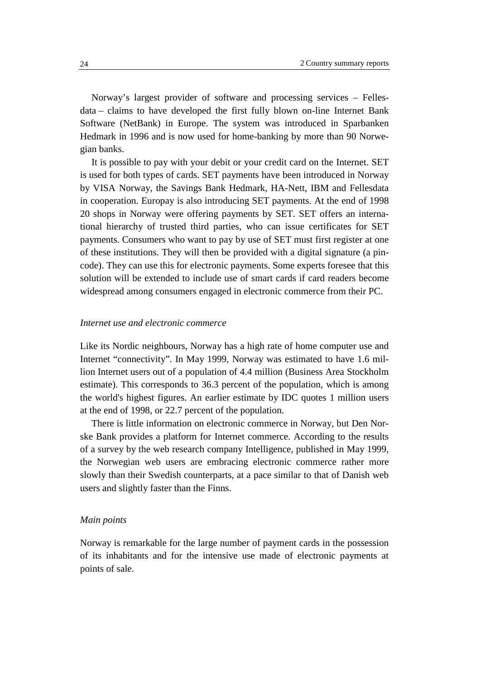Norway's largest provider of software and processing services – Fellesdata – claims to have developed the first fully blown on-line Internet Bank Software (NetBank) in Europe. The system was introduced in Sparbanken Hedmark in 1996 and is now used for home-banking by more than 90 Norwegian banks.

It is possible to pay with your debit or your credit card on the Internet. SET is used for both types of cards. SET payments have been introduced in Norway by VISA Norway, the Savings Bank Hedmark, HA-Nett, IBM and Fellesdata in cooperation. Europay is also introducing SET payments. At the end of 1998 20 shops in Norway were offering payments by SET. SET offers an international hierarchy of trusted third parties, who can issue certificates for SET payments. Consumers who want to pay by use of SET must first register at one of these institutions. They will then be provided with a digital signature (a pincode). They can use this for electronic payments. Some experts foresee that this solution will be extended to include use of smart cards if card readers become widespread among consumers engaged in electronic commerce from their PC.

# *Internet use and electronic commerce*

Like its Nordic neighbours, Norway has a high rate of home computer use and Internet "connectivity". In May 1999, Norway was estimated to have 1.6 million Internet users out of a population of 4.4 million (Business Area Stockholm estimate). This corresponds to 36.3 percent of the population, which is among the world's highest figures. An earlier estimate by IDC quotes 1 million users at the end of 1998, or 22.7 percent of the population.

There is little information on electronic commerce in Norway, but Den Norske Bank provides a platform for Internet commerce. According to the results of a survey by the web research company Intelligence, published in May 1999, the Norwegian web users are embracing electronic commerce rather more slowly than their Swedish counterparts, at a pace similar to that of Danish web users and slightly faster than the Finns.

### *Main points*

Norway is remarkable for the large number of payment cards in the possession of its inhabitants and for the intensive use made of electronic payments at points of sale.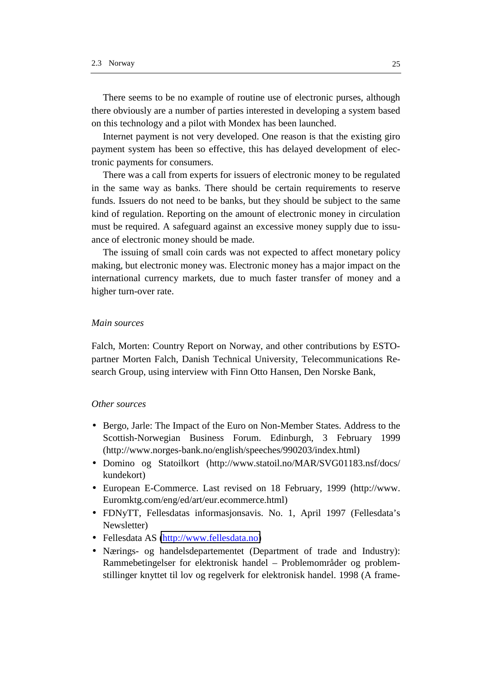There seems to be no example of routine use of electronic purses, although there obviously are a number of parties interested in developing a system based on this technology and a pilot with Mondex has been launched.

Internet payment is not very developed. One reason is that the existing giro payment system has been so effective, this has delayed development of electronic payments for consumers.

There was a call from experts for issuers of electronic money to be regulated in the same way as banks. There should be certain requirements to reserve funds. Issuers do not need to be banks, but they should be subject to the same kind of regulation. Reporting on the amount of electronic money in circulation must be required. A safeguard against an excessive money supply due to issuance of electronic money should be made.

The issuing of small coin cards was not expected to affect monetary policy making, but electronic money was. Electronic money has a major impact on the international currency markets, due to much faster transfer of money and a higher turn-over rate.

#### *Main sources*

Falch, Morten: Country Report on Norway, and other contributions by ESTOpartner Morten Falch, Danish Technical University, Telecommunications Research Group, using interview with Finn Otto Hansen, Den Norske Bank,

# *Other sources*

- Bergo, Jarle: The Impact of the Euro on Non-Member States. Address to the Scottish-Norwegian Business Forum. Edinburgh, 3 February 1999 (http://www.norges-bank.no/english/speeches/990203/index.html)
- Domino og Statoilkort (http://www.statoil.no/MAR/SVG01183.nsf/docs/ kundekort)
- European E-Commerce. Last revised on 18 February, 1999 (http://www. Euromktg.com/eng/ed/art/eur.ecommerce.html)
- FDNyTT, Fellesdatas informasjonsavis. No. 1, April 1997 (Fellesdata's Newsletter)
- Fellesdata AS [\(http://www.fellesdata.no\)](http://www.fellesdata.no/)
- Nærings- og handelsdepartementet (Department of trade and Industry): Rammebetingelser for elektronisk handel – Problemområder og problemstillinger knyttet til lov og regelverk for elektronisk handel. 1998 (A frame-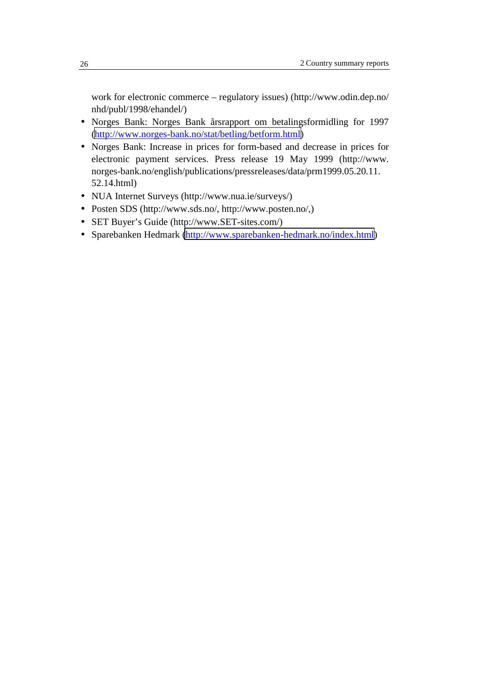work for electronic commerce – regulatory issues) (http://www.odin.dep.no/ nhd/publ/1998/ehandel/)

- Norges Bank: Norges Bank årsrapport om betalingsformidling for 1997 [\(http://www.norges-bank.no/stat/betling/betform.html\)](http://www.norges-bank.no/stat/betling/betform.html)
- Norges Bank: Increase in prices for form-based and decrease in prices for electronic payment services. Press release 19 May 1999 (http://www. norges-bank.no/english/publications/pressreleases/data/prm1999.05.20.11. 52.14.html)
- NUA Internet Surveys (http://www.nua.ie/surveys/)
- Posten SDS (http://www.sds.no/, http://www.posten.no/,)
- SET Buyer's Guide (http://www.SET-sites.com/)
- Sparebanken Hedmark [\(http://www.sparebanken-hedmark.no/index.html\)](http://www.sparebanken-hedmark.no/index.html)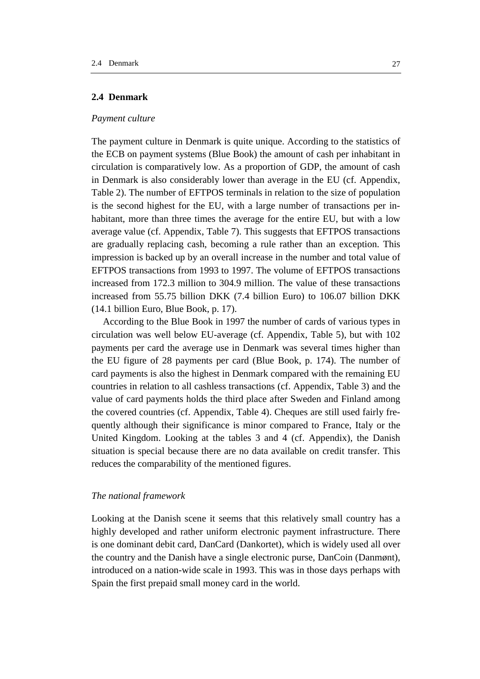### **2.4 Denmark**

# *Payment culture*

The payment culture in Denmark is quite unique. According to the statistics of the ECB on payment systems (Blue Book) the amount of cash per inhabitant in circulation is comparatively low. As a proportion of GDP, the amount of cash in Denmark is also considerably lower than average in the EU (cf. Appendix, Table 2). The number of EFTPOS terminals in relation to the size of population is the second highest for the EU, with a large number of transactions per inhabitant, more than three times the average for the entire EU, but with a low average value (cf. Appendix, Table 7). This suggests that EFTPOS transactions are gradually replacing cash, becoming a rule rather than an exception. This impression is backed up by an overall increase in the number and total value of EFTPOS transactions from 1993 to 1997. The volume of EFTPOS transactions increased from 172.3 million to 304.9 million. The value of these transactions increased from 55.75 billion DKK (7.4 billion Euro) to 106.07 billion DKK (14.1 billion Euro, Blue Book, p. 17).

According to the Blue Book in 1997 the number of cards of various types in circulation was well below EU-average (cf. Appendix, Table 5), but with 102 payments per card the average use in Denmark was several times higher than the EU figure of 28 payments per card (Blue Book, p. 174). The number of card payments is also the highest in Denmark compared with the remaining EU countries in relation to all cashless transactions (cf. Appendix, Table 3) and the value of card payments holds the third place after Sweden and Finland among the covered countries (cf. Appendix, Table 4). Cheques are still used fairly frequently although their significance is minor compared to France, Italy or the United Kingdom. Looking at the tables 3 and 4 (cf. Appendix), the Danish situation is special because there are no data available on credit transfer. This reduces the comparability of the mentioned figures.

### *The national framework*

Looking at the Danish scene it seems that this relatively small country has a highly developed and rather uniform electronic payment infrastructure. There is one dominant debit card, DanCard (Dankortet), which is widely used all over the country and the Danish have a single electronic purse, DanCoin (Danmønt), introduced on a nation-wide scale in 1993. This was in those days perhaps with Spain the first prepaid small money card in the world.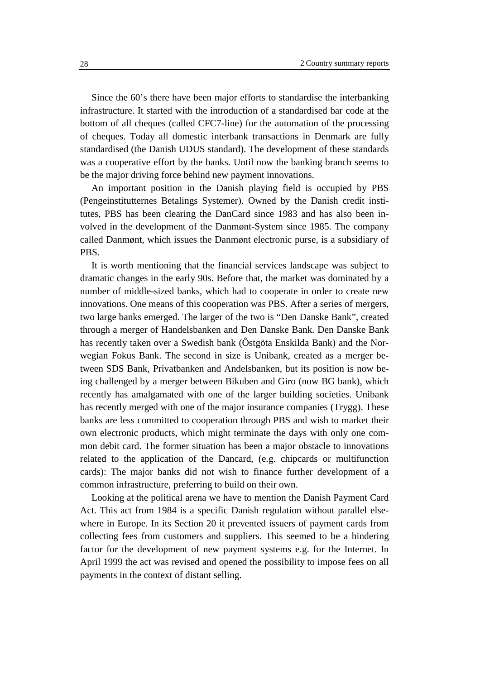Since the 60's there have been major efforts to standardise the interbanking infrastructure. It started with the introduction of a standardised bar code at the bottom of all cheques (called CFC7-line) for the automation of the processing of cheques. Today all domestic interbank transactions in Denmark are fully standardised (the Danish UDUS standard). The development of these standards was a cooperative effort by the banks. Until now the banking branch seems to be the major driving force behind new payment innovations.

An important position in the Danish playing field is occupied by PBS (Pengeinstitutternes Betalings Systemer). Owned by the Danish credit institutes, PBS has been clearing the DanCard since 1983 and has also been involved in the development of the Danmønt-System since 1985. The company called Danmønt, which issues the Danmønt electronic purse, is a subsidiary of PBS.

It is worth mentioning that the financial services landscape was subject to dramatic changes in the early 90s. Before that, the market was dominated by a number of middle-sized banks, which had to cooperate in order to create new innovations. One means of this cooperation was PBS. After a series of mergers, two large banks emerged. The larger of the two is "Den Danske Bank", created through a merger of Handelsbanken and Den Danske Bank. Den Danske Bank has recently taken over a Swedish bank (Ôstgöta Enskilda Bank) and the Norwegian Fokus Bank. The second in size is Unibank, created as a merger between SDS Bank, Privatbanken and Andelsbanken, but its position is now being challenged by a merger between Bikuben and Giro (now BG bank), which recently has amalgamated with one of the larger building societies. Unibank has recently merged with one of the major insurance companies (Trygg). These banks are less committed to cooperation through PBS and wish to market their own electronic products, which might terminate the days with only one common debit card. The former situation has been a major obstacle to innovations related to the application of the Dancard, (e.g. chipcards or multifunction cards): The major banks did not wish to finance further development of a common infrastructure, preferring to build on their own.

Looking at the political arena we have to mention the Danish Payment Card Act. This act from 1984 is a specific Danish regulation without parallel elsewhere in Europe. In its Section 20 it prevented issuers of payment cards from collecting fees from customers and suppliers. This seemed to be a hindering factor for the development of new payment systems e.g. for the Internet. In April 1999 the act was revised and opened the possibility to impose fees on all payments in the context of distant selling.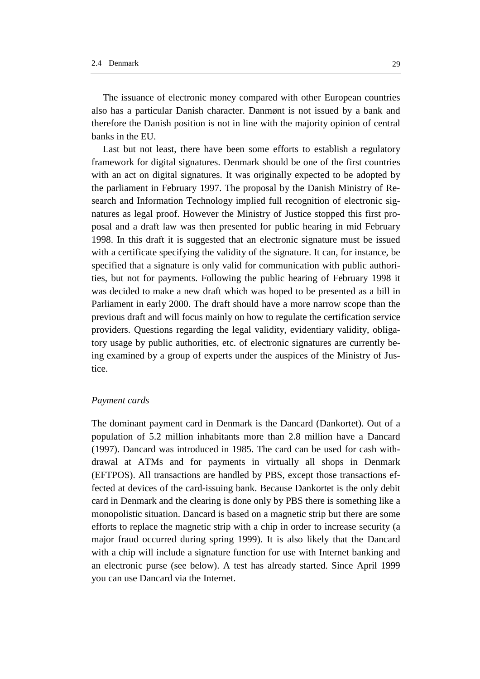The issuance of electronic money compared with other European countries also has a particular Danish character. Danmønt is not issued by a bank and therefore the Danish position is not in line with the majority opinion of central banks in the EU.

Last but not least, there have been some efforts to establish a regulatory framework for digital signatures. Denmark should be one of the first countries with an act on digital signatures. It was originally expected to be adopted by the parliament in February 1997. The proposal by the Danish Ministry of Research and Information Technology implied full recognition of electronic signatures as legal proof. However the Ministry of Justice stopped this first proposal and a draft law was then presented for public hearing in mid February 1998. In this draft it is suggested that an electronic signature must be issued with a certificate specifying the validity of the signature. It can, for instance, be specified that a signature is only valid for communication with public authorities, but not for payments. Following the public hearing of February 1998 it was decided to make a new draft which was hoped to be presented as a bill in Parliament in early 2000. The draft should have a more narrow scope than the previous draft and will focus mainly on how to regulate the certification service providers. Questions regarding the legal validity, evidentiary validity, obligatory usage by public authorities, etc. of electronic signatures are currently being examined by a group of experts under the auspices of the Ministry of Justice.

# *Payment cards*

The dominant payment card in Denmark is the Dancard (Dankortet). Out of a population of 5.2 million inhabitants more than 2.8 million have a Dancard (1997). Dancard was introduced in 1985. The card can be used for cash withdrawal at ATMs and for payments in virtually all shops in Denmark (EFTPOS). All transactions are handled by PBS, except those transactions effected at devices of the card-issuing bank. Because Dankortet is the only debit card in Denmark and the clearing is done only by PBS there is something like a monopolistic situation. Dancard is based on a magnetic strip but there are some efforts to replace the magnetic strip with a chip in order to increase security (a major fraud occurred during spring 1999). It is also likely that the Dancard with a chip will include a signature function for use with Internet banking and an electronic purse (see below). A test has already started. Since April 1999 you can use Dancard via the Internet.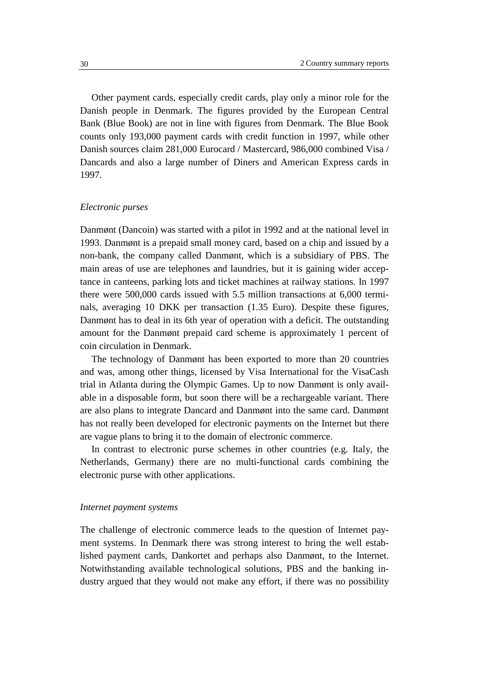Other payment cards, especially credit cards, play only a minor role for the Danish people in Denmark. The figures provided by the European Central Bank (Blue Book) are not in line with figures from Denmark. The Blue Book counts only 193,000 payment cards with credit function in 1997, while other Danish sources claim 281,000 Eurocard / Mastercard, 986,000 combined Visa / Dancards and also a large number of Diners and American Express cards in 1997.

# *Electronic purses*

Danmønt (Dancoin) was started with a pilot in 1992 and at the national level in 1993. Danmønt is a prepaid small money card, based on a chip and issued by a non-bank, the company called Danmønt, which is a subsidiary of PBS. The main areas of use are telephones and laundries, but it is gaining wider acceptance in canteens, parking lots and ticket machines at railway stations. In 1997 there were 500,000 cards issued with 5.5 million transactions at 6,000 terminals, averaging 10 DKK per transaction (1.35 Euro). Despite these figures, Danmønt has to deal in its 6th year of operation with a deficit. The outstanding amount for the Danmønt prepaid card scheme is approximately 1 percent of coin circulation in Denmark.

The technology of Danmønt has been exported to more than 20 countries and was, among other things, licensed by Visa International for the VisaCash trial in Atlanta during the Olympic Games. Up to now Danmønt is only available in a disposable form, but soon there will be a rechargeable variant. There are also plans to integrate Dancard and Danmønt into the same card. Danmønt has not really been developed for electronic payments on the Internet but there are vague plans to bring it to the domain of electronic commerce.

In contrast to electronic purse schemes in other countries (e.g. Italy, the Netherlands, Germany) there are no multi-functional cards combining the electronic purse with other applications.

### *Internet payment systems*

The challenge of electronic commerce leads to the question of Internet payment systems. In Denmark there was strong interest to bring the well established payment cards, Dankortet and perhaps also Danmønt, to the Internet. Notwithstanding available technological solutions, PBS and the banking industry argued that they would not make any effort, if there was no possibility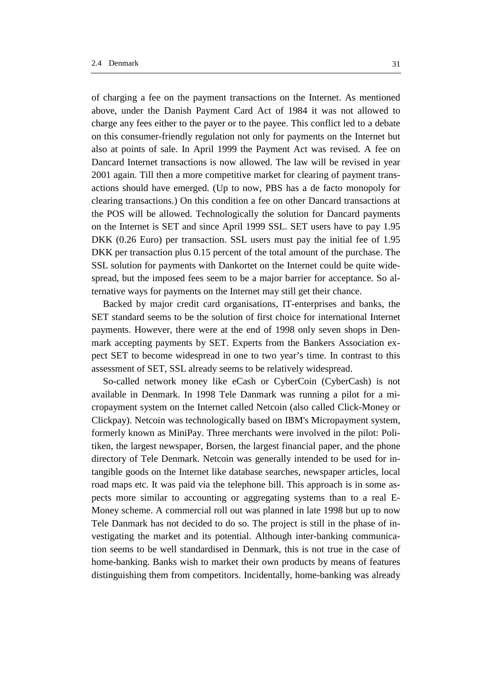of charging a fee on the payment transactions on the Internet. As mentioned above, under the Danish Payment Card Act of 1984 it was not allowed to charge any fees either to the payer or to the payee. This conflict led to a debate on this consumer-friendly regulation not only for payments on the Internet but also at points of sale. In April 1999 the Payment Act was revised. A fee on Dancard Internet transactions is now allowed. The law will be revised in year 2001 again. Till then a more competitive market for clearing of payment transactions should have emerged. (Up to now, PBS has a de facto monopoly for clearing transactions.) On this condition a fee on other Dancard transactions at the POS will be allowed. Technologically the solution for Dancard payments on the Internet is SET and since April 1999 SSL. SET users have to pay 1.95 DKK (0.26 Euro) per transaction. SSL users must pay the initial fee of 1.95 DKK per transaction plus 0.15 percent of the total amount of the purchase. The SSL solution for payments with Dankortet on the Internet could be quite widespread, but the imposed fees seem to be a major barrier for acceptance. So alternative ways for payments on the Internet may still get their chance.

Backed by major credit card organisations, IT-enterprises and banks, the SET standard seems to be the solution of first choice for international Internet payments. However, there were at the end of 1998 only seven shops in Denmark accepting payments by SET. Experts from the Bankers Association expect SET to become widespread in one to two year's time. In contrast to this assessment of SET, SSL already seems to be relatively widespread.

So-called network money like eCash or CyberCoin (CyberCash) is not available in Denmark. In 1998 Tele Danmark was running a pilot for a micropayment system on the Internet called Netcoin (also called Click-Money or Clickpay). Netcoin was technologically based on IBM's Micropayment system, formerly known as MiniPay. Three merchants were involved in the pilot: Politiken, the largest newspaper, Borsen, the largest financial paper, and the phone directory of Tele Denmark. Netcoin was generally intended to be used for intangible goods on the Internet like database searches, newspaper articles, local road maps etc. It was paid via the telephone bill. This approach is in some aspects more similar to accounting or aggregating systems than to a real E-Money scheme. A commercial roll out was planned in late 1998 but up to now Tele Danmark has not decided to do so. The project is still in the phase of investigating the market and its potential. Although inter-banking communication seems to be well standardised in Denmark, this is not true in the case of home-banking. Banks wish to market their own products by means of features distinguishing them from competitors. Incidentally, home-banking was already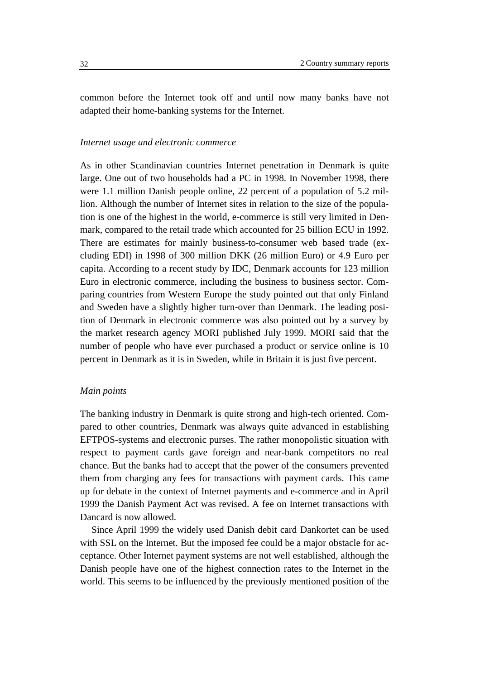common before the Internet took off and until now many banks have not adapted their home-banking systems for the Internet.

### *Internet usage and electronic commerce*

As in other Scandinavian countries Internet penetration in Denmark is quite large. One out of two households had a PC in 1998. In November 1998, there were 1.1 million Danish people online, 22 percent of a population of 5.2 million. Although the number of Internet sites in relation to the size of the population is one of the highest in the world, e-commerce is still very limited in Denmark, compared to the retail trade which accounted for 25 billion ECU in 1992. There are estimates for mainly business-to-consumer web based trade (excluding EDI) in 1998 of 300 million DKK (26 million Euro) or 4.9 Euro per capita. According to a recent study by IDC, Denmark accounts for 123 million Euro in electronic commerce, including the business to business sector. Comparing countries from Western Europe the study pointed out that only Finland and Sweden have a slightly higher turn-over than Denmark. The leading position of Denmark in electronic commerce was also pointed out by a survey by the market research agency MORI published July 1999. MORI said that the number of people who have ever purchased a product or service online is 10 percent in Denmark as it is in Sweden, while in Britain it is just five percent.

# *Main points*

The banking industry in Denmark is quite strong and high-tech oriented. Compared to other countries, Denmark was always quite advanced in establishing EFTPOS-systems and electronic purses. The rather monopolistic situation with respect to payment cards gave foreign and near-bank competitors no real chance. But the banks had to accept that the power of the consumers prevented them from charging any fees for transactions with payment cards. This came up for debate in the context of Internet payments and e-commerce and in April 1999 the Danish Payment Act was revised. A fee on Internet transactions with Dancard is now allowed.

Since April 1999 the widely used Danish debit card Dankortet can be used with SSL on the Internet. But the imposed fee could be a major obstacle for acceptance. Other Internet payment systems are not well established, although the Danish people have one of the highest connection rates to the Internet in the world. This seems to be influenced by the previously mentioned position of the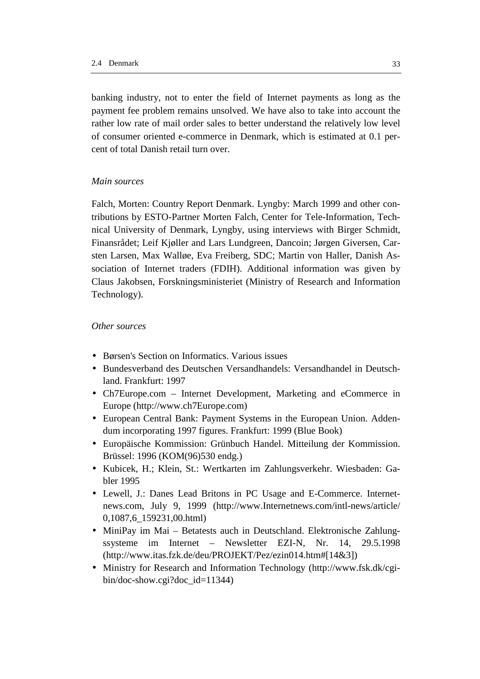banking industry, not to enter the field of Internet payments as long as the payment fee problem remains unsolved. We have also to take into account the rather low rate of mail order sales to better understand the relatively low level of consumer oriented e-commerce in Denmark, which is estimated at 0.1 percent of total Danish retail turn over.

# *Main sources*

Falch, Morten: Country Report Denmark. Lyngby: March 1999 and other contributions by ESTO-Partner Morten Falch, Center for Tele-Information, Technical University of Denmark, Lyngby, using interviews with Birger Schmidt, Finansrådet; Leif Kjøller and Lars Lundgreen, Dancoin; Jørgen Giversen, Carsten Larsen, Max Walløe, Eva Freiberg, SDC; Martin von Haller, Danish Association of Internet traders (FDIH). Additional information was given by Claus Jakobsen, Forskningsministeriet (Ministry of Research and Information Technology).

# *Other sources*

- Børsen's Section on Informatics. Various issues
- Bundesverband des Deutschen Versandhandels: Versandhandel in Deutschland. Frankfurt: 1997
- Ch7Europe.com Internet Development, Marketing and eCommerce in Europe (http://www.ch7Europe.com)
- European Central Bank: Payment Systems in the European Union. Addendum incorporating 1997 figures. Frankfurt: 1999 (Blue Book)
- Europäische Kommission: Grünbuch Handel. Mitteilung der Kommission. Brüssel: 1996 (KOM(96)530 endg.)
- Kubicek, H.; Klein, St.: Wertkarten im Zahlungsverkehr. Wiesbaden: Gabler 1995
- Lewell, J.: Danes Lead Britons in PC Usage and E-Commerce. Internetnews.com, July 9, 1999 (http://www.Internetnews.com/intl-news/article/ 0,1087,6\_159231,00.html)
- MiniPay im Mai Betatests auch in Deutschland. Elektronische Zahlungssysteme im Internet – Newsletter EZI-N, Nr. 14, 29.5.1998 (http://www.itas.fzk.de/deu/PROJEKT/Pez/ezin014.htm#[14&3])
- Ministry for Research and Information Technology (http://www.fsk.dk/cgibin/doc-show.cgi?doc\_id=11344)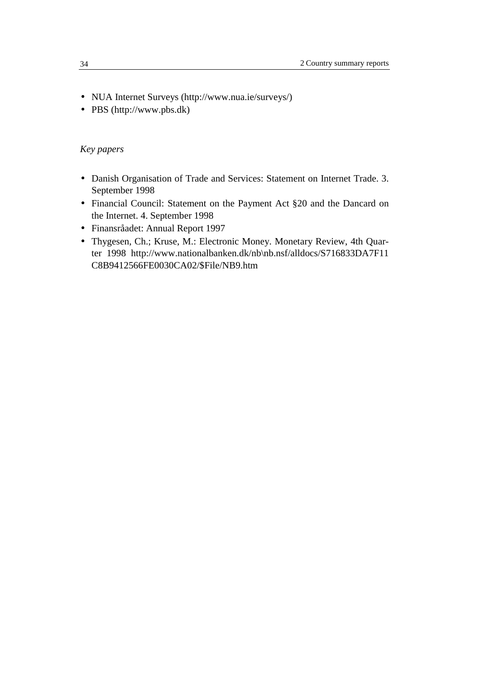- NUA Internet Surveys (http://www.nua.ie/surveys/)
- PBS (http://www.pbs.dk)

# *Key papers*

- Danish Organisation of Trade and Services: Statement on Internet Trade. 3. September 1998
- Financial Council: Statement on the Payment Act §20 and the Dancard on the Internet. 4. September 1998
- Finansråadet: Annual Report 1997
- Thygesen, Ch.; Kruse, M.: Electronic Money. Monetary Review, 4th Quarter 1998 http://www.nationalbanken.dk/nb\nb.nsf/alldocs/S716833DA7F11 C8B9412566FE0030CA02/\$File/NB9.htm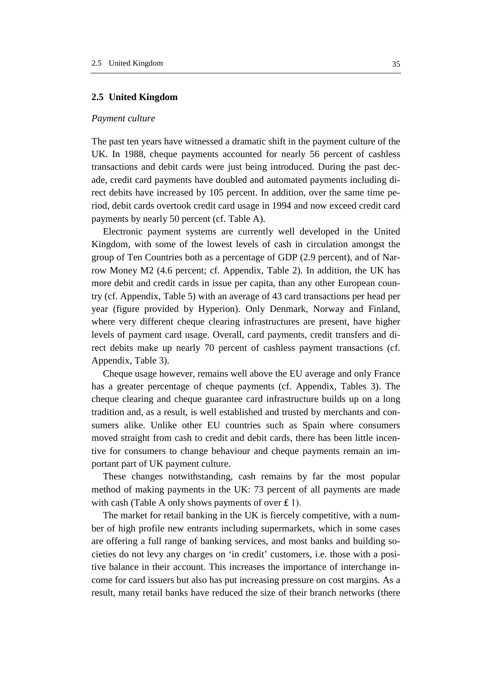#### **2.5 United Kingdom**

# *Payment culture*

The past ten years have witnessed a dramatic shift in the payment culture of the UK. In 1988, cheque payments accounted for nearly 56 percent of cashless transactions and debit cards were just being introduced. During the past decade, credit card payments have doubled and automated payments including direct debits have increased by 105 percent. In addition, over the same time period, debit cards overtook credit card usage in 1994 and now exceed credit card payments by nearly 50 percent (cf. Table A).

Electronic payment systems are currently well developed in the United Kingdom, with some of the lowest levels of cash in circulation amongst the group of Ten Countries both as a percentage of GDP (2.9 percent), and of Narrow Money M2 (4.6 percent; cf. Appendix, Table 2). In addition, the UK has more debit and credit cards in issue per capita, than any other European country (cf. Appendix, Table 5) with an average of 43 card transactions per head per year (figure provided by Hyperion). Only Denmark, Norway and Finland, where very different cheque clearing infrastructures are present, have higher levels of payment card usage. Overall, card payments, credit transfers and direct debits make up nearly 70 percent of cashless payment transactions (cf. Appendix, Table 3).

Cheque usage however, remains well above the EU average and only France has a greater percentage of cheque payments (cf. Appendix, Tables 3). The cheque clearing and cheque guarantee card infrastructure builds up on a long tradition and, as a result, is well established and trusted by merchants and consumers alike. Unlike other EU countries such as Spain where consumers moved straight from cash to credit and debit cards, there has been little incentive for consumers to change behaviour and cheque payments remain an important part of UK payment culture.

These changes notwithstanding, cash remains by far the most popular method of making payments in the UK: 73 percent of all payments are made with cash (Table A only shows payments of over  $\pounds$  1).

The market for retail banking in the UK is fiercely competitive, with a number of high profile new entrants including supermarkets, which in some cases are offering a full range of banking services, and most banks and building societies do not levy any charges on 'in credit' customers, i.e. those with a positive balance in their account. This increases the importance of interchange income for card issuers but also has put increasing pressure on cost margins. As a result, many retail banks have reduced the size of their branch networks (there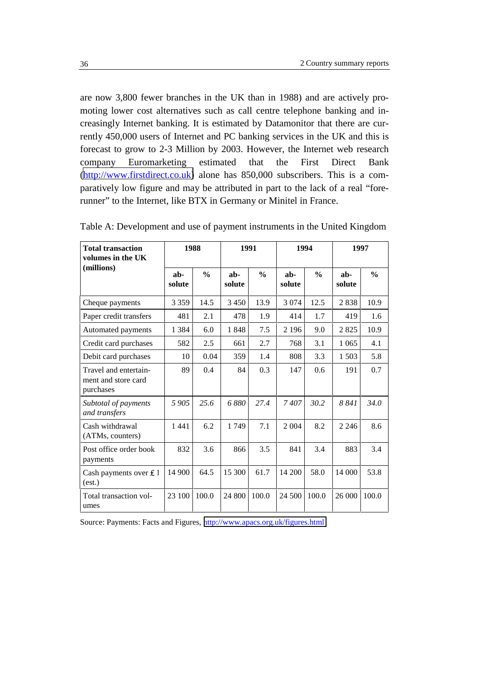are now 3,800 fewer branches in the UK than in 1988) and are actively promoting lower cost alternatives such as call centre telephone banking and increasingly Internet banking. It is estimated by Datamonitor that there are currently 450,000 users of Internet and PC banking services in the UK and this is forecast to grow to 2-3 Million by 2003. However, the Internet web research company Euromarketing estimated that the First Direct Bank [\(http://www.firstdirect.co.uk\)](http://www.firstdirect.co.uk/) alone has 850,000 subscribers. This is a comparatively low figure and may be attributed in part to the lack of a real "forerunner" to the Internet, like BTX in Germany or Minitel in France.

| <b>Total transaction</b><br>volumes in the UK<br>(millions) | 1988          |               | 1991          |               | 1994          |               | 1997          |               |
|-------------------------------------------------------------|---------------|---------------|---------------|---------------|---------------|---------------|---------------|---------------|
|                                                             | ab-<br>solute | $\frac{0}{0}$ | ab-<br>solute | $\frac{0}{0}$ | ab-<br>solute | $\frac{0}{0}$ | ab-<br>solute | $\frac{0}{0}$ |
| Cheque payments                                             | 3 3 5 9       | 14.5          | 3 4 5 0       | 13.9          | 3 0 7 4       | 12.5          | 2838          | 10.9          |
| Paper credit transfers                                      | 481           | 2.1           | 478           | 1.9           | 414           | 1.7           | 419           | 1.6           |
| Automated payments                                          | 1 3 8 4       | 6.0           | 1848          | 7.5           | 2 1 9 6       | 9.0           | 2825          | 10.9          |
| Credit card purchases                                       | 582           | 2.5           | 661           | 2.7           | 768           | 3.1           | 1 0 6 5       | 4.1           |
| Debit card purchases                                        | 10            | 0.04          | 359           | 1.4           | 808           | 3.3           | 1 503         | 5.8           |
| Travel and entertain-<br>ment and store card<br>purchases   | 89            | 0.4           | 84            | 0.3           | 147           | 0.6           | 191           | 0.7           |
| Subtotal of payments<br>and transfers                       | 5 9 0 5       | 25.6          | 6880          | 27.4          | 7407          | 30.2          | 8841          | 34.0          |
| Cash withdrawal<br>(ATMs, counters)                         | 1441          | 6.2           | 1 749         | 7.1           | 2 0 0 4       | 8.2           | 2 2 4 6       | 8.6           |
| Post office order book<br>payments                          | 832           | 3.6           | 866           | 3.5           | 841           | 3.4           | 883           | 3.4           |
| Cash payments over $f$ 1<br>(est.)                          | 14 900        | 64.5          | 15 300        | 61.7          | 14 200        | 58.0          | 14 000        | 53.8          |
| Total transaction vol-<br>umes                              | 23 100        | 100.0         | 24 800        | 100.0         | 24 500        | 100.0         | 26 000        | 100.0         |

Table A: Development and use of payment instruments in the United Kingdom

Source: Payments: Facts and Figures, <http://www.apacs.org.uk/figures.html>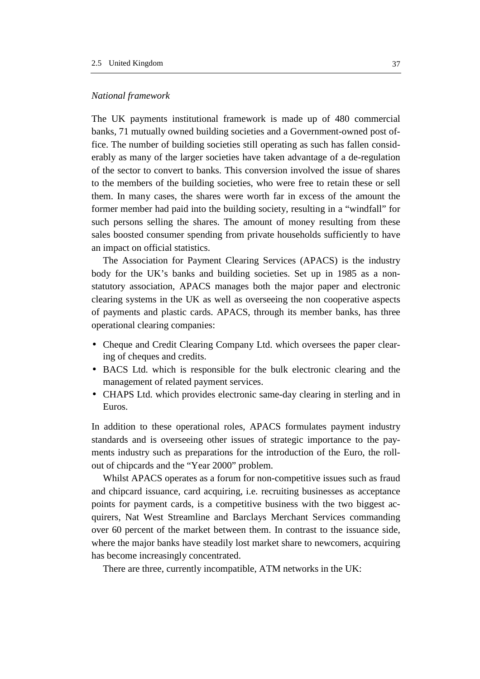# *National framework*

The UK payments institutional framework is made up of 480 commercial banks, 71 mutually owned building societies and a Government-owned post office. The number of building societies still operating as such has fallen considerably as many of the larger societies have taken advantage of a de-regulation of the sector to convert to banks. This conversion involved the issue of shares to the members of the building societies, who were free to retain these or sell them. In many cases, the shares were worth far in excess of the amount the former member had paid into the building society, resulting in a "windfall" for such persons selling the shares. The amount of money resulting from these sales boosted consumer spending from private households sufficiently to have an impact on official statistics.

The Association for Payment Clearing Services (APACS) is the industry body for the UK's banks and building societies. Set up in 1985 as a nonstatutory association, APACS manages both the major paper and electronic clearing systems in the UK as well as overseeing the non cooperative aspects of payments and plastic cards. APACS, through its member banks, has three operational clearing companies:

- Cheque and Credit Clearing Company Ltd. which oversees the paper clearing of cheques and credits.
- BACS Ltd. which is responsible for the bulk electronic clearing and the management of related payment services.
- CHAPS Ltd. which provides electronic same-day clearing in sterling and in Euros.

In addition to these operational roles, APACS formulates payment industry standards and is overseeing other issues of strategic importance to the payments industry such as preparations for the introduction of the Euro, the rollout of chipcards and the "Year 2000" problem.

Whilst APACS operates as a forum for non-competitive issues such as fraud and chipcard issuance, card acquiring, i.e. recruiting businesses as acceptance points for payment cards, is a competitive business with the two biggest acquirers, Nat West Streamline and Barclays Merchant Services commanding over 60 percent of the market between them. In contrast to the issuance side, where the major banks have steadily lost market share to newcomers, acquiring has become increasingly concentrated.

There are three, currently incompatible, ATM networks in the UK: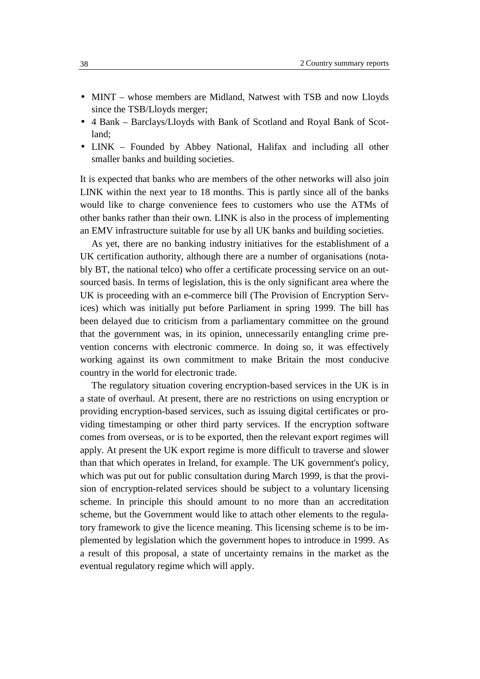- MINT whose members are Midland, Natwest with TSB and now Lloyds since the TSB/Lloyds merger;
- 4 Bank Barclays/Lloyds with Bank of Scotland and Royal Bank of Scotland;
- LINK Founded by Abbey National, Halifax and including all other smaller banks and building societies.

It is expected that banks who are members of the other networks will also join LINK within the next year to 18 months. This is partly since all of the banks would like to charge convenience fees to customers who use the ATMs of other banks rather than their own. LINK is also in the process of implementing an EMV infrastructure suitable for use by all UK banks and building societies.

As yet, there are no banking industry initiatives for the establishment of a UK certification authority, although there are a number of organisations (notably BT, the national telco) who offer a certificate processing service on an outsourced basis. In terms of legislation, this is the only significant area where the UK is proceeding with an e-commerce bill (The Provision of Encryption Services) which was initially put before Parliament in spring 1999. The bill has been delayed due to criticism from a parliamentary committee on the ground that the government was, in its opinion, unnecessarily entangling crime prevention concerns with electronic commerce. In doing so, it was effectively working against its own commitment to make Britain the most conducive country in the world for electronic trade.

The regulatory situation covering encryption-based services in the UK is in a state of overhaul. At present, there are no restrictions on using encryption or providing encryption-based services, such as issuing digital certificates or providing timestamping or other third party services. If the encryption software comes from overseas, or is to be exported, then the relevant export regimes will apply. At present the UK export regime is more difficult to traverse and slower than that which operates in Ireland, for example. The UK government's policy, which was put out for public consultation during March 1999, is that the provision of encryption-related services should be subject to a voluntary licensing scheme. In principle this should amount to no more than an accreditation scheme, but the Government would like to attach other elements to the regulatory framework to give the licence meaning. This licensing scheme is to be implemented by legislation which the government hopes to introduce in 1999. As a result of this proposal, a state of uncertainty remains in the market as the eventual regulatory regime which will apply.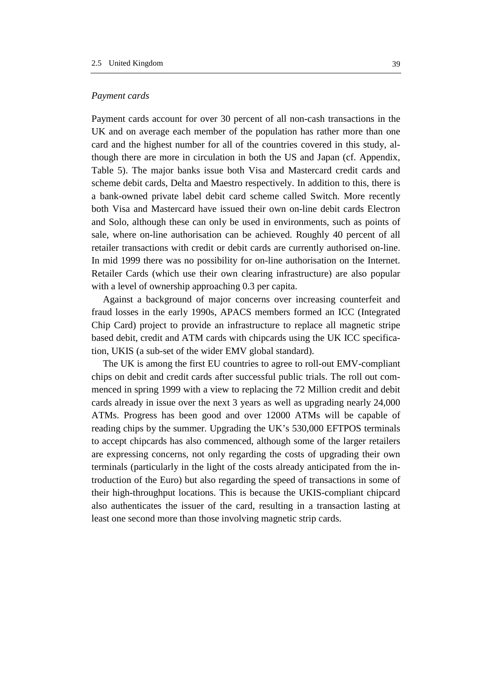# *Payment cards*

Payment cards account for over 30 percent of all non-cash transactions in the UK and on average each member of the population has rather more than one card and the highest number for all of the countries covered in this study, although there are more in circulation in both the US and Japan (cf. Appendix, Table 5). The major banks issue both Visa and Mastercard credit cards and scheme debit cards, Delta and Maestro respectively. In addition to this, there is a bank-owned private label debit card scheme called Switch. More recently both Visa and Mastercard have issued their own on-line debit cards Electron and Solo, although these can only be used in environments, such as points of sale, where on-line authorisation can be achieved. Roughly 40 percent of all retailer transactions with credit or debit cards are currently authorised on-line. In mid 1999 there was no possibility for on-line authorisation on the Internet. Retailer Cards (which use their own clearing infrastructure) are also popular with a level of ownership approaching 0.3 per capita.

Against a background of major concerns over increasing counterfeit and fraud losses in the early 1990s, APACS members formed an ICC (Integrated Chip Card) project to provide an infrastructure to replace all magnetic stripe based debit, credit and ATM cards with chipcards using the UK ICC specification, UKIS (a sub-set of the wider EMV global standard).

The UK is among the first EU countries to agree to roll-out EMV-compliant chips on debit and credit cards after successful public trials. The roll out commenced in spring 1999 with a view to replacing the 72 Million credit and debit cards already in issue over the next 3 years as well as upgrading nearly 24,000 ATMs. Progress has been good and over 12000 ATMs will be capable of reading chips by the summer. Upgrading the UK's 530,000 EFTPOS terminals to accept chipcards has also commenced, although some of the larger retailers are expressing concerns, not only regarding the costs of upgrading their own terminals (particularly in the light of the costs already anticipated from the introduction of the Euro) but also regarding the speed of transactions in some of their high-throughput locations. This is because the UKIS-compliant chipcard also authenticates the issuer of the card, resulting in a transaction lasting at least one second more than those involving magnetic strip cards.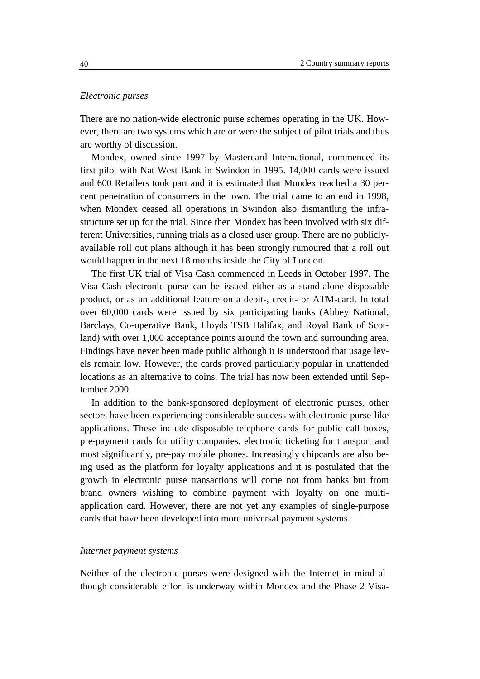### *Electronic purses*

There are no nation-wide electronic purse schemes operating in the UK. However, there are two systems which are or were the subject of pilot trials and thus are worthy of discussion.

Mondex, owned since 1997 by Mastercard International, commenced its first pilot with Nat West Bank in Swindon in 1995. 14,000 cards were issued and 600 Retailers took part and it is estimated that Mondex reached a 30 percent penetration of consumers in the town. The trial came to an end in 1998, when Mondex ceased all operations in Swindon also dismantling the infrastructure set up for the trial. Since then Mondex has been involved with six different Universities, running trials as a closed user group. There are no publiclyavailable roll out plans although it has been strongly rumoured that a roll out would happen in the next 18 months inside the City of London.

The first UK trial of Visa Cash commenced in Leeds in October 1997. The Visa Cash electronic purse can be issued either as a stand-alone disposable product, or as an additional feature on a debit-, credit- or ATM-card. In total over 60,000 cards were issued by six participating banks (Abbey National, Barclays, Co-operative Bank, Lloyds TSB Halifax, and Royal Bank of Scotland) with over 1,000 acceptance points around the town and surrounding area. Findings have never been made public although it is understood that usage levels remain low. However, the cards proved particularly popular in unattended locations as an alternative to coins. The trial has now been extended until September 2000.

In addition to the bank-sponsored deployment of electronic purses, other sectors have been experiencing considerable success with electronic purse-like applications. These include disposable telephone cards for public call boxes, pre-payment cards for utility companies, electronic ticketing for transport and most significantly, pre-pay mobile phones. Increasingly chipcards are also being used as the platform for loyalty applications and it is postulated that the growth in electronic purse transactions will come not from banks but from brand owners wishing to combine payment with loyalty on one multiapplication card. However, there are not yet any examples of single-purpose cards that have been developed into more universal payment systems.

# *Internet payment systems*

Neither of the electronic purses were designed with the Internet in mind although considerable effort is underway within Mondex and the Phase 2 Visa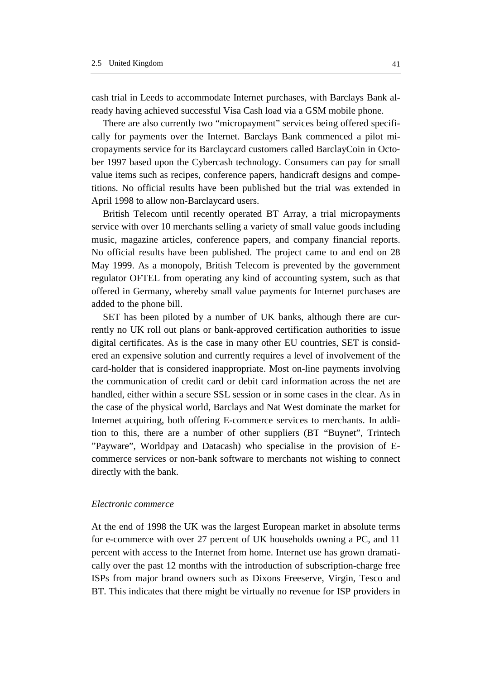cash trial in Leeds to accommodate Internet purchases, with Barclays Bank already having achieved successful Visa Cash load via a GSM mobile phone.

There are also currently two "micropayment" services being offered specifically for payments over the Internet. Barclays Bank commenced a pilot micropayments service for its Barclaycard customers called BarclayCoin in October 1997 based upon the Cybercash technology. Consumers can pay for small value items such as recipes, conference papers, handicraft designs and competitions. No official results have been published but the trial was extended in April 1998 to allow non-Barclaycard users.

British Telecom until recently operated BT Array, a trial micropayments service with over 10 merchants selling a variety of small value goods including music, magazine articles, conference papers, and company financial reports. No official results have been published. The project came to and end on 28 May 1999. As a monopoly, British Telecom is prevented by the government regulator OFTEL from operating any kind of accounting system, such as that offered in Germany, whereby small value payments for Internet purchases are added to the phone bill.

SET has been piloted by a number of UK banks, although there are currently no UK roll out plans or bank-approved certification authorities to issue digital certificates. As is the case in many other EU countries, SET is considered an expensive solution and currently requires a level of involvement of the card-holder that is considered inappropriate. Most on-line payments involving the communication of credit card or debit card information across the net are handled, either within a secure SSL session or in some cases in the clear. As in the case of the physical world, Barclays and Nat West dominate the market for Internet acquiring, both offering E-commerce services to merchants. In addition to this, there are a number of other suppliers (BT "Buynet", Trintech "Payware", Worldpay and Datacash) who specialise in the provision of Ecommerce services or non-bank software to merchants not wishing to connect directly with the bank.

#### *Electronic commerce*

At the end of 1998 the UK was the largest European market in absolute terms for e-commerce with over 27 percent of UK households owning a PC, and 11 percent with access to the Internet from home. Internet use has grown dramatically over the past 12 months with the introduction of subscription-charge free ISPs from major brand owners such as Dixons Freeserve, Virgin, Tesco and BT. This indicates that there might be virtually no revenue for ISP providers in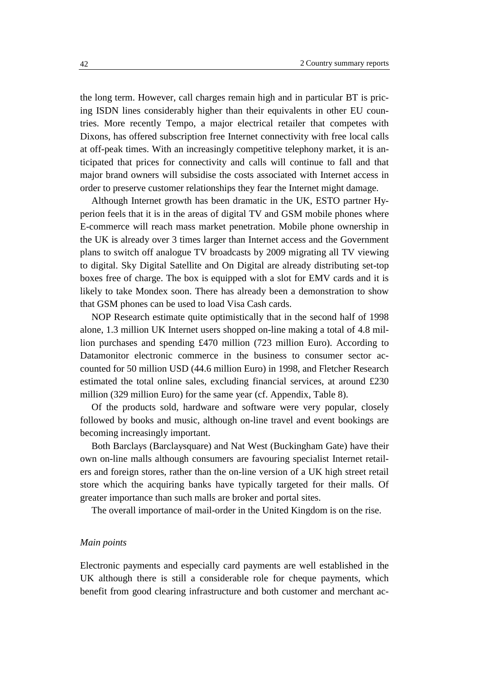the long term. However, call charges remain high and in particular BT is pricing ISDN lines considerably higher than their equivalents in other EU countries. More recently Tempo, a major electrical retailer that competes with Dixons, has offered subscription free Internet connectivity with free local calls at off-peak times. With an increasingly competitive telephony market, it is anticipated that prices for connectivity and calls will continue to fall and that major brand owners will subsidise the costs associated with Internet access in order to preserve customer relationships they fear the Internet might damage.

Although Internet growth has been dramatic in the UK, ESTO partner Hyperion feels that it is in the areas of digital TV and GSM mobile phones where E-commerce will reach mass market penetration. Mobile phone ownership in the UK is already over 3 times larger than Internet access and the Government plans to switch off analogue TV broadcasts by 2009 migrating all TV viewing to digital. Sky Digital Satellite and On Digital are already distributing set-top boxes free of charge. The box is equipped with a slot for EMV cards and it is likely to take Mondex soon. There has already been a demonstration to show that GSM phones can be used to load Visa Cash cards.

NOP Research estimate quite optimistically that in the second half of 1998 alone, 1.3 million UK Internet users shopped on-line making a total of 4.8 million purchases and spending £470 million (723 million Euro). According to Datamonitor electronic commerce in the business to consumer sector accounted for 50 million USD (44.6 million Euro) in 1998, and Fletcher Research estimated the total online sales, excluding financial services, at around £230 million (329 million Euro) for the same year (cf. Appendix, Table 8).

Of the products sold, hardware and software were very popular, closely followed by books and music, although on-line travel and event bookings are becoming increasingly important.

Both Barclays (Barclaysquare) and Nat West (Buckingham Gate) have their own on-line malls although consumers are favouring specialist Internet retailers and foreign stores, rather than the on-line version of a UK high street retail store which the acquiring banks have typically targeted for their malls. Of greater importance than such malls are broker and portal sites.

The overall importance of mail-order in the United Kingdom is on the rise.

# *Main points*

Electronic payments and especially card payments are well established in the UK although there is still a considerable role for cheque payments, which benefit from good clearing infrastructure and both customer and merchant ac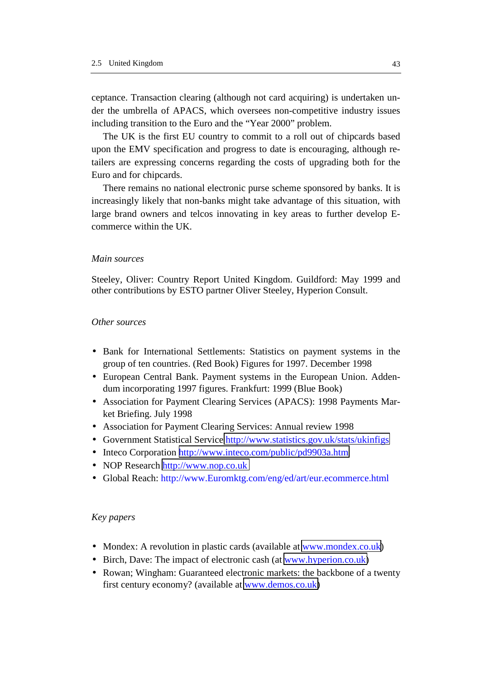ceptance. Transaction clearing (although not card acquiring) is undertaken under the umbrella of APACS, which oversees non-competitive industry issues including transition to the Euro and the "Year 2000" problem.

The UK is the first EU country to commit to a roll out of chipcards based upon the EMV specification and progress to date is encouraging, although retailers are expressing concerns regarding the costs of upgrading both for the Euro and for chipcards.

There remains no national electronic purse scheme sponsored by banks. It is increasingly likely that non-banks might take advantage of this situation, with large brand owners and telcos innovating in key areas to further develop Ecommerce within the UK.

#### *Main sources*

Steeley, Oliver: Country Report United Kingdom. Guildford: May 1999 and other contributions by ESTO partner Oliver Steeley, Hyperion Consult.

# *Other sources*

- Bank for International Settlements: Statistics on payment systems in the group of ten countries. (Red Book) Figures for 1997. December 1998
- European Central Bank. Payment systems in the European Union. Addendum incorporating 1997 figures. Frankfurt: 1999 (Blue Book)
- Association for Payment Clearing Services (APACS): 1998 Payments Market Briefing. July 1998
- Association for Payment Clearing Services: Annual review 1998
- Government Statistical Service<http://www.statistics.gov.uk/stats/ukinfigs>
- Inteco Corporation <http://www.inteco.com/public/pd9903a.htm>
- NOP Research [http://www.nop.co.uk](http://www.nop.co.uk/)
- Global Reach: http://www.Euromktg.com/eng/ed/art/eur.ecommerce.html

# *Key papers*

- Mondex: A revolution in plastic cards (available at [www.mondex.co.uk\)](http://www.mondex.co.uk/)
- Birch, Dave: The impact of electronic cash (at [www.hyperion.co.uk\)](http://www.hyperion.co.uk/)
- Rowan: Wingham: Guaranteed electronic markets: the backbone of a twenty first century economy? (available at [www.demos.co.uk\)](http://www.demos.co.uk/)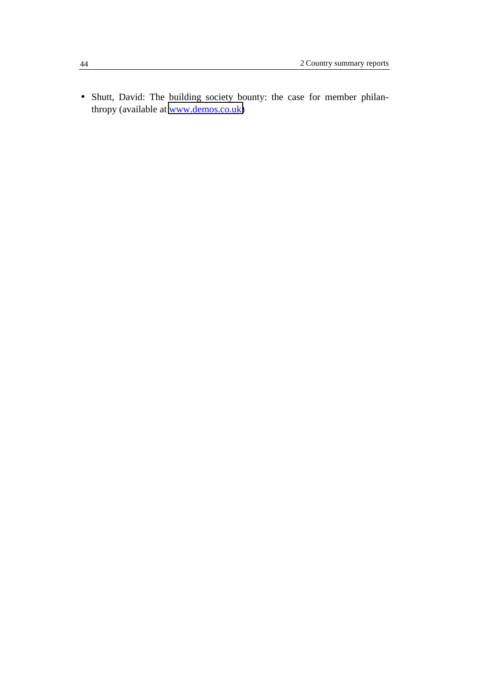• Shutt, David: The building society bounty: the case for member philanthropy (available at [www.demos.co.uk\)](http://www.demos.co.uk/)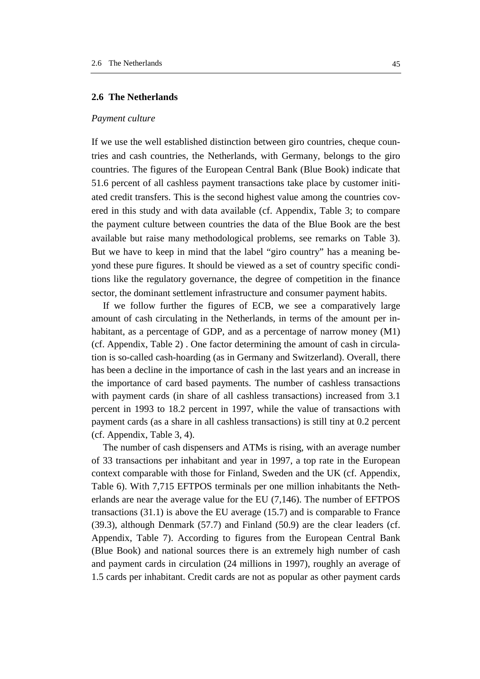#### **2.6 The Netherlands**

### *Payment culture*

If we use the well established distinction between giro countries, cheque countries and cash countries, the Netherlands, with Germany, belongs to the giro countries. The figures of the European Central Bank (Blue Book) indicate that 51.6 percent of all cashless payment transactions take place by customer initiated credit transfers. This is the second highest value among the countries covered in this study and with data available (cf. Appendix, Table 3; to compare the payment culture between countries the data of the Blue Book are the best available but raise many methodological problems, see remarks on Table 3). But we have to keep in mind that the label "giro country" has a meaning beyond these pure figures. It should be viewed as a set of country specific conditions like the regulatory governance, the degree of competition in the finance sector, the dominant settlement infrastructure and consumer payment habits.

If we follow further the figures of ECB, we see a comparatively large amount of cash circulating in the Netherlands, in terms of the amount per inhabitant, as a percentage of GDP, and as a percentage of narrow money (M1) (cf. Appendix, Table 2) . One factor determining the amount of cash in circulation is so-called cash-hoarding (as in Germany and Switzerland). Overall, there has been a decline in the importance of cash in the last years and an increase in the importance of card based payments. The number of cashless transactions with payment cards (in share of all cashless transactions) increased from 3.1 percent in 1993 to 18.2 percent in 1997, while the value of transactions with payment cards (as a share in all cashless transactions) is still tiny at 0.2 percent (cf. Appendix, Table 3, 4).

The number of cash dispensers and ATMs is rising, with an average number of 33 transactions per inhabitant and year in 1997, a top rate in the European context comparable with those for Finland, Sweden and the UK (cf. Appendix, Table 6). With 7,715 EFTPOS terminals per one million inhabitants the Netherlands are near the average value for the EU (7,146). The number of EFTPOS transactions (31.1) is above the EU average (15.7) and is comparable to France (39.3), although Denmark (57.7) and Finland (50.9) are the clear leaders (cf. Appendix, Table 7). According to figures from the European Central Bank (Blue Book) and national sources there is an extremely high number of cash and payment cards in circulation (24 millions in 1997), roughly an average of 1.5 cards per inhabitant. Credit cards are not as popular as other payment cards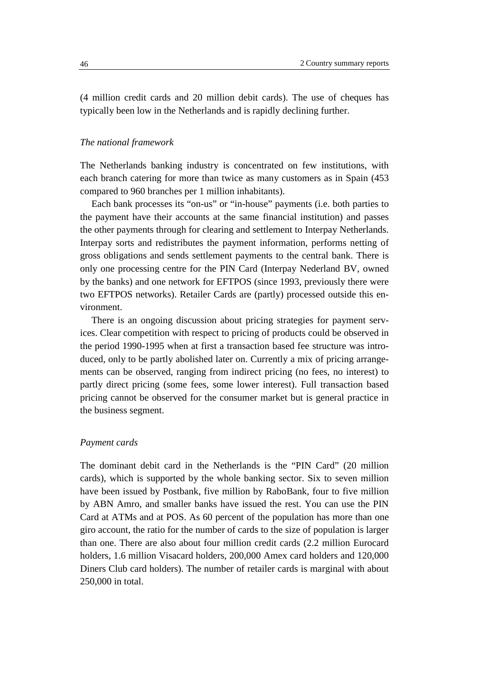(4 million credit cards and 20 million debit cards). The use of cheques has typically been low in the Netherlands and is rapidly declining further.

### *The national framework*

The Netherlands banking industry is concentrated on few institutions, with each branch catering for more than twice as many customers as in Spain (453 compared to 960 branches per 1 million inhabitants).

Each bank processes its "on-us" or "in-house" payments (i.e. both parties to the payment have their accounts at the same financial institution) and passes the other payments through for clearing and settlement to Interpay Netherlands. Interpay sorts and redistributes the payment information, performs netting of gross obligations and sends settlement payments to the central bank. There is only one processing centre for the PIN Card (Interpay Nederland BV, owned by the banks) and one network for EFTPOS (since 1993, previously there were two EFTPOS networks). Retailer Cards are (partly) processed outside this environment.

There is an ongoing discussion about pricing strategies for payment services. Clear competition with respect to pricing of products could be observed in the period 1990-1995 when at first a transaction based fee structure was introduced, only to be partly abolished later on. Currently a mix of pricing arrangements can be observed, ranging from indirect pricing (no fees, no interest) to partly direct pricing (some fees, some lower interest). Full transaction based pricing cannot be observed for the consumer market but is general practice in the business segment.

### *Payment cards*

The dominant debit card in the Netherlands is the "PIN Card" (20 million cards), which is supported by the whole banking sector. Six to seven million have been issued by Postbank, five million by RaboBank, four to five million by ABN Amro, and smaller banks have issued the rest. You can use the PIN Card at ATMs and at POS. As 60 percent of the population has more than one giro account, the ratio for the number of cards to the size of population is larger than one. There are also about four million credit cards (2.2 million Eurocard holders, 1.6 million Visacard holders, 200,000 Amex card holders and 120,000 Diners Club card holders). The number of retailer cards is marginal with about 250,000 in total.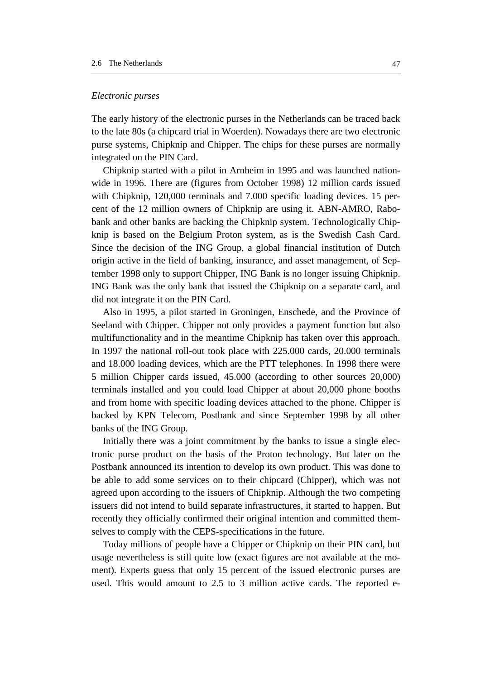### *Electronic purses*

The early history of the electronic purses in the Netherlands can be traced back to the late 80s (a chipcard trial in Woerden). Nowadays there are two electronic purse systems, Chipknip and Chipper. The chips for these purses are normally integrated on the PIN Card.

Chipknip started with a pilot in Arnheim in 1995 and was launched nationwide in 1996. There are (figures from October 1998) 12 million cards issued with Chipknip, 120,000 terminals and 7.000 specific loading devices. 15 percent of the 12 million owners of Chipknip are using it. ABN-AMRO, Rabobank and other banks are backing the Chipknip system. Technologically Chipknip is based on the Belgium Proton system, as is the Swedish Cash Card. Since the decision of the ING Group, a global financial institution of Dutch origin active in the field of banking, insurance, and asset management, of September 1998 only to support Chipper, ING Bank is no longer issuing Chipknip. ING Bank was the only bank that issued the Chipknip on a separate card, and did not integrate it on the PIN Card.

Also in 1995, a pilot started in Groningen, Enschede, and the Province of Seeland with Chipper. Chipper not only provides a payment function but also multifunctionality and in the meantime Chipknip has taken over this approach. In 1997 the national roll-out took place with 225.000 cards, 20.000 terminals and 18.000 loading devices, which are the PTT telephones. In 1998 there were 5 million Chipper cards issued, 45.000 (according to other sources 20,000) terminals installed and you could load Chipper at about 20,000 phone booths and from home with specific loading devices attached to the phone. Chipper is backed by KPN Telecom, Postbank and since September 1998 by all other banks of the ING Group.

Initially there was a joint commitment by the banks to issue a single electronic purse product on the basis of the Proton technology. But later on the Postbank announced its intention to develop its own product. This was done to be able to add some services on to their chipcard (Chipper), which was not agreed upon according to the issuers of Chipknip. Although the two competing issuers did not intend to build separate infrastructures, it started to happen. But recently they officially confirmed their original intention and committed themselves to comply with the CEPS-specifications in the future.

Today millions of people have a Chipper or Chipknip on their PIN card, but usage nevertheless is still quite low (exact figures are not available at the moment). Experts guess that only 15 percent of the issued electronic purses are used. This would amount to 2.5 to 3 million active cards. The reported e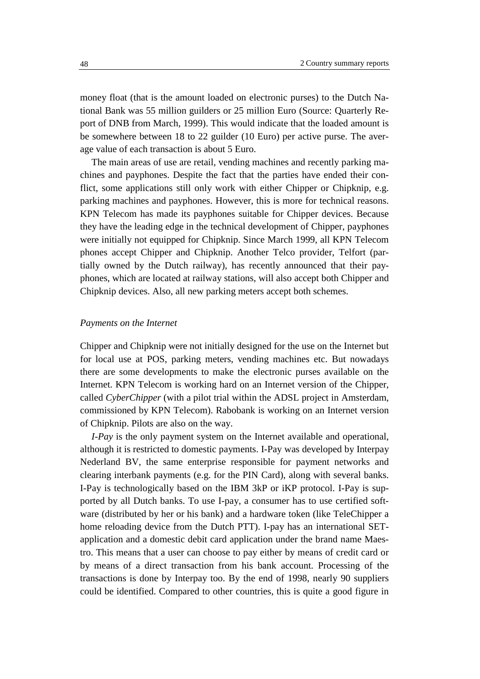money float (that is the amount loaded on electronic purses) to the Dutch National Bank was 55 million guilders or 25 million Euro (Source: Quarterly Report of DNB from March, 1999). This would indicate that the loaded amount is be somewhere between 18 to 22 guilder (10 Euro) per active purse. The average value of each transaction is about 5 Euro.

The main areas of use are retail, vending machines and recently parking machines and payphones. Despite the fact that the parties have ended their conflict, some applications still only work with either Chipper or Chipknip, e.g. parking machines and payphones. However, this is more for technical reasons. KPN Telecom has made its payphones suitable for Chipper devices. Because they have the leading edge in the technical development of Chipper, payphones were initially not equipped for Chipknip. Since March 1999, all KPN Telecom phones accept Chipper and Chipknip. Another Telco provider, Telfort (partially owned by the Dutch railway), has recently announced that their payphones, which are located at railway stations, will also accept both Chipper and Chipknip devices. Also, all new parking meters accept both schemes.

### *Payments on the Internet*

Chipper and Chipknip were not initially designed for the use on the Internet but for local use at POS, parking meters, vending machines etc. But nowadays there are some developments to make the electronic purses available on the Internet. KPN Telecom is working hard on an Internet version of the Chipper, called *CyberChipper* (with a pilot trial within the ADSL project in Amsterdam, commissioned by KPN Telecom). Rabobank is working on an Internet version of Chipknip. Pilots are also on the way.

*I-Pay* is the only payment system on the Internet available and operational, although it is restricted to domestic payments. I-Pay was developed by Interpay Nederland BV, the same enterprise responsible for payment networks and clearing interbank payments (e.g. for the PIN Card), along with several banks. I-Pay is technologically based on the IBM 3kP or iKP protocol. I-Pay is supported by all Dutch banks. To use I-pay, a consumer has to use certified software (distributed by her or his bank) and a hardware token (like TeleChipper a home reloading device from the Dutch PTT). I-pay has an international SETapplication and a domestic debit card application under the brand name Maestro. This means that a user can choose to pay either by means of credit card or by means of a direct transaction from his bank account. Processing of the transactions is done by Interpay too. By the end of 1998, nearly 90 suppliers could be identified. Compared to other countries, this is quite a good figure in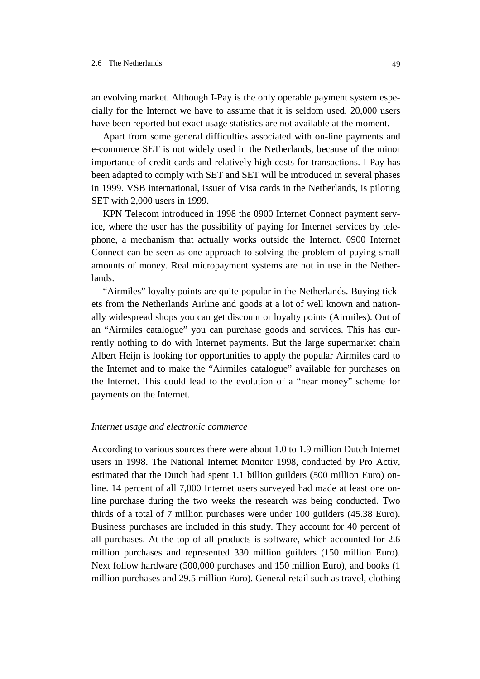an evolving market. Although I-Pay is the only operable payment system especially for the Internet we have to assume that it is seldom used. 20,000 users have been reported but exact usage statistics are not available at the moment.

Apart from some general difficulties associated with on-line payments and e-commerce SET is not widely used in the Netherlands, because of the minor importance of credit cards and relatively high costs for transactions. I-Pay has been adapted to comply with SET and SET will be introduced in several phases in 1999. VSB international, issuer of Visa cards in the Netherlands, is piloting SET with 2,000 users in 1999.

KPN Telecom introduced in 1998 the 0900 Internet Connect payment service, where the user has the possibility of paying for Internet services by telephone, a mechanism that actually works outside the Internet. 0900 Internet Connect can be seen as one approach to solving the problem of paying small amounts of money. Real micropayment systems are not in use in the Netherlands.

"Airmiles" loyalty points are quite popular in the Netherlands. Buying tickets from the Netherlands Airline and goods at a lot of well known and nationally widespread shops you can get discount or loyalty points (Airmiles). Out of an "Airmiles catalogue" you can purchase goods and services. This has currently nothing to do with Internet payments. But the large supermarket chain Albert Heijn is looking for opportunities to apply the popular Airmiles card to the Internet and to make the "Airmiles catalogue" available for purchases on the Internet. This could lead to the evolution of a "near money" scheme for payments on the Internet.

#### *Internet usage and electronic commerce*

According to various sources there were about 1.0 to 1.9 million Dutch Internet users in 1998. The National Internet Monitor 1998, conducted by Pro Activ, estimated that the Dutch had spent 1.1 billion guilders (500 million Euro) online. 14 percent of all 7,000 Internet users surveyed had made at least one online purchase during the two weeks the research was being conducted. Two thirds of a total of 7 million purchases were under 100 guilders (45.38 Euro). Business purchases are included in this study. They account for 40 percent of all purchases. At the top of all products is software, which accounted for 2.6 million purchases and represented 330 million guilders (150 million Euro). Next follow hardware (500,000 purchases and 150 million Euro), and books (1 million purchases and 29.5 million Euro). General retail such as travel, clothing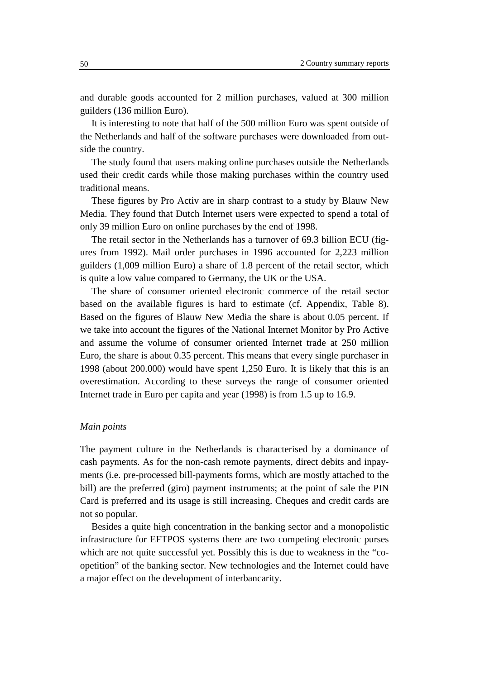and durable goods accounted for 2 million purchases, valued at 300 million guilders (136 million Euro).

It is interesting to note that half of the 500 million Euro was spent outside of the Netherlands and half of the software purchases were downloaded from outside the country.

The study found that users making online purchases outside the Netherlands used their credit cards while those making purchases within the country used traditional means.

These figures by Pro Activ are in sharp contrast to a study by Blauw New Media. They found that Dutch Internet users were expected to spend a total of only 39 million Euro on online purchases by the end of 1998.

The retail sector in the Netherlands has a turnover of 69.3 billion ECU (figures from 1992). Mail order purchases in 1996 accounted for 2,223 million guilders (1,009 million Euro) a share of 1.8 percent of the retail sector, which is quite a low value compared to Germany, the UK or the USA.

The share of consumer oriented electronic commerce of the retail sector based on the available figures is hard to estimate (cf. Appendix, Table 8). Based on the figures of Blauw New Media the share is about 0.05 percent. If we take into account the figures of the National Internet Monitor by Pro Active and assume the volume of consumer oriented Internet trade at 250 million Euro, the share is about 0.35 percent. This means that every single purchaser in 1998 (about 200.000) would have spent 1,250 Euro. It is likely that this is an overestimation. According to these surveys the range of consumer oriented Internet trade in Euro per capita and year (1998) is from 1.5 up to 16.9.

### *Main points*

The payment culture in the Netherlands is characterised by a dominance of cash payments. As for the non-cash remote payments, direct debits and inpayments (i.e. pre-processed bill-payments forms, which are mostly attached to the bill) are the preferred (giro) payment instruments; at the point of sale the PIN Card is preferred and its usage is still increasing. Cheques and credit cards are not so popular.

Besides a quite high concentration in the banking sector and a monopolistic infrastructure for EFTPOS systems there are two competing electronic purses which are not quite successful yet. Possibly this is due to weakness in the "coopetition" of the banking sector. New technologies and the Internet could have a major effect on the development of interbancarity.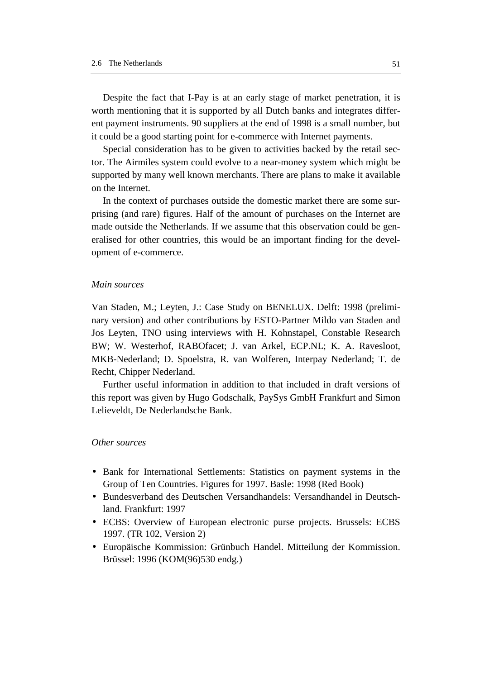Despite the fact that I-Pay is at an early stage of market penetration, it is worth mentioning that it is supported by all Dutch banks and integrates different payment instruments. 90 suppliers at the end of 1998 is a small number, but it could be a good starting point for e-commerce with Internet payments.

Special consideration has to be given to activities backed by the retail sector. The Airmiles system could evolve to a near-money system which might be supported by many well known merchants. There are plans to make it available on the Internet.

In the context of purchases outside the domestic market there are some surprising (and rare) figures. Half of the amount of purchases on the Internet are made outside the Netherlands. If we assume that this observation could be generalised for other countries, this would be an important finding for the development of e-commerce.

#### *Main sources*

Van Staden, M.; Leyten, J.: Case Study on BENELUX. Delft: 1998 (preliminary version) and other contributions by ESTO-Partner Mildo van Staden and Jos Leyten, TNO using interviews with H. Kohnstapel, Constable Research BW; W. Westerhof, RABOfacet; J. van Arkel, ECP.NL; K. A. Ravesloot, MKB-Nederland; D. Spoelstra, R. van Wolferen, Interpay Nederland; T. de Recht, Chipper Nederland.

Further useful information in addition to that included in draft versions of this report was given by Hugo Godschalk, PaySys GmbH Frankfurt and Simon Lelieveldt, De Nederlandsche Bank.

#### *Other sources*

- Bank for International Settlements: Statistics on payment systems in the Group of Ten Countries. Figures for 1997. Basle: 1998 (Red Book)
- Bundesverband des Deutschen Versandhandels: Versandhandel in Deutschland. Frankfurt: 1997
- ECBS: Overview of European electronic purse projects. Brussels: ECBS 1997. (TR 102, Version 2)
- Europäische Kommission: Grünbuch Handel. Mitteilung der Kommission. Brüssel: 1996 (KOM(96)530 endg.)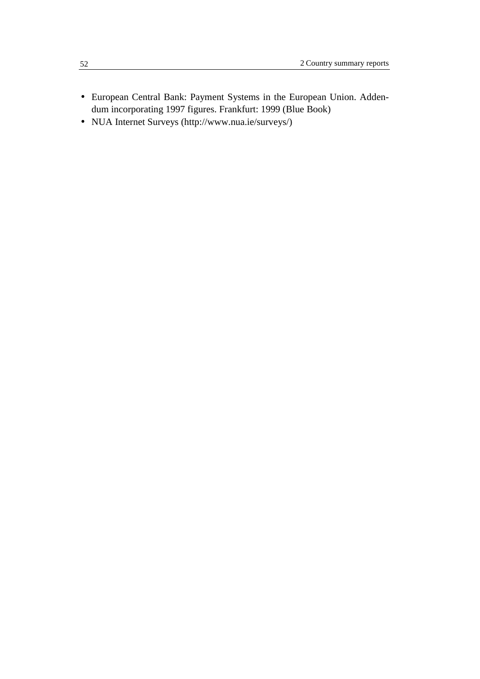- European Central Bank: Payment Systems in the European Union. Addendum incorporating 1997 figures. Frankfurt: 1999 (Blue Book)
- NUA Internet Surveys (http://www.nua.ie/surveys/)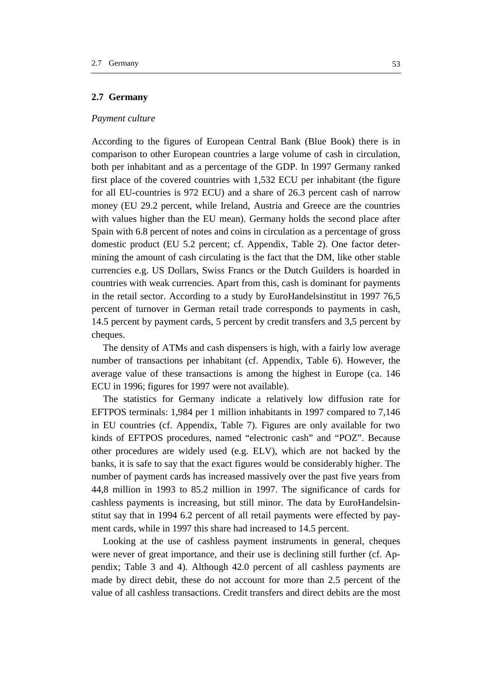### **2.7 Germany**

# *Payment culture*

According to the figures of European Central Bank (Blue Book) there is in comparison to other European countries a large volume of cash in circulation, both per inhabitant and as a percentage of the GDP. In 1997 Germany ranked first place of the covered countries with 1,532 ECU per inhabitant (the figure for all EU-countries is 972 ECU) and a share of 26.3 percent cash of narrow money (EU 29.2 percent, while Ireland, Austria and Greece are the countries with values higher than the EU mean). Germany holds the second place after Spain with 6.8 percent of notes and coins in circulation as a percentage of gross domestic product (EU 5.2 percent; cf. Appendix, Table 2). One factor determining the amount of cash circulating is the fact that the DM, like other stable currencies e.g. US Dollars, Swiss Francs or the Dutch Guilders is hoarded in countries with weak currencies. Apart from this, cash is dominant for payments in the retail sector. According to a study by EuroHandelsinstitut in 1997 76,5 percent of turnover in German retail trade corresponds to payments in cash, 14.5 percent by payment cards, 5 percent by credit transfers and 3,5 percent by cheques.

The density of ATMs and cash dispensers is high, with a fairly low average number of transactions per inhabitant (cf. Appendix, Table 6). However, the average value of these transactions is among the highest in Europe (ca. 146 ECU in 1996; figures for 1997 were not available).

The statistics for Germany indicate a relatively low diffusion rate for EFTPOS terminals: 1,984 per 1 million inhabitants in 1997 compared to 7,146 in EU countries (cf. Appendix, Table 7). Figures are only available for two kinds of EFTPOS procedures, named "electronic cash" and "POZ". Because other procedures are widely used (e.g. ELV), which are not backed by the banks, it is safe to say that the exact figures would be considerably higher. The number of payment cards has increased massively over the past five years from 44,8 million in 1993 to 85.2 million in 1997. The significance of cards for cashless payments is increasing, but still minor. The data by EuroHandelsinstitut say that in 1994 6.2 percent of all retail payments were effected by payment cards, while in 1997 this share had increased to 14.5 percent.

Looking at the use of cashless payment instruments in general, cheques were never of great importance, and their use is declining still further (cf. Appendix; Table 3 and 4). Although 42.0 percent of all cashless payments are made by direct debit, these do not account for more than 2.5 percent of the value of all cashless transactions. Credit transfers and direct debits are the most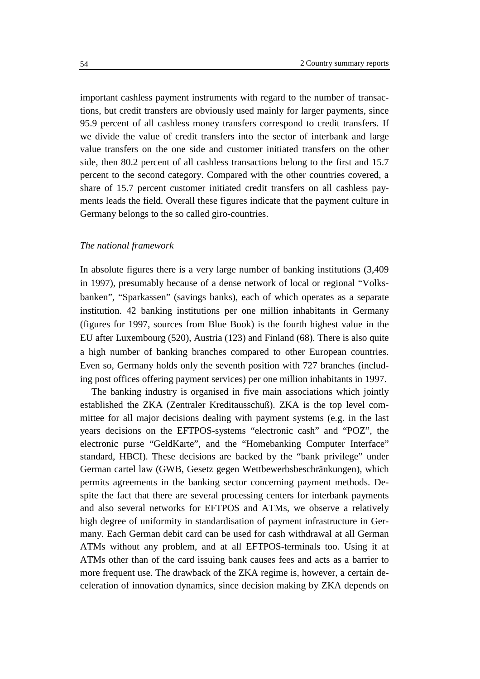important cashless payment instruments with regard to the number of transactions, but credit transfers are obviously used mainly for larger payments, since 95.9 percent of all cashless money transfers correspond to credit transfers. If we divide the value of credit transfers into the sector of interbank and large value transfers on the one side and customer initiated transfers on the other side, then 80.2 percent of all cashless transactions belong to the first and 15.7 percent to the second category. Compared with the other countries covered, a share of 15.7 percent customer initiated credit transfers on all cashless payments leads the field. Overall these figures indicate that the payment culture in Germany belongs to the so called giro-countries.

# *The national framework*

In absolute figures there is a very large number of banking institutions (3,409 in 1997), presumably because of a dense network of local or regional "Volksbanken", "Sparkassen" (savings banks), each of which operates as a separate institution. 42 banking institutions per one million inhabitants in Germany (figures for 1997, sources from Blue Book) is the fourth highest value in the EU after Luxembourg (520), Austria (123) and Finland (68). There is also quite a high number of banking branches compared to other European countries. Even so, Germany holds only the seventh position with 727 branches (including post offices offering payment services) per one million inhabitants in 1997.

The banking industry is organised in five main associations which jointly established the ZKA (Zentraler Kreditausschuß). ZKA is the top level committee for all major decisions dealing with payment systems (e.g. in the last years decisions on the EFTPOS-systems "electronic cash" and "POZ", the electronic purse "GeldKarte", and the "Homebanking Computer Interface" standard, HBCI). These decisions are backed by the "bank privilege" under German cartel law (GWB, Gesetz gegen Wettbewerbsbeschränkungen), which permits agreements in the banking sector concerning payment methods. Despite the fact that there are several processing centers for interbank payments and also several networks for EFTPOS and ATMs, we observe a relatively high degree of uniformity in standardisation of payment infrastructure in Germany. Each German debit card can be used for cash withdrawal at all German ATMs without any problem, and at all EFTPOS-terminals too. Using it at ATMs other than of the card issuing bank causes fees and acts as a barrier to more frequent use. The drawback of the ZKA regime is, however, a certain deceleration of innovation dynamics, since decision making by ZKA depends on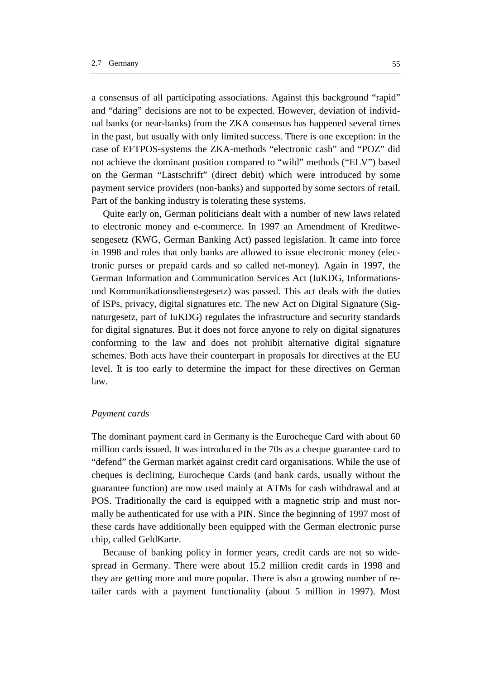a consensus of all participating associations. Against this background "rapid" and "daring" decisions are not to be expected. However, deviation of individual banks (or near-banks) from the ZKA consensus has happened several times in the past, but usually with only limited success. There is one exception: in the case of EFTPOS-systems the ZKA-methods "electronic cash" and "POZ" did not achieve the dominant position compared to "wild" methods ("ELV") based on the German "Lastschrift" (direct debit) which were introduced by some payment service providers (non-banks) and supported by some sectors of retail. Part of the banking industry is tolerating these systems.

Quite early on, German politicians dealt with a number of new laws related to electronic money and e-commerce. In 1997 an Amendment of Kreditwesengesetz (KWG, German Banking Act) passed legislation. It came into force in 1998 and rules that only banks are allowed to issue electronic money (electronic purses or prepaid cards and so called net-money). Again in 1997, the German Information and Communication Services Act (IuKDG, Informationsund Kommunikationsdienstegesetz) was passed. This act deals with the duties of ISPs, privacy, digital signatures etc. The new Act on Digital Signature (Signaturgesetz, part of IuKDG) regulates the infrastructure and security standards for digital signatures. But it does not force anyone to rely on digital signatures conforming to the law and does not prohibit alternative digital signature schemes. Both acts have their counterpart in proposals for directives at the EU level. It is too early to determine the impact for these directives on German law.

#### *Payment cards*

The dominant payment card in Germany is the Eurocheque Card with about 60 million cards issued. It was introduced in the 70s as a cheque guarantee card to "defend" the German market against credit card organisations. While the use of cheques is declining, Eurocheque Cards (and bank cards, usually without the guarantee function) are now used mainly at ATMs for cash withdrawal and at POS. Traditionally the card is equipped with a magnetic strip and must normally be authenticated for use with a PIN. Since the beginning of 1997 most of these cards have additionally been equipped with the German electronic purse chip, called GeldKarte.

Because of banking policy in former years, credit cards are not so widespread in Germany. There were about 15.2 million credit cards in 1998 and they are getting more and more popular. There is also a growing number of retailer cards with a payment functionality (about 5 million in 1997). Most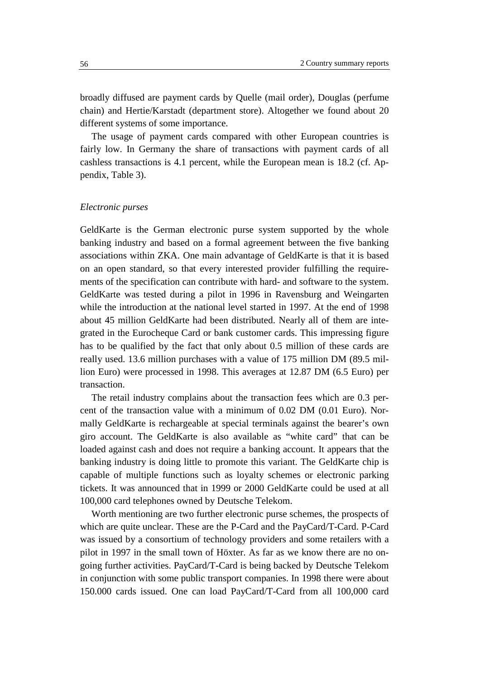broadly diffused are payment cards by Quelle (mail order), Douglas (perfume chain) and Hertie/Karstadt (department store). Altogether we found about 20 different systems of some importance.

The usage of payment cards compared with other European countries is fairly low. In Germany the share of transactions with payment cards of all cashless transactions is 4.1 percent, while the European mean is 18.2 (cf. Appendix, Table 3).

### *Electronic purses*

GeldKarte is the German electronic purse system supported by the whole banking industry and based on a formal agreement between the five banking associations within ZKA. One main advantage of GeldKarte is that it is based on an open standard, so that every interested provider fulfilling the requirements of the specification can contribute with hard- and software to the system. GeldKarte was tested during a pilot in 1996 in Ravensburg and Weingarten while the introduction at the national level started in 1997. At the end of 1998 about 45 million GeldKarte had been distributed. Nearly all of them are integrated in the Eurocheque Card or bank customer cards. This impressing figure has to be qualified by the fact that only about 0.5 million of these cards are really used. 13.6 million purchases with a value of 175 million DM (89.5 million Euro) were processed in 1998. This averages at 12.87 DM (6.5 Euro) per transaction.

The retail industry complains about the transaction fees which are 0.3 percent of the transaction value with a minimum of 0.02 DM (0.01 Euro). Normally GeldKarte is rechargeable at special terminals against the bearer's own giro account. The GeldKarte is also available as "white card" that can be loaded against cash and does not require a banking account. It appears that the banking industry is doing little to promote this variant. The GeldKarte chip is capable of multiple functions such as loyalty schemes or electronic parking tickets. It was announced that in 1999 or 2000 GeldKarte could be used at all 100,000 card telephones owned by Deutsche Telekom.

Worth mentioning are two further electronic purse schemes, the prospects of which are quite unclear. These are the P-Card and the PayCard/T-Card. P-Card was issued by a consortium of technology providers and some retailers with a pilot in 1997 in the small town of Höxter. As far as we know there are no ongoing further activities. PayCard/T-Card is being backed by Deutsche Telekom in conjunction with some public transport companies. In 1998 there were about 150.000 cards issued. One can load PayCard/T-Card from all 100,000 card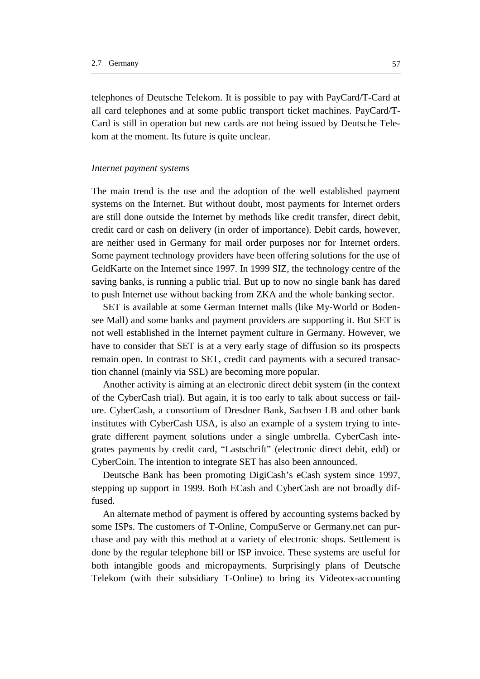telephones of Deutsche Telekom. It is possible to pay with PayCard/T-Card at all card telephones and at some public transport ticket machines. PayCard/T-Card is still in operation but new cards are not being issued by Deutsche Telekom at the moment. Its future is quite unclear.

#### *Internet payment systems*

The main trend is the use and the adoption of the well established payment systems on the Internet. But without doubt, most payments for Internet orders are still done outside the Internet by methods like credit transfer, direct debit, credit card or cash on delivery (in order of importance). Debit cards, however, are neither used in Germany for mail order purposes nor for Internet orders. Some payment technology providers have been offering solutions for the use of GeldKarte on the Internet since 1997. In 1999 SIZ, the technology centre of the saving banks, is running a public trial. But up to now no single bank has dared to push Internet use without backing from ZKA and the whole banking sector.

SET is available at some German Internet malls (like My-World or Bodensee Mall) and some banks and payment providers are supporting it. But SET is not well established in the Internet payment culture in Germany. However, we have to consider that SET is at a very early stage of diffusion so its prospects remain open. In contrast to SET, credit card payments with a secured transaction channel (mainly via SSL) are becoming more popular.

Another activity is aiming at an electronic direct debit system (in the context of the CyberCash trial). But again, it is too early to talk about success or failure. CyberCash, a consortium of Dresdner Bank, Sachsen LB and other bank institutes with CyberCash USA, is also an example of a system trying to integrate different payment solutions under a single umbrella. CyberCash integrates payments by credit card, "Lastschrift" (electronic direct debit, edd) or CyberCoin. The intention to integrate SET has also been announced.

Deutsche Bank has been promoting DigiCash's eCash system since 1997, stepping up support in 1999. Both ECash and CyberCash are not broadly diffused.

An alternate method of payment is offered by accounting systems backed by some ISPs. The customers of T-Online, CompuServe or Germany.net can purchase and pay with this method at a variety of electronic shops. Settlement is done by the regular telephone bill or ISP invoice. These systems are useful for both intangible goods and micropayments. Surprisingly plans of Deutsche Telekom (with their subsidiary T-Online) to bring its Videotex-accounting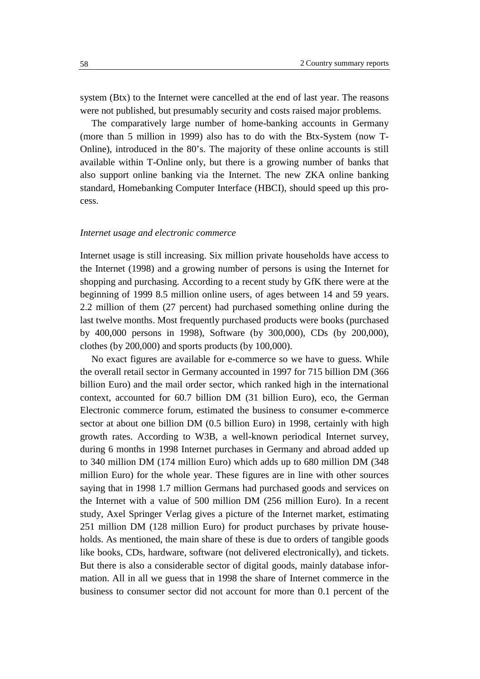system (Btx) to the Internet were cancelled at the end of last year. The reasons were not published, but presumably security and costs raised major problems.

The comparatively large number of home-banking accounts in Germany (more than 5 million in 1999) also has to do with the Btx-System (now T-Online), introduced in the 80's. The majority of these online accounts is still available within T-Online only, but there is a growing number of banks that also support online banking via the Internet. The new ZKA online banking standard, Homebanking Computer Interface (HBCI), should speed up this process.

#### *Internet usage and electronic commerce*

Internet usage is still increasing. Six million private households have access to the Internet (1998) and a growing number of persons is using the Internet for shopping and purchasing. According to a recent study by GfK there were at the beginning of 1999 8.5 million online users, of ages between 14 and 59 years. 2.2 million of them (27 percent) had purchased something online during the last twelve months. Most frequently purchased products were books (purchased by 400,000 persons in 1998), Software (by 300,000), CDs (by 200,000), clothes (by 200,000) and sports products (by 100,000).

No exact figures are available for e-commerce so we have to guess. While the overall retail sector in Germany accounted in 1997 for 715 billion DM (366 billion Euro) and the mail order sector, which ranked high in the international context, accounted for 60.7 billion DM (31 billion Euro), eco, the German Electronic commerce forum, estimated the business to consumer e-commerce sector at about one billion DM (0.5 billion Euro) in 1998, certainly with high growth rates. According to W3B, a well-known periodical Internet survey, during 6 months in 1998 Internet purchases in Germany and abroad added up to 340 million DM (174 million Euro) which adds up to 680 million DM (348 million Euro) for the whole year. These figures are in line with other sources saying that in 1998 1.7 million Germans had purchased goods and services on the Internet with a value of 500 million DM (256 million Euro). In a recent study, Axel Springer Verlag gives a picture of the Internet market, estimating 251 million DM (128 million Euro) for product purchases by private households. As mentioned, the main share of these is due to orders of tangible goods like books, CDs, hardware, software (not delivered electronically), and tickets. But there is also a considerable sector of digital goods, mainly database information. All in all we guess that in 1998 the share of Internet commerce in the business to consumer sector did not account for more than 0.1 percent of the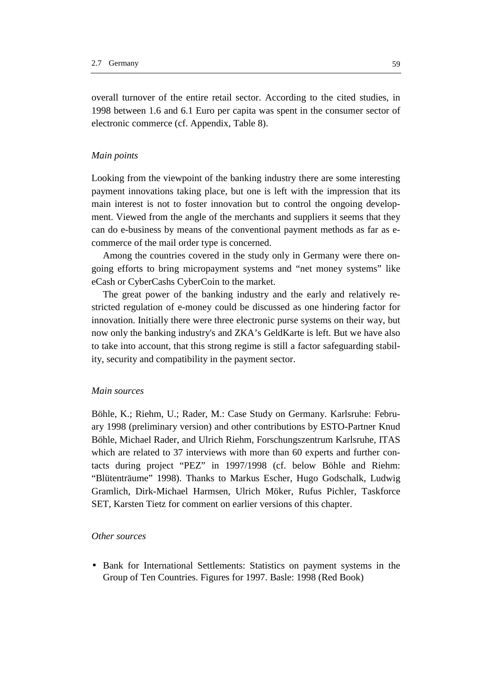overall turnover of the entire retail sector. According to the cited studies, in 1998 between 1.6 and 6.1 Euro per capita was spent in the consumer sector of electronic commerce (cf. Appendix, Table 8).

### *Main points*

Looking from the viewpoint of the banking industry there are some interesting payment innovations taking place, but one is left with the impression that its main interest is not to foster innovation but to control the ongoing development. Viewed from the angle of the merchants and suppliers it seems that they can do e-business by means of the conventional payment methods as far as ecommerce of the mail order type is concerned.

Among the countries covered in the study only in Germany were there ongoing efforts to bring micropayment systems and "net money systems" like eCash or CyberCashs CyberCoin to the market.

The great power of the banking industry and the early and relatively restricted regulation of e-money could be discussed as one hindering factor for innovation. Initially there were three electronic purse systems on their way, but now only the banking industry's and ZKA's GeldKarte is left. But we have also to take into account, that this strong regime is still a factor safeguarding stability, security and compatibility in the payment sector.

#### *Main sources*

Böhle, K.; Riehm, U.; Rader, M.: Case Study on Germany. Karlsruhe: February 1998 (preliminary version) and other contributions by ESTO-Partner Knud Böhle, Michael Rader, and Ulrich Riehm, Forschungszentrum Karlsruhe, ITAS which are related to 37 interviews with more than 60 experts and further contacts during project "PEZ" in 1997/1998 (cf. below Böhle and Riehm: "Blütenträume" 1998). Thanks to Markus Escher, Hugo Godschalk, Ludwig Gramlich, Dirk-Michael Harmsen, Ulrich Möker, Rufus Pichler, Taskforce SET, Karsten Tietz for comment on earlier versions of this chapter.

## *Other sources*

• Bank for International Settlements: Statistics on payment systems in the Group of Ten Countries. Figures for 1997. Basle: 1998 (Red Book)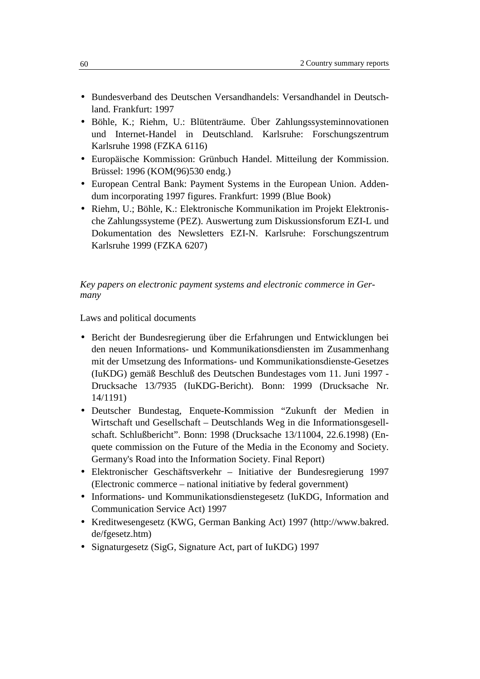- Bundesverband des Deutschen Versandhandels: Versandhandel in Deutschland. Frankfurt: 1997
- Böhle, K.; Riehm, U.: Blütenträume. Über Zahlungssysteminnovationen und Internet-Handel in Deutschland. Karlsruhe: Forschungszentrum Karlsruhe 1998 (FZKA 6116)
- Europäische Kommission: Grünbuch Handel. Mitteilung der Kommission. Brüssel: 1996 (KOM(96)530 endg.)
- European Central Bank: Payment Systems in the European Union. Addendum incorporating 1997 figures. Frankfurt: 1999 (Blue Book)
- Riehm, U.; Böhle, K.: Elektronische Kommunikation im Projekt Elektronische Zahlungssysteme (PEZ). Auswertung zum Diskussionsforum EZI-L und Dokumentation des Newsletters EZI-N. Karlsruhe: Forschungszentrum Karlsruhe 1999 (FZKA 6207)

## *Key papers on electronic payment systems and electronic commerce in Germany*

Laws and political documents

- Bericht der Bundesregierung über die Erfahrungen und Entwicklungen bei den neuen Informations- und Kommunikationsdiensten im Zusammenhang mit der Umsetzung des Informations- und Kommunikationsdienste-Gesetzes (IuKDG) gemäß Beschluß des Deutschen Bundestages vom 11. Juni 1997 - Drucksache 13/7935 (IuKDG-Bericht). Bonn: 1999 (Drucksache Nr. 14/1191)
- Deutscher Bundestag, Enquete-Kommission "Zukunft der Medien in Wirtschaft und Gesellschaft – Deutschlands Weg in die Informationsgesellschaft. Schlußbericht". Bonn: 1998 (Drucksache 13/11004, 22.6.1998) (Enquete commission on the Future of the Media in the Economy and Society. Germany's Road into the Information Society. Final Report)
- Elektronischer Geschäftsverkehr Initiative der Bundesregierung 1997 (Electronic commerce – national initiative by federal government)
- Informations- und Kommunikationsdienstegesetz (IuKDG, Information and Communication Service Act) 1997
- Kreditwesengesetz (KWG, German Banking Act) 1997 (http://www.bakred. de/fgesetz.htm)
- Signaturgesetz (SigG, Signature Act, part of IuKDG) 1997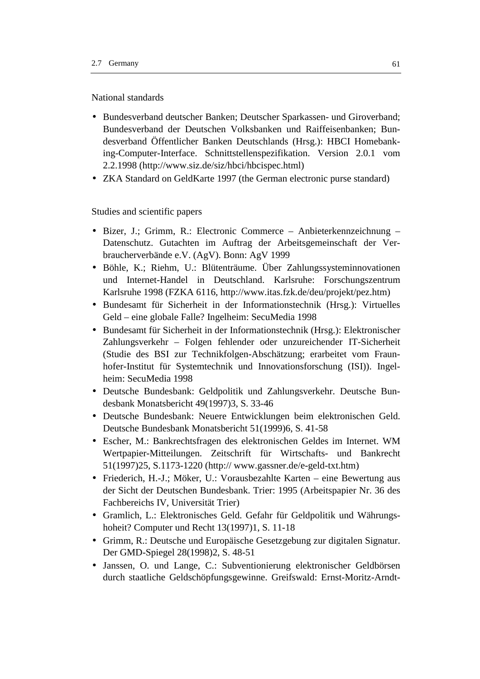## National standards

- Bundesverband deutscher Banken; Deutscher Sparkassen- und Giroverband; Bundesverband der Deutschen Volksbanken und Raiffeisenbanken; Bundesverband Öffentlicher Banken Deutschlands (Hrsg.): HBCI Homebanking-Computer-Interface. Schnittstellenspezifikation. Version 2.0.1 vom 2.2.1998 (http://www.siz.de/siz/hbci/hbcispec.html)
- ZKA Standard on GeldKarte 1997 (the German electronic purse standard)

## Studies and scientific papers

- Bizer, J.; Grimm, R.: Electronic Commerce Anbieterkennzeichnung Datenschutz. Gutachten im Auftrag der Arbeitsgemeinschaft der Verbraucherverbände e.V. (AgV). Bonn: AgV 1999
- Böhle, K.; Riehm, U.: Blütenträume. Über Zahlungssysteminnovationen und Internet-Handel in Deutschland. Karlsruhe: Forschungszentrum Karlsruhe 1998 (FZKA 6116, http://www.itas.fzk.de/deu/projekt/pez.htm)
- Bundesamt für Sicherheit in der Informationstechnik (Hrsg.): Virtuelles Geld – eine globale Falle? Ingelheim: SecuMedia 1998
- Bundesamt für Sicherheit in der Informationstechnik (Hrsg.): Elektronischer Zahlungsverkehr – Folgen fehlender oder unzureichender IT-Sicherheit (Studie des BSI zur Technikfolgen-Abschätzung; erarbeitet vom Fraunhofer-Institut für Systemtechnik und Innovationsforschung (ISI)). Ingelheim: SecuMedia 1998
- Deutsche Bundesbank: Geldpolitik und Zahlungsverkehr. Deutsche Bundesbank Monatsbericht 49(1997)3, S. 33-46
- Deutsche Bundesbank: Neuere Entwicklungen beim elektronischen Geld. Deutsche Bundesbank Monatsbericht 51(1999)6, S. 41-58
- Escher, M.: Bankrechtsfragen des elektronischen Geldes im Internet. WM Wertpapier-Mitteilungen. Zeitschrift für Wirtschafts- und Bankrecht 51(1997)25, S.1173-1220 (http:// www.gassner.de/e-geld-txt.htm)
- Friederich, H.-J.; Möker, U.: Vorausbezahlte Karten eine Bewertung aus der Sicht der Deutschen Bundesbank. Trier: 1995 (Arbeitspapier Nr. 36 des Fachbereichs IV, Universität Trier)
- Gramlich, L.: Elektronisches Geld. Gefahr für Geldpolitik und Währungshoheit? Computer und Recht 13(1997)1, S. 11-18
- Grimm, R.: Deutsche und Europäische Gesetzgebung zur digitalen Signatur. Der GMD-Spiegel 28(1998)2, S. 48-51
- Janssen, O. und Lange, C.: Subventionierung elektronischer Geldbörsen durch staatliche Geldschöpfungsgewinne. Greifswald: Ernst-Moritz-Arndt-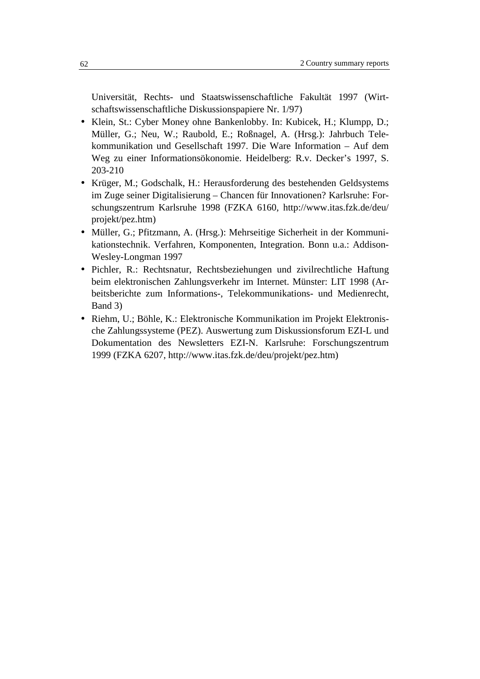Universität, Rechts- und Staatswissenschaftliche Fakultät 1997 (Wirtschaftswissenschaftliche Diskussionspapiere Nr. 1/97)

- Klein, St.: Cyber Money ohne Bankenlobby. In: Kubicek, H.; Klumpp, D.; Müller, G.; Neu, W.; Raubold, E.; Roßnagel, A. (Hrsg.): Jahrbuch Telekommunikation und Gesellschaft 1997. Die Ware Information – Auf dem Weg zu einer Informationsökonomie. Heidelberg: R.v. Decker's 1997, S. 203-210
- Krüger, M.; Godschalk, H.: Herausforderung des bestehenden Geldsystems im Zuge seiner Digitalisierung – Chancen für Innovationen? Karlsruhe: Forschungszentrum Karlsruhe 1998 (FZKA 6160, http://www.itas.fzk.de/deu/ projekt/pez.htm)
- Müller, G.; Pfitzmann, A. (Hrsg.): Mehrseitige Sicherheit in der Kommunikationstechnik. Verfahren, Komponenten, Integration. Bonn u.a.: Addison-Wesley-Longman 1997
- Pichler, R.: Rechtsnatur, Rechtsbeziehungen und zivilrechtliche Haftung beim elektronischen Zahlungsverkehr im Internet. Münster: LIT 1998 (Arbeitsberichte zum Informations-, Telekommunikations- und Medienrecht, Band 3)
- Riehm, U.; Böhle, K.: Elektronische Kommunikation im Projekt Elektronische Zahlungssysteme (PEZ). Auswertung zum Diskussionsforum EZI-L und Dokumentation des Newsletters EZI-N. Karlsruhe: Forschungszentrum 1999 (FZKA 6207, http://www.itas.fzk.de/deu/projekt/pez.htm)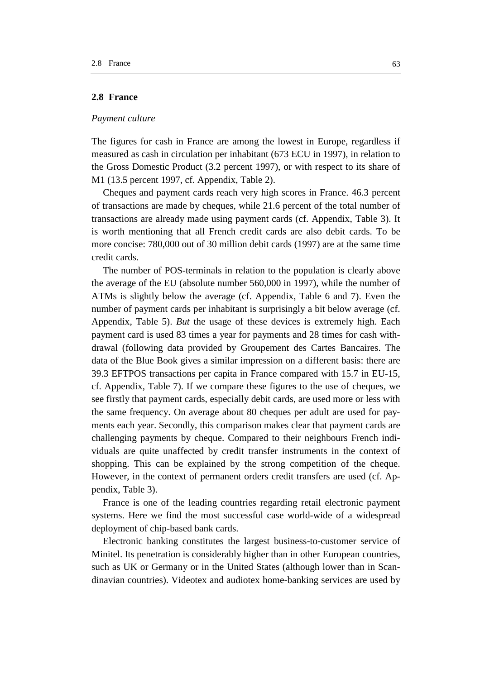### **2.8 France**

## *Payment culture*

The figures for cash in France are among the lowest in Europe, regardless if measured as cash in circulation per inhabitant (673 ECU in 1997), in relation to the Gross Domestic Product (3.2 percent 1997), or with respect to its share of M1 (13.5 percent 1997, cf. Appendix, Table 2).

Cheques and payment cards reach very high scores in France. 46.3 percent of transactions are made by cheques, while 21.6 percent of the total number of transactions are already made using payment cards (cf. Appendix, Table 3). It is worth mentioning that all French credit cards are also debit cards. To be more concise: 780,000 out of 30 million debit cards (1997) are at the same time credit cards.

The number of POS-terminals in relation to the population is clearly above the average of the EU (absolute number 560,000 in 1997), while the number of ATMs is slightly below the average (cf. Appendix, Table 6 and 7). Even the number of payment cards per inhabitant is surprisingly a bit below average (cf. Appendix, Table 5). *But* the usage of these devices is extremely high. Each payment card is used 83 times a year for payments and 28 times for cash withdrawal (following data provided by Groupement des Cartes Bancaires. The data of the Blue Book gives a similar impression on a different basis: there are 39.3 EFTPOS transactions per capita in France compared with 15.7 in EU-15, cf. Appendix, Table 7). If we compare these figures to the use of cheques, we see firstly that payment cards, especially debit cards, are used more or less with the same frequency. On average about 80 cheques per adult are used for payments each year. Secondly, this comparison makes clear that payment cards are challenging payments by cheque. Compared to their neighbours French individuals are quite unaffected by credit transfer instruments in the context of shopping. This can be explained by the strong competition of the cheque. However, in the context of permanent orders credit transfers are used (cf. Appendix, Table 3).

France is one of the leading countries regarding retail electronic payment systems. Here we find the most successful case world-wide of a widespread deployment of chip-based bank cards.

Electronic banking constitutes the largest business-to-customer service of Minitel. Its penetration is considerably higher than in other European countries, such as UK or Germany or in the United States (although lower than in Scandinavian countries). Videotex and audiotex home-banking services are used by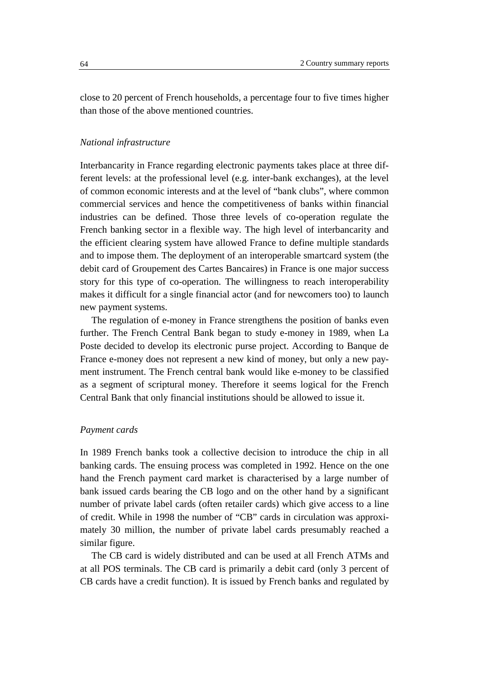close to 20 percent of French households, a percentage four to five times higher than those of the above mentioned countries.

## *National infrastructure*

Interbancarity in France regarding electronic payments takes place at three different levels: at the professional level (e.g. inter-bank exchanges), at the level of common economic interests and at the level of "bank clubs", where common commercial services and hence the competitiveness of banks within financial industries can be defined. Those three levels of co-operation regulate the French banking sector in a flexible way. The high level of interbancarity and the efficient clearing system have allowed France to define multiple standards and to impose them. The deployment of an interoperable smartcard system (the debit card of Groupement des Cartes Bancaires) in France is one major success story for this type of co-operation. The willingness to reach interoperability makes it difficult for a single financial actor (and for newcomers too) to launch new payment systems.

The regulation of e-money in France strengthens the position of banks even further. The French Central Bank began to study e-money in 1989, when La Poste decided to develop its electronic purse project. According to Banque de France e-money does not represent a new kind of money, but only a new payment instrument. The French central bank would like e-money to be classified as a segment of scriptural money. Therefore it seems logical for the French Central Bank that only financial institutions should be allowed to issue it.

### *Payment cards*

In 1989 French banks took a collective decision to introduce the chip in all banking cards. The ensuing process was completed in 1992. Hence on the one hand the French payment card market is characterised by a large number of bank issued cards bearing the CB logo and on the other hand by a significant number of private label cards (often retailer cards) which give access to a line of credit. While in 1998 the number of "CB" cards in circulation was approximately 30 million, the number of private label cards presumably reached a similar figure.

The CB card is widely distributed and can be used at all French ATMs and at all POS terminals. The CB card is primarily a debit card (only 3 percent of CB cards have a credit function). It is issued by French banks and regulated by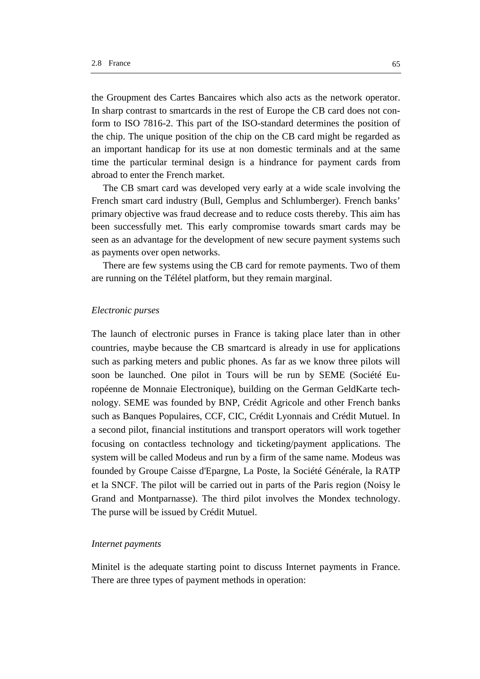the Groupment des Cartes Bancaires which also acts as the network operator. In sharp contrast to smartcards in the rest of Europe the CB card does not conform to ISO 7816-2. This part of the ISO-standard determines the position of the chip. The unique position of the chip on the CB card might be regarded as an important handicap for its use at non domestic terminals and at the same time the particular terminal design is a hindrance for payment cards from abroad to enter the French market.

The CB smart card was developed very early at a wide scale involving the French smart card industry (Bull, Gemplus and Schlumberger). French banks' primary objective was fraud decrease and to reduce costs thereby. This aim has been successfully met. This early compromise towards smart cards may be seen as an advantage for the development of new secure payment systems such as payments over open networks.

There are few systems using the CB card for remote payments. Two of them are running on the Télétel platform, but they remain marginal.

#### *Electronic purses*

The launch of electronic purses in France is taking place later than in other countries, maybe because the CB smartcard is already in use for applications such as parking meters and public phones. As far as we know three pilots will soon be launched. One pilot in Tours will be run by SEME (Société Européenne de Monnaie Electronique), building on the German GeldKarte technology. SEME was founded by BNP, Crédit Agricole and other French banks such as Banques Populaires, CCF, CIC, Crédit Lyonnais and Crédit Mutuel. In a second pilot, financial institutions and transport operators will work together focusing on contactless technology and ticketing/payment applications. The system will be called Modeus and run by a firm of the same name. Modeus was founded by Groupe Caisse d'Epargne, La Poste, la Société Générale, la RATP et la SNCF. The pilot will be carried out in parts of the Paris region (Noisy le Grand and Montparnasse). The third pilot involves the Mondex technology. The purse will be issued by Crédit Mutuel.

## *Internet payments*

Minitel is the adequate starting point to discuss Internet payments in France. There are three types of payment methods in operation: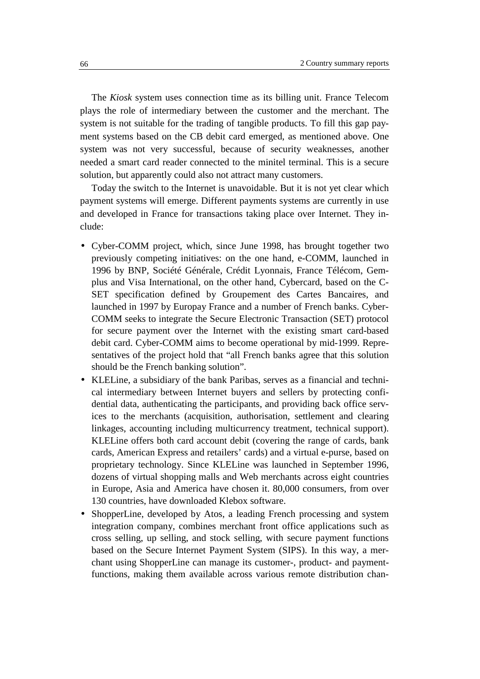The *Kiosk* system uses connection time as its billing unit. France Telecom plays the role of intermediary between the customer and the merchant. The system is not suitable for the trading of tangible products. To fill this gap payment systems based on the CB debit card emerged, as mentioned above. One system was not very successful, because of security weaknesses, another needed a smart card reader connected to the minitel terminal. This is a secure solution, but apparently could also not attract many customers.

Today the switch to the Internet is unavoidable. But it is not yet clear which payment systems will emerge. Different payments systems are currently in use and developed in France for transactions taking place over Internet. They include:

- Cyber-COMM project, which, since June 1998, has brought together two previously competing initiatives: on the one hand, e-COMM, launched in 1996 by BNP, Société Générale, Crédit Lyonnais, France Télécom, Gemplus and Visa International, on the other hand, Cybercard, based on the C-SET specification defined by Groupement des Cartes Bancaires, and launched in 1997 by Europay France and a number of French banks. Cyber-COMM seeks to integrate the Secure Electronic Transaction (SET) protocol for secure payment over the Internet with the existing smart card-based debit card. Cyber-COMM aims to become operational by mid-1999. Representatives of the project hold that "all French banks agree that this solution should be the French banking solution".
- KLELine, a subsidiary of the bank Paribas, serves as a financial and technical intermediary between Internet buyers and sellers by protecting confidential data, authenticating the participants, and providing back office services to the merchants (acquisition, authorisation, settlement and clearing linkages, accounting including multicurrency treatment, technical support). KLELine offers both card account debit (covering the range of cards, bank cards, American Express and retailers' cards) and a virtual e-purse, based on proprietary technology. Since KLELine was launched in September 1996, dozens of virtual shopping malls and Web merchants across eight countries in Europe, Asia and America have chosen it. 80,000 consumers, from over 130 countries, have downloaded Klebox software.
- ShopperLine, developed by Atos, a leading French processing and system integration company, combines merchant front office applications such as cross selling, up selling, and stock selling, with secure payment functions based on the Secure Internet Payment System (SIPS). In this way, a merchant using ShopperLine can manage its customer-, product- and paymentfunctions, making them available across various remote distribution chan-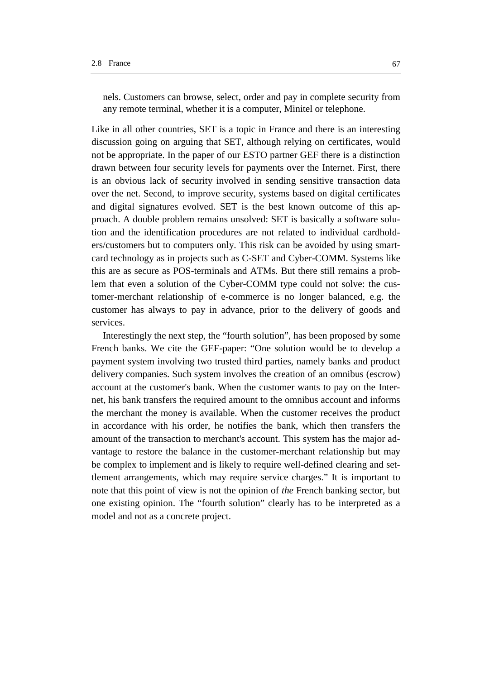Like in all other countries, SET is a topic in France and there is an interesting discussion going on arguing that SET, although relying on certificates, would not be appropriate. In the paper of our ESTO partner GEF there is a distinction drawn between four security levels for payments over the Internet. First, there is an obvious lack of security involved in sending sensitive transaction data over the net. Second, to improve security, systems based on digital certificates and digital signatures evolved. SET is the best known outcome of this approach. A double problem remains unsolved: SET is basically a software solution and the identification procedures are not related to individual cardholders/customers but to computers only. This risk can be avoided by using smartcard technology as in projects such as C-SET and Cyber-COMM. Systems like this are as secure as POS-terminals and ATMs. But there still remains a problem that even a solution of the Cyber-COMM type could not solve: the customer-merchant relationship of e-commerce is no longer balanced, e.g. the customer has always to pay in advance, prior to the delivery of goods and services.

Interestingly the next step, the "fourth solution", has been proposed by some French banks. We cite the GEF-paper: "One solution would be to develop a payment system involving two trusted third parties, namely banks and product delivery companies. Such system involves the creation of an omnibus (escrow) account at the customer's bank. When the customer wants to pay on the Internet, his bank transfers the required amount to the omnibus account and informs the merchant the money is available. When the customer receives the product in accordance with his order, he notifies the bank, which then transfers the amount of the transaction to merchant's account. This system has the major advantage to restore the balance in the customer-merchant relationship but may be complex to implement and is likely to require well-defined clearing and settlement arrangements, which may require service charges." It is important to note that this point of view is not the opinion of *the* French banking sector, but one existing opinion. The "fourth solution" clearly has to be interpreted as a model and not as a concrete project.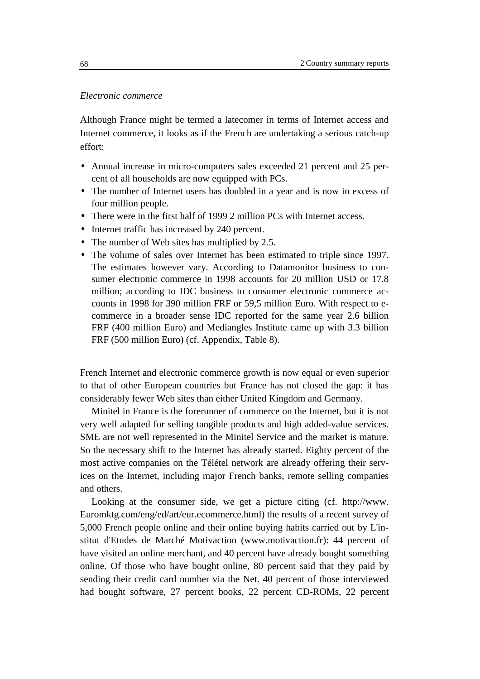## *Electronic commerce*

Although France might be termed a latecomer in terms of Internet access and Internet commerce, it looks as if the French are undertaking a serious catch-up effort:

- Annual increase in micro-computers sales exceeded 21 percent and 25 percent of all households are now equipped with PCs.
- The number of Internet users has doubled in a year and is now in excess of four million people.
- There were in the first half of 1999 2 million PCs with Internet access.
- Internet traffic has increased by 240 percent.
- The number of Web sites has multiplied by 2.5.
- The volume of sales over Internet has been estimated to triple since 1997. The estimates however vary. According to Datamonitor business to consumer electronic commerce in 1998 accounts for 20 million USD or 17.8 million; according to IDC business to consumer electronic commerce accounts in 1998 for 390 million FRF or 59,5 million Euro. With respect to ecommerce in a broader sense IDC reported for the same year 2.6 billion FRF (400 million Euro) and Mediangles Institute came up with 3.3 billion FRF (500 million Euro) (cf. Appendix, Table 8).

French Internet and electronic commerce growth is now equal or even superior to that of other European countries but France has not closed the gap: it has considerably fewer Web sites than either United Kingdom and Germany.

Minitel in France is the forerunner of commerce on the Internet, but it is not very well adapted for selling tangible products and high added-value services. SME are not well represented in the Minitel Service and the market is mature. So the necessary shift to the Internet has already started. Eighty percent of the most active companies on the Télétel network are already offering their services on the Internet, including major French banks, remote selling companies and others.

Looking at the consumer side, we get a picture citing (cf. http://www. Euromktg.com/eng/ed/art/eur.ecommerce.html) the results of a recent survey of 5,000 French people online and their online buying habits carried out by L'institut d'Etudes de Marché Motivaction (www.motivaction.fr): 44 percent of have visited an online merchant, and 40 percent have already bought something online. Of those who have bought online, 80 percent said that they paid by sending their credit card number via the Net. 40 percent of those interviewed had bought software, 27 percent books, 22 percent CD-ROMs, 22 percent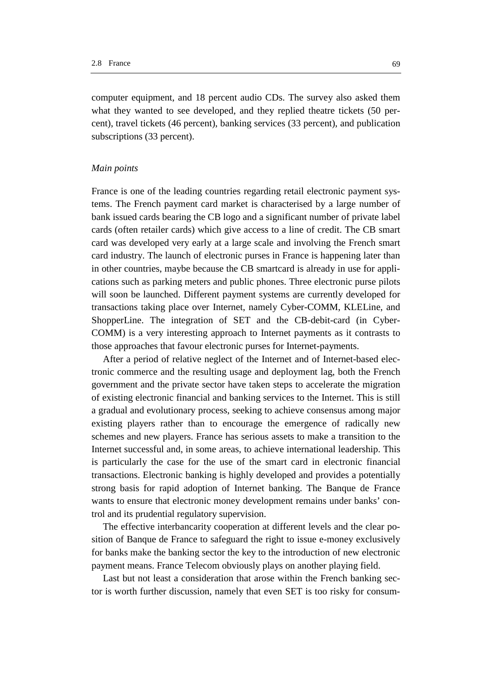computer equipment, and 18 percent audio CDs. The survey also asked them what they wanted to see developed, and they replied theatre tickets (50 percent), travel tickets (46 percent), banking services (33 percent), and publication subscriptions (33 percent).

## *Main points*

France is one of the leading countries regarding retail electronic payment systems. The French payment card market is characterised by a large number of bank issued cards bearing the CB logo and a significant number of private label cards (often retailer cards) which give access to a line of credit. The CB smart card was developed very early at a large scale and involving the French smart card industry. The launch of electronic purses in France is happening later than in other countries, maybe because the CB smartcard is already in use for applications such as parking meters and public phones. Three electronic purse pilots will soon be launched. Different payment systems are currently developed for transactions taking place over Internet, namely Cyber-COMM, KLELine, and ShopperLine. The integration of SET and the CB-debit-card (in Cyber-COMM) is a very interesting approach to Internet payments as it contrasts to those approaches that favour electronic purses for Internet-payments.

After a period of relative neglect of the Internet and of Internet-based electronic commerce and the resulting usage and deployment lag, both the French government and the private sector have taken steps to accelerate the migration of existing electronic financial and banking services to the Internet. This is still a gradual and evolutionary process, seeking to achieve consensus among major existing players rather than to encourage the emergence of radically new schemes and new players. France has serious assets to make a transition to the Internet successful and, in some areas, to achieve international leadership. This is particularly the case for the use of the smart card in electronic financial transactions. Electronic banking is highly developed and provides a potentially strong basis for rapid adoption of Internet banking. The Banque de France wants to ensure that electronic money development remains under banks' control and its prudential regulatory supervision.

The effective interbancarity cooperation at different levels and the clear position of Banque de France to safeguard the right to issue e-money exclusively for banks make the banking sector the key to the introduction of new electronic payment means. France Telecom obviously plays on another playing field.

Last but not least a consideration that arose within the French banking sector is worth further discussion, namely that even SET is too risky for consum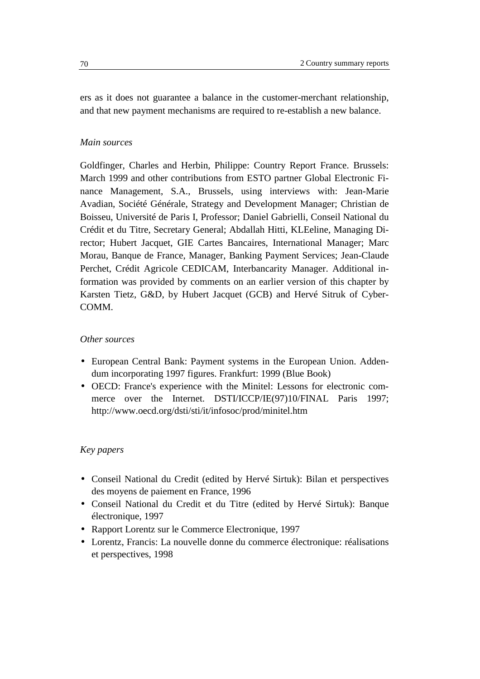ers as it does not guarantee a balance in the customer-merchant relationship, and that new payment mechanisms are required to re-establish a new balance.

## *Main sources*

Goldfinger, Charles and Herbin, Philippe: Country Report France. Brussels: March 1999 and other contributions from ESTO partner Global Electronic Finance Management, S.A., Brussels, using interviews with: Jean-Marie Avadian, Société Générale, Strategy and Development Manager; Christian de Boisseu, Université de Paris I, Professor; Daniel Gabrielli, Conseil National du Crédit et du Titre, Secretary General; Abdallah Hitti, KLEeline, Managing Director; Hubert Jacquet, GIE Cartes Bancaires, International Manager; Marc Morau, Banque de France, Manager, Banking Payment Services; Jean-Claude Perchet, Crédit Agricole CEDICAM, Interbancarity Manager. Additional information was provided by comments on an earlier version of this chapter by Karsten Tietz, G&D, by Hubert Jacquet (GCB) and Hervé Sitruk of Cyber-COMM.

## *Other sources*

- European Central Bank: Payment systems in the European Union. Addendum incorporating 1997 figures. Frankfurt: 1999 (Blue Book)
- OECD: France's experience with the Minitel: Lessons for electronic commerce over the Internet. DSTI/ICCP/IE(97)10/FINAL Paris 1997; http://www.oecd.org/dsti/sti/it/infosoc/prod/minitel.htm

## *Key papers*

- Conseil National du Credit (edited by Hervé Sirtuk): Bilan et perspectives des moyens de paiement en France, 1996
- Conseil National du Credit et du Titre (edited by Hervé Sirtuk): Banque électronique, 1997
- Rapport Lorentz sur le Commerce Electronique, 1997
- Lorentz, Francis: La nouvelle donne du commerce électronique: réalisations et perspectives, 1998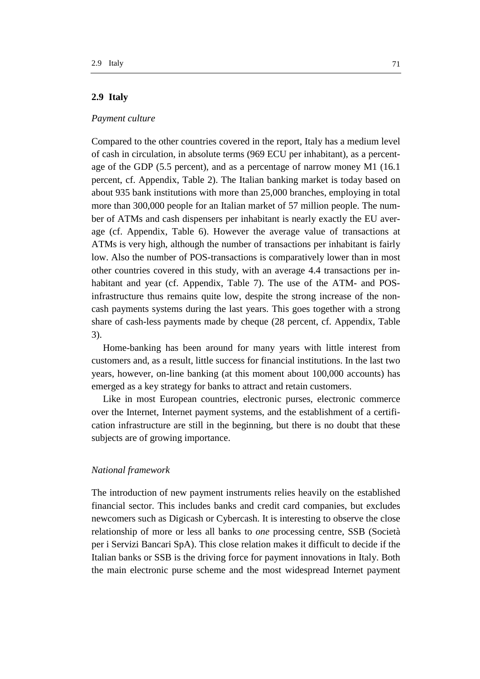## **2.9 Italy**

## *Payment culture*

Compared to the other countries covered in the report, Italy has a medium level of cash in circulation, in absolute terms (969 ECU per inhabitant), as a percentage of the GDP (5.5 percent), and as a percentage of narrow money M1 (16.1 percent, cf. Appendix, Table 2). The Italian banking market is today based on about 935 bank institutions with more than 25,000 branches, employing in total more than 300,000 people for an Italian market of 57 million people. The number of ATMs and cash dispensers per inhabitant is nearly exactly the EU average (cf. Appendix, Table 6). However the average value of transactions at ATMs is very high, although the number of transactions per inhabitant is fairly low. Also the number of POS-transactions is comparatively lower than in most other countries covered in this study, with an average 4.4 transactions per inhabitant and year (cf. Appendix, Table 7). The use of the ATM- and POSinfrastructure thus remains quite low, despite the strong increase of the noncash payments systems during the last years. This goes together with a strong share of cash-less payments made by cheque (28 percent, cf. Appendix, Table 3).

Home-banking has been around for many years with little interest from customers and, as a result, little success for financial institutions. In the last two years, however, on-line banking (at this moment about 100,000 accounts) has emerged as a key strategy for banks to attract and retain customers.

Like in most European countries, electronic purses, electronic commerce over the Internet, Internet payment systems, and the establishment of a certification infrastructure are still in the beginning, but there is no doubt that these subjects are of growing importance.

#### *National framework*

The introduction of new payment instruments relies heavily on the established financial sector. This includes banks and credit card companies, but excludes newcomers such as Digicash or Cybercash. It is interesting to observe the close relationship of more or less all banks to *one* processing centre, SSB (Società per i Servizi Bancari SpA). This close relation makes it difficult to decide if the Italian banks or SSB is the driving force for payment innovations in Italy. Both the main electronic purse scheme and the most widespread Internet payment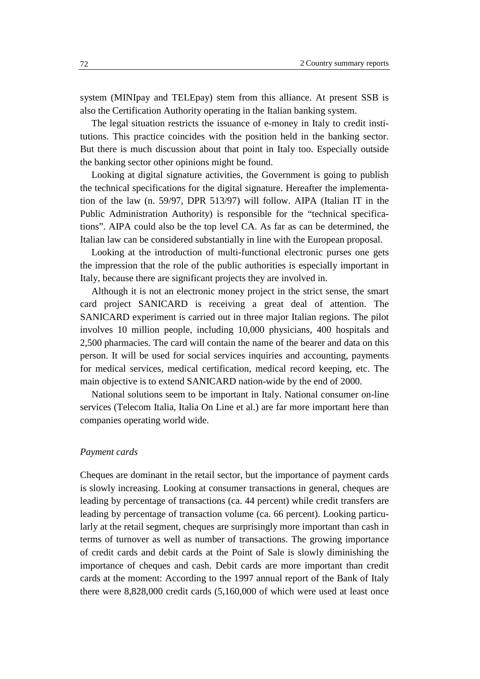system (MINIpay and TELEpay) stem from this alliance. At present SSB is also the Certification Authority operating in the Italian banking system.

The legal situation restricts the issuance of e-money in Italy to credit institutions. This practice coincides with the position held in the banking sector. But there is much discussion about that point in Italy too. Especially outside the banking sector other opinions might be found.

Looking at digital signature activities, the Government is going to publish the technical specifications for the digital signature. Hereafter the implementation of the law (n. 59/97, DPR 513/97) will follow. AIPA (Italian IT in the Public Administration Authority) is responsible for the "technical specifications". AIPA could also be the top level CA. As far as can be determined, the Italian law can be considered substantially in line with the European proposal.

Looking at the introduction of multi-functional electronic purses one gets the impression that the role of the public authorities is especially important in Italy, because there are significant projects they are involved in.

Although it is not an electronic money project in the strict sense, the smart card project SANICARD is receiving a great deal of attention. The SANICARD experiment is carried out in three major Italian regions. The pilot involves 10 million people, including 10,000 physicians, 400 hospitals and 2,500 pharmacies. The card will contain the name of the bearer and data on this person. It will be used for social services inquiries and accounting, payments for medical services, medical certification, medical record keeping, etc. The main objective is to extend SANICARD nation-wide by the end of 2000.

National solutions seem to be important in Italy. National consumer on-line services (Telecom Italia, Italia On Line et al.) are far more important here than companies operating world wide.

#### *Payment cards*

Cheques are dominant in the retail sector, but the importance of payment cards is slowly increasing. Looking at consumer transactions in general, cheques are leading by percentage of transactions (ca. 44 percent) while credit transfers are leading by percentage of transaction volume (ca. 66 percent). Looking particularly at the retail segment, cheques are surprisingly more important than cash in terms of turnover as well as number of transactions. The growing importance of credit cards and debit cards at the Point of Sale is slowly diminishing the importance of cheques and cash. Debit cards are more important than credit cards at the moment: According to the 1997 annual report of the Bank of Italy there were 8,828,000 credit cards (5,160,000 of which were used at least once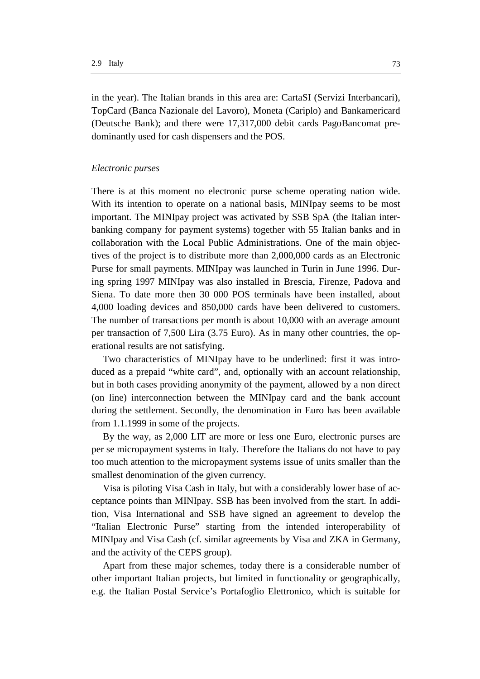in the year). The Italian brands in this area are: CartaSI (Servizi Interbancari), TopCard (Banca Nazionale del Lavoro), Moneta (Cariplo) and Bankamericard (Deutsche Bank); and there were 17,317,000 debit cards PagoBancomat predominantly used for cash dispensers and the POS.

#### *Electronic purses*

There is at this moment no electronic purse scheme operating nation wide. With its intention to operate on a national basis, MINIpay seems to be most important. The MINIpay project was activated by SSB SpA (the Italian interbanking company for payment systems) together with 55 Italian banks and in collaboration with the Local Public Administrations. One of the main objectives of the project is to distribute more than 2,000,000 cards as an Electronic Purse for small payments. MINIpay was launched in Turin in June 1996. During spring 1997 MINIpay was also installed in Brescia, Firenze, Padova and Siena. To date more then 30 000 POS terminals have been installed, about 4,000 loading devices and 850,000 cards have been delivered to customers. The number of transactions per month is about 10,000 with an average amount per transaction of 7,500 Lira (3.75 Euro). As in many other countries, the operational results are not satisfying.

Two characteristics of MINIpay have to be underlined: first it was introduced as a prepaid "white card", and, optionally with an account relationship, but in both cases providing anonymity of the payment, allowed by a non direct (on line) interconnection between the MINIpay card and the bank account during the settlement. Secondly, the denomination in Euro has been available from 1.1.1999 in some of the projects.

By the way, as 2,000 LIT are more or less one Euro, electronic purses are per se micropayment systems in Italy. Therefore the Italians do not have to pay too much attention to the micropayment systems issue of units smaller than the smallest denomination of the given currency.

Visa is piloting Visa Cash in Italy, but with a considerably lower base of acceptance points than MINIpay. SSB has been involved from the start. In addition, Visa International and SSB have signed an agreement to develop the "Italian Electronic Purse" starting from the intended interoperability of MINIpay and Visa Cash (cf. similar agreements by Visa and ZKA in Germany, and the activity of the CEPS group).

Apart from these major schemes, today there is a considerable number of other important Italian projects, but limited in functionality or geographically, e.g. the Italian Postal Service's Portafoglio Elettronico, which is suitable for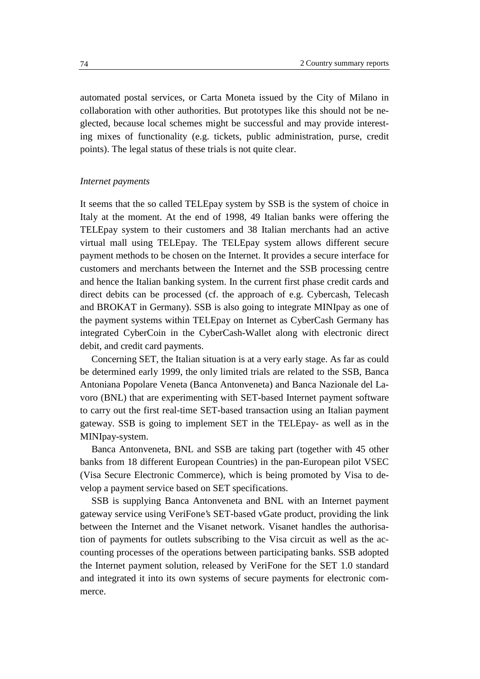automated postal services, or Carta Moneta issued by the City of Milano in collaboration with other authorities. But prototypes like this should not be neglected, because local schemes might be successful and may provide interesting mixes of functionality (e.g. tickets, public administration, purse, credit points). The legal status of these trials is not quite clear.

## *Internet payments*

It seems that the so called TELEpay system by SSB is the system of choice in Italy at the moment. At the end of 1998, 49 Italian banks were offering the TELEpay system to their customers and 38 Italian merchants had an active virtual mall using TELEpay. The TELEpay system allows different secure payment methods to be chosen on the Internet. It provides a secure interface for customers and merchants between the Internet and the SSB processing centre and hence the Italian banking system. In the current first phase credit cards and direct debits can be processed (cf. the approach of e.g. Cybercash, Telecash and BROKAT in Germany). SSB is also going to integrate MINIpay as one of the payment systems within TELEpay on Internet as CyberCash Germany has integrated CyberCoin in the CyberCash-Wallet along with electronic direct debit, and credit card payments.

Concerning SET, the Italian situation is at a very early stage. As far as could be determined early 1999, the only limited trials are related to the SSB, Banca Antoniana Popolare Veneta (Banca Antonveneta) and Banca Nazionale del Lavoro (BNL) that are experimenting with SET-based Internet payment software to carry out the first real-time SET-based transaction using an Italian payment gateway. SSB is going to implement SET in the TELEpay- as well as in the MINIpay-system.

Banca Antonveneta, BNL and SSB are taking part (together with 45 other banks from 18 different European Countries) in the pan-European pilot VSEC (Visa Secure Electronic Commerce), which is being promoted by Visa to develop a payment service based on SET specifications.

SSB is supplying Banca Antonveneta and BNL with an Internet payment gateway service using VeriFone's SET-based vGate product, providing the link between the Internet and the Visanet network. Visanet handles the authorisation of payments for outlets subscribing to the Visa circuit as well as the accounting processes of the operations between participating banks. SSB adopted the Internet payment solution, released by VeriFone for the SET 1.0 standard and integrated it into its own systems of secure payments for electronic commerce.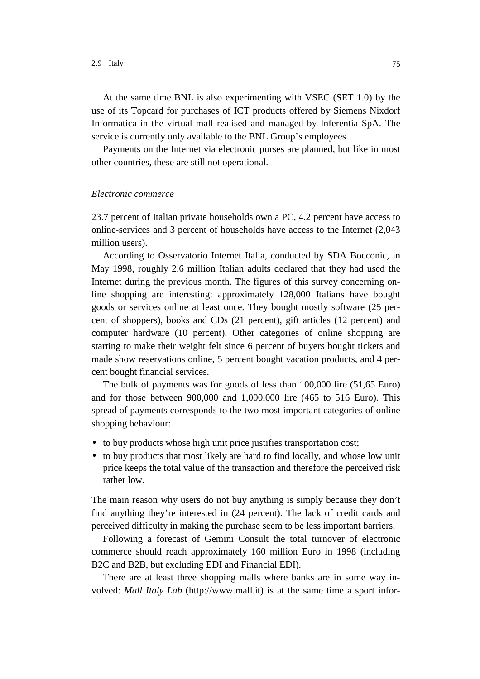At the same time BNL is also experimenting with VSEC (SET 1.0) by the use of its Topcard for purchases of ICT products offered by Siemens Nixdorf Informatica in the virtual mall realised and managed by Inferentia SpA. The service is currently only available to the BNL Group's employees.

Payments on the Internet via electronic purses are planned, but like in most other countries, these are still not operational.

#### *Electronic commerce*

23.7 percent of Italian private households own a PC, 4.2 percent have access to online-services and 3 percent of households have access to the Internet (2,043 million users).

According to Osservatorio Internet Italia, conducted by SDA Bocconic, in May 1998, roughly 2,6 million Italian adults declared that they had used the Internet during the previous month. The figures of this survey concerning online shopping are interesting: approximately 128,000 Italians have bought goods or services online at least once. They bought mostly software (25 percent of shoppers), books and CDs (21 percent), gift articles (12 percent) and computer hardware (10 percent). Other categories of online shopping are starting to make their weight felt since 6 percent of buyers bought tickets and made show reservations online, 5 percent bought vacation products, and 4 percent bought financial services.

The bulk of payments was for goods of less than 100,000 lire (51,65 Euro) and for those between 900,000 and 1,000,000 lire (465 to 516 Euro). This spread of payments corresponds to the two most important categories of online shopping behaviour:

- to buy products whose high unit price justifies transportation cost;
- to buy products that most likely are hard to find locally, and whose low unit price keeps the total value of the transaction and therefore the perceived risk rather low.

The main reason why users do not buy anything is simply because they don't find anything they're interested in (24 percent). The lack of credit cards and perceived difficulty in making the purchase seem to be less important barriers.

Following a forecast of Gemini Consult the total turnover of electronic commerce should reach approximately 160 million Euro in 1998 (including B2C and B2B, but excluding EDI and Financial EDI).

There are at least three shopping malls where banks are in some way involved: *Mall Italy Lab* (http://www.mall.it) is at the same time a sport infor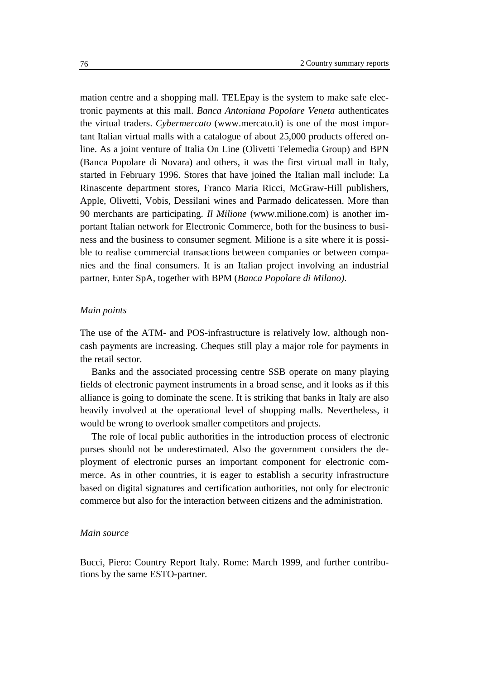mation centre and a shopping mall. TELEpay is the system to make safe electronic payments at this mall. *Banca Antoniana Popolare Veneta* authenticates the virtual traders. *Cybermercato* (www.mercato.it) is one of the most important Italian virtual malls with a catalogue of about 25,000 products offered online. As a joint venture of Italia On Line (Olivetti Telemedia Group) and BPN (Banca Popolare di Novara) and others, it was the first virtual mall in Italy, started in February 1996. Stores that have joined the Italian mall include: La Rinascente department stores, Franco Maria Ricci, McGraw-Hill publishers, Apple, Olivetti, Vobis, Dessilani wines and Parmado delicatessen. More than 90 merchants are participating. *Il Milione* (www.milione.com) is another important Italian network for Electronic Commerce, both for the business to business and the business to consumer segment. Milione is a site where it is possible to realise commercial transactions between companies or between companies and the final consumers. It is an Italian project involving an industrial partner, Enter SpA, together with BPM (*Banca Popolare di Milano)*.

#### *Main points*

The use of the ATM- and POS-infrastructure is relatively low, although noncash payments are increasing. Cheques still play a major role for payments in the retail sector.

Banks and the associated processing centre SSB operate on many playing fields of electronic payment instruments in a broad sense, and it looks as if this alliance is going to dominate the scene. It is striking that banks in Italy are also heavily involved at the operational level of shopping malls. Nevertheless, it would be wrong to overlook smaller competitors and projects.

The role of local public authorities in the introduction process of electronic purses should not be underestimated. Also the government considers the deployment of electronic purses an important component for electronic commerce. As in other countries, it is eager to establish a security infrastructure based on digital signatures and certification authorities, not only for electronic commerce but also for the interaction between citizens and the administration.

## *Main source*

Bucci, Piero: Country Report Italy. Rome: March 1999, and further contributions by the same ESTO-partner.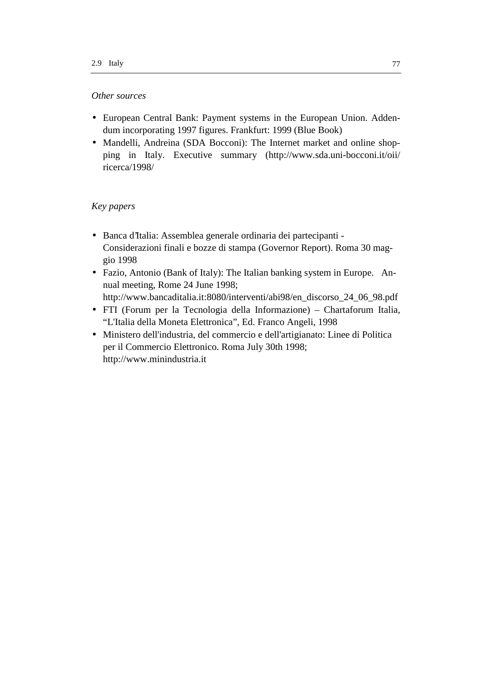## *Other sources*

- European Central Bank: Payment systems in the European Union. Addendum incorporating 1997 figures. Frankfurt: 1999 (Blue Book)
- Mandelli, Andreina (SDA Bocconi): The Internet market and online shopping in Italy. Executive summary (http://www.sda.uni-bocconi.it/oii/ ricerca/1998/

## *Key papers*

- Banca d'Italia: Assemblea generale ordinaria dei partecipanti Considerazioni finali e bozze di stampa (Governor Report). Roma 30 maggio 1998
- Fazio, Antonio (Bank of Italy): The Italian banking system in Europe. Annual meeting, Rome 24 June 1998; http://www.bancaditalia.it:8080/interventi/abi98/en\_discorso\_24\_06\_98.pdf
- FTI (Forum per la Tecnologia della Informazione) Chartaforum Italia, "L'Italia della Moneta Elettronica", Ed. Franco Angeli, 1998
- Ministero dell'industria, del commercio e dell'artigianato: Linee di Politica per il Commercio Elettronico. Roma July 30th 1998; http://www.minindustria.it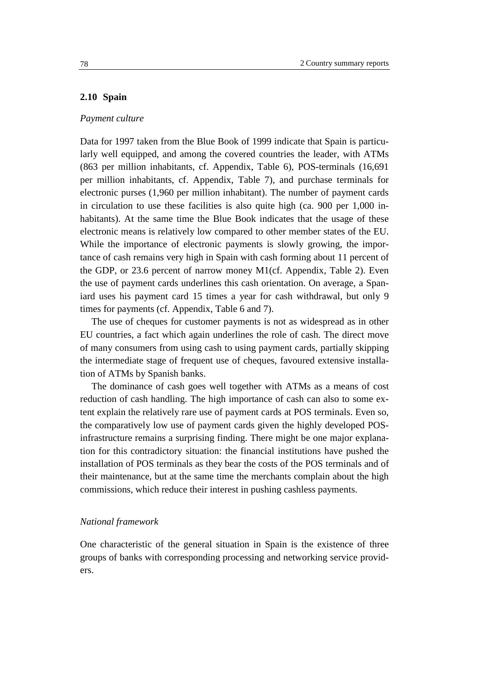## **2.10 Spain**

## *Payment culture*

Data for 1997 taken from the Blue Book of 1999 indicate that Spain is particularly well equipped, and among the covered countries the leader, with ATMs (863 per million inhabitants, cf. Appendix, Table 6), POS-terminals (16,691 per million inhabitants, cf. Appendix, Table 7), and purchase terminals for electronic purses (1,960 per million inhabitant). The number of payment cards in circulation to use these facilities is also quite high (ca. 900 per 1,000 inhabitants). At the same time the Blue Book indicates that the usage of these electronic means is relatively low compared to other member states of the EU. While the importance of electronic payments is slowly growing, the importance of cash remains very high in Spain with cash forming about 11 percent of the GDP, or 23.6 percent of narrow money M1(cf. Appendix, Table 2). Even the use of payment cards underlines this cash orientation. On average, a Spaniard uses his payment card 15 times a year for cash withdrawal, but only 9 times for payments (cf. Appendix, Table 6 and 7).

The use of cheques for customer payments is not as widespread as in other EU countries, a fact which again underlines the role of cash. The direct move of many consumers from using cash to using payment cards, partially skipping the intermediate stage of frequent use of cheques, favoured extensive installation of ATMs by Spanish banks.

The dominance of cash goes well together with ATMs as a means of cost reduction of cash handling. The high importance of cash can also to some extent explain the relatively rare use of payment cards at POS terminals. Even so, the comparatively low use of payment cards given the highly developed POSinfrastructure remains a surprising finding. There might be one major explanation for this contradictory situation: the financial institutions have pushed the installation of POS terminals as they bear the costs of the POS terminals and of their maintenance, but at the same time the merchants complain about the high commissions, which reduce their interest in pushing cashless payments.

## *National framework*

One characteristic of the general situation in Spain is the existence of three groups of banks with corresponding processing and networking service providers.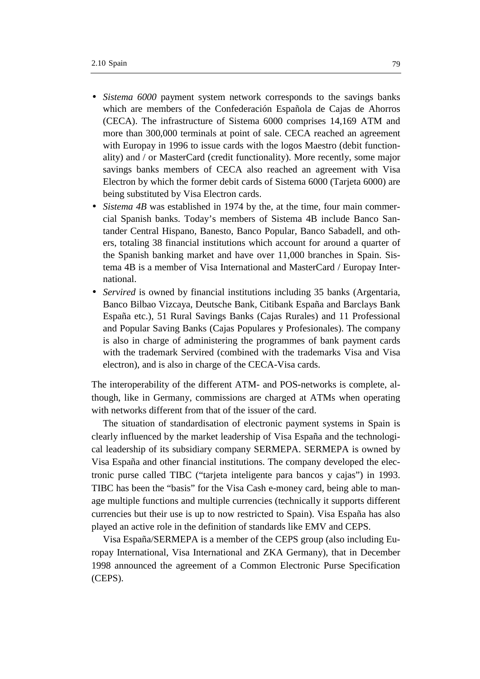- *Sistema 6000* payment system network corresponds to the savings banks which are members of the Confederación Española de Cajas de Ahorros (CECA). The infrastructure of Sistema 6000 comprises 14,169 ATM and more than 300,000 terminals at point of sale. CECA reached an agreement with Europay in 1996 to issue cards with the logos Maestro (debit functionality) and / or MasterCard (credit functionality). More recently, some major savings banks members of CECA also reached an agreement with Visa Electron by which the former debit cards of Sistema 6000 (Tarjeta 6000) are being substituted by Visa Electron cards.
- *Sistema 4B* was established in 1974 by the, at the time, four main commercial Spanish banks. Today's members of Sistema 4B include Banco Santander Central Hispano, Banesto, Banco Popular, Banco Sabadell, and others, totaling 38 financial institutions which account for around a quarter of the Spanish banking market and have over 11,000 branches in Spain. Sistema 4B is a member of Visa International and MasterCard / Europay International.
- *Servired* is owned by financial institutions including 35 banks (Argentaria, Banco Bilbao Vizcaya, Deutsche Bank, Citibank España and Barclays Bank España etc.), 51 Rural Savings Banks (Cajas Rurales) and 11 Professional and Popular Saving Banks (Cajas Populares y Profesionales). The company is also in charge of administering the programmes of bank payment cards with the trademark Servired (combined with the trademarks Visa and Visa electron), and is also in charge of the CECA-Visa cards.

The interoperability of the different ATM- and POS-networks is complete, although, like in Germany, commissions are charged at ATMs when operating with networks different from that of the issuer of the card.

The situation of standardisation of electronic payment systems in Spain is clearly influenced by the market leadership of Visa España and the technological leadership of its subsidiary company SERMEPA. SERMEPA is owned by Visa España and other financial institutions. The company developed the electronic purse called TIBC ("tarjeta inteligente para bancos y cajas") in 1993. TIBC has been the "basis" for the Visa Cash e-money card, being able to manage multiple functions and multiple currencies (technically it supports different currencies but their use is up to now restricted to Spain). Visa España has also played an active role in the definition of standards like EMV and CEPS.

Visa España/SERMEPA is a member of the CEPS group (also including Europay International, Visa International and ZKA Germany), that in December 1998 announced the agreement of a Common Electronic Purse Specification (CEPS).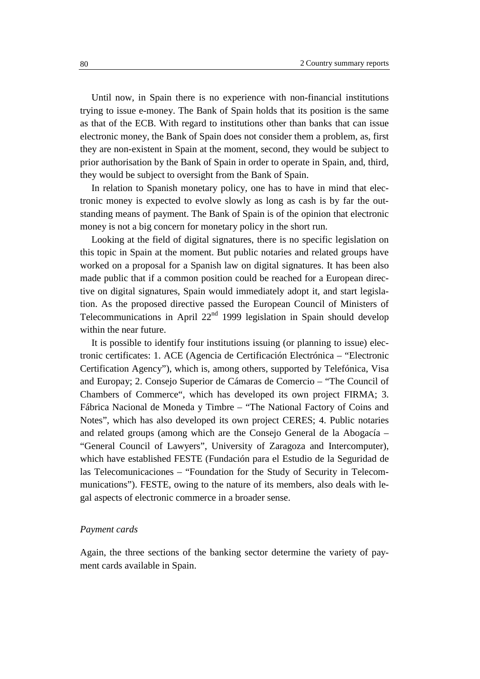Until now, in Spain there is no experience with non-financial institutions trying to issue e-money. The Bank of Spain holds that its position is the same as that of the ECB. With regard to institutions other than banks that can issue electronic money, the Bank of Spain does not consider them a problem, as, first they are non-existent in Spain at the moment, second, they would be subject to prior authorisation by the Bank of Spain in order to operate in Spain, and, third, they would be subject to oversight from the Bank of Spain.

In relation to Spanish monetary policy, one has to have in mind that electronic money is expected to evolve slowly as long as cash is by far the outstanding means of payment. The Bank of Spain is of the opinion that electronic money is not a big concern for monetary policy in the short run.

Looking at the field of digital signatures, there is no specific legislation on this topic in Spain at the moment. But public notaries and related groups have worked on a proposal for a Spanish law on digital signatures. It has been also made public that if a common position could be reached for a European directive on digital signatures, Spain would immediately adopt it, and start legislation. As the proposed directive passed the European Council of Ministers of Telecommunications in April  $22<sup>nd</sup>$  1999 legislation in Spain should develop within the near future.

It is possible to identify four institutions issuing (or planning to issue) electronic certificates: 1. ACE (Agencia de Certificación Electrónica – "Electronic Certification Agency"), which is, among others, supported by Telefónica, Visa and Europay; 2. Consejo Superior de Cámaras de Comercio – "The Council of Chambers of Commerce", which has developed its own project FIRMA; 3. Fábrica Nacional de Moneda y Timbre – "The National Factory of Coins and Notes", which has also developed its own project CERES; 4. Public notaries and related groups (among which are the Consejo General de la Abogacía – "General Council of Lawyers", University of Zaragoza and Intercomputer), which have established FESTE (Fundación para el Estudio de la Seguridad de las Telecomunicaciones – "Foundation for the Study of Security in Telecommunications"). FESTE, owing to the nature of its members, also deals with legal aspects of electronic commerce in a broader sense.

#### *Payment cards*

Again, the three sections of the banking sector determine the variety of payment cards available in Spain.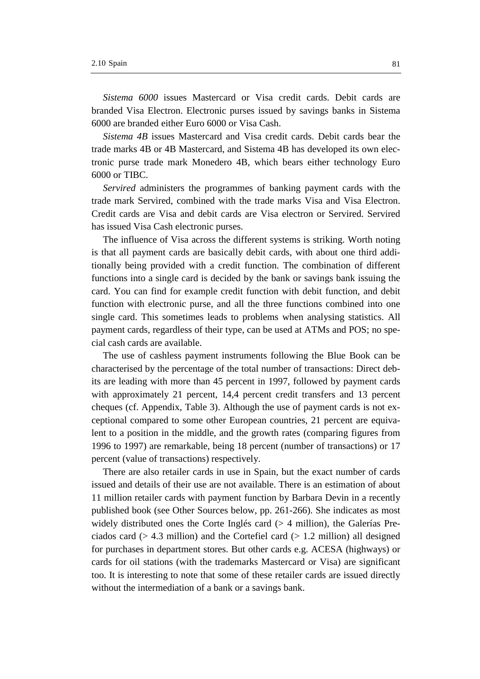*Sistema 6000* issues Mastercard or Visa credit cards. Debit cards are branded Visa Electron. Electronic purses issued by savings banks in Sistema 6000 are branded either Euro 6000 or Visa Cash.

*Sistema 4B* issues Mastercard and Visa credit cards. Debit cards bear the trade marks 4B or 4B Mastercard, and Sistema 4B has developed its own electronic purse trade mark Monedero 4B, which bears either technology Euro 6000 or TIBC.

*Servired* administers the programmes of banking payment cards with the trade mark Servired, combined with the trade marks Visa and Visa Electron. Credit cards are Visa and debit cards are Visa electron or Servired. Servired has issued Visa Cash electronic purses.

The influence of Visa across the different systems is striking. Worth noting is that all payment cards are basically debit cards, with about one third additionally being provided with a credit function. The combination of different functions into a single card is decided by the bank or savings bank issuing the card. You can find for example credit function with debit function, and debit function with electronic purse, and all the three functions combined into one single card. This sometimes leads to problems when analysing statistics. All payment cards, regardless of their type, can be used at ATMs and POS; no special cash cards are available.

The use of cashless payment instruments following the Blue Book can be characterised by the percentage of the total number of transactions: Direct debits are leading with more than 45 percent in 1997, followed by payment cards with approximately 21 percent, 14,4 percent credit transfers and 13 percent cheques (cf. Appendix, Table 3). Although the use of payment cards is not exceptional compared to some other European countries, 21 percent are equivalent to a position in the middle, and the growth rates (comparing figures from 1996 to 1997) are remarkable, being 18 percent (number of transactions) or 17 percent (value of transactions) respectively.

There are also retailer cards in use in Spain, but the exact number of cards issued and details of their use are not available. There is an estimation of about 11 million retailer cards with payment function by Barbara Devin in a recently published book (see Other Sources below, pp. 261-266). She indicates as most widely distributed ones the Corte Inglés card  $(> 4 \text{ million})$ , the Galerías Preciados card ( $> 4.3$  million) and the Cortefiel card ( $> 1.2$  million) all designed for purchases in department stores. But other cards e.g. ACESA (highways) or cards for oil stations (with the trademarks Mastercard or Visa) are significant too. It is interesting to note that some of these retailer cards are issued directly without the intermediation of a bank or a savings bank.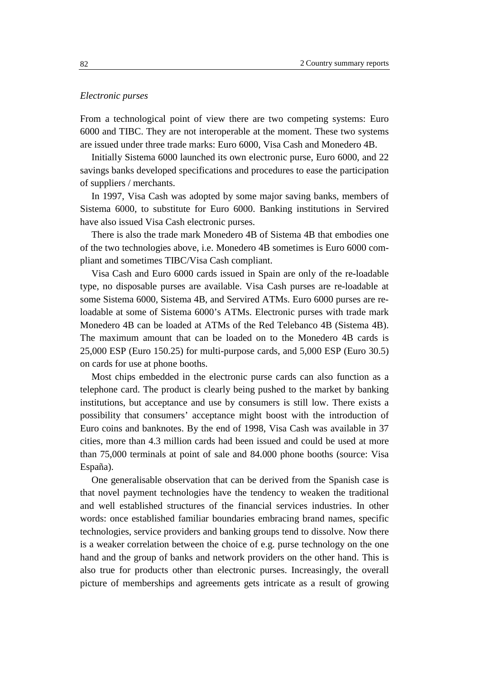## *Electronic purses*

From a technological point of view there are two competing systems: Euro 6000 and TIBC. They are not interoperable at the moment. These two systems are issued under three trade marks: Euro 6000, Visa Cash and Monedero 4B.

Initially Sistema 6000 launched its own electronic purse, Euro 6000, and 22 savings banks developed specifications and procedures to ease the participation of suppliers / merchants.

In 1997, Visa Cash was adopted by some major saving banks, members of Sistema 6000, to substitute for Euro 6000. Banking institutions in Servired have also issued Visa Cash electronic purses.

There is also the trade mark Monedero 4B of Sistema 4B that embodies one of the two technologies above, i.e. Monedero 4B sometimes is Euro 6000 compliant and sometimes TIBC/Visa Cash compliant.

Visa Cash and Euro 6000 cards issued in Spain are only of the re-loadable type, no disposable purses are available. Visa Cash purses are re-loadable at some Sistema 6000, Sistema 4B, and Servired ATMs. Euro 6000 purses are reloadable at some of Sistema 6000's ATMs. Electronic purses with trade mark Monedero 4B can be loaded at ATMs of the Red Telebanco 4B (Sistema 4B). The maximum amount that can be loaded on to the Monedero 4B cards is 25,000 ESP (Euro 150.25) for multi-purpose cards, and 5,000 ESP (Euro 30.5) on cards for use at phone booths.

Most chips embedded in the electronic purse cards can also function as a telephone card. The product is clearly being pushed to the market by banking institutions, but acceptance and use by consumers is still low. There exists a possibility that consumers' acceptance might boost with the introduction of Euro coins and banknotes. By the end of 1998, Visa Cash was available in 37 cities, more than 4.3 million cards had been issued and could be used at more than 75,000 terminals at point of sale and 84.000 phone booths (source: Visa España).

One generalisable observation that can be derived from the Spanish case is that novel payment technologies have the tendency to weaken the traditional and well established structures of the financial services industries. In other words: once established familiar boundaries embracing brand names, specific technologies, service providers and banking groups tend to dissolve. Now there is a weaker correlation between the choice of e.g. purse technology on the one hand and the group of banks and network providers on the other hand. This is also true for products other than electronic purses. Increasingly, the overall picture of memberships and agreements gets intricate as a result of growing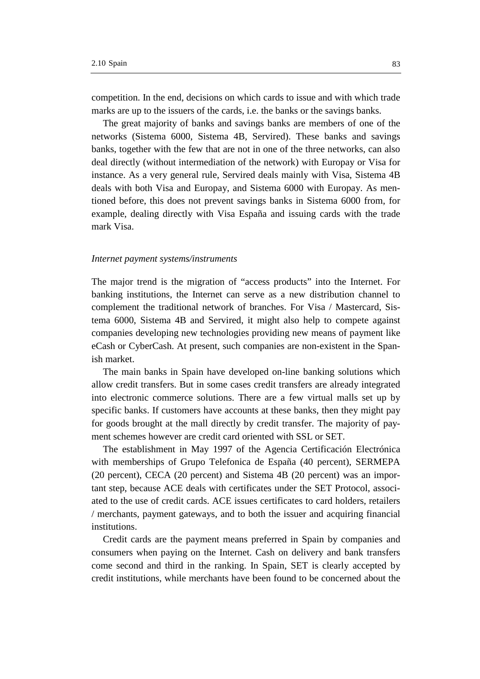competition. In the end, decisions on which cards to issue and with which trade marks are up to the issuers of the cards, i.e. the banks or the savings banks.

The great majority of banks and savings banks are members of one of the networks (Sistema 6000, Sistema 4B, Servired). These banks and savings banks, together with the few that are not in one of the three networks, can also deal directly (without intermediation of the network) with Europay or Visa for instance. As a very general rule, Servired deals mainly with Visa, Sistema 4B deals with both Visa and Europay, and Sistema 6000 with Europay. As mentioned before, this does not prevent savings banks in Sistema 6000 from, for example, dealing directly with Visa España and issuing cards with the trade mark Visa.

#### *Internet payment systems/instruments*

The major trend is the migration of "access products" into the Internet. For banking institutions, the Internet can serve as a new distribution channel to complement the traditional network of branches. For Visa / Mastercard, Sistema 6000, Sistema 4B and Servired, it might also help to compete against companies developing new technologies providing new means of payment like eCash or CyberCash. At present, such companies are non-existent in the Spanish market.

The main banks in Spain have developed on-line banking solutions which allow credit transfers. But in some cases credit transfers are already integrated into electronic commerce solutions. There are a few virtual malls set up by specific banks. If customers have accounts at these banks, then they might pay for goods brought at the mall directly by credit transfer. The majority of payment schemes however are credit card oriented with SSL or SET.

The establishment in May 1997 of the Agencia Certificación Electrónica with memberships of Grupo Telefonica de España (40 percent), SERMEPA (20 percent), CECA (20 percent) and Sistema 4B (20 percent) was an important step, because ACE deals with certificates under the SET Protocol, associated to the use of credit cards. ACE issues certificates to card holders, retailers / merchants, payment gateways, and to both the issuer and acquiring financial institutions.

Credit cards are the payment means preferred in Spain by companies and consumers when paying on the Internet. Cash on delivery and bank transfers come second and third in the ranking. In Spain, SET is clearly accepted by credit institutions, while merchants have been found to be concerned about the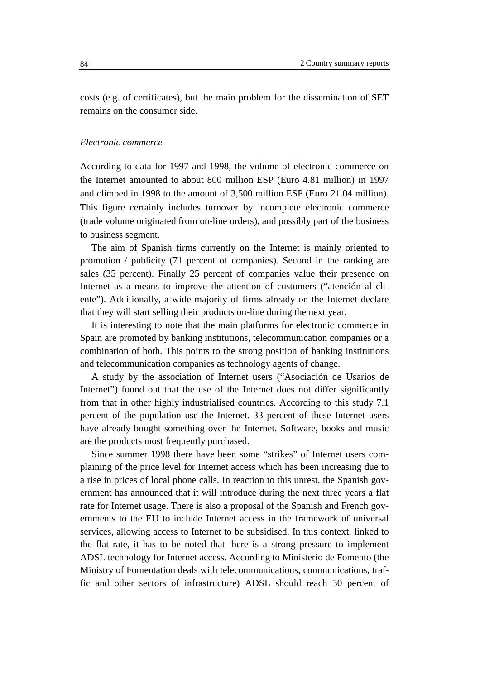costs (e.g. of certificates), but the main problem for the dissemination of SET remains on the consumer side.

### *Electronic commerce*

According to data for 1997 and 1998, the volume of electronic commerce on the Internet amounted to about 800 million ESP (Euro 4.81 million) in 1997 and climbed in 1998 to the amount of 3,500 million ESP (Euro 21.04 million). This figure certainly includes turnover by incomplete electronic commerce (trade volume originated from on-line orders), and possibly part of the business to business segment.

The aim of Spanish firms currently on the Internet is mainly oriented to promotion / publicity (71 percent of companies). Second in the ranking are sales (35 percent). Finally 25 percent of companies value their presence on Internet as a means to improve the attention of customers ("atención al cliente"). Additionally, a wide majority of firms already on the Internet declare that they will start selling their products on-line during the next year.

It is interesting to note that the main platforms for electronic commerce in Spain are promoted by banking institutions, telecommunication companies or a combination of both. This points to the strong position of banking institutions and telecommunication companies as technology agents of change.

A study by the association of Internet users ("Asociación de Usarios de Internet") found out that the use of the Internet does not differ significantly from that in other highly industrialised countries. According to this study 7.1 percent of the population use the Internet. 33 percent of these Internet users have already bought something over the Internet. Software, books and music are the products most frequently purchased.

Since summer 1998 there have been some "strikes" of Internet users complaining of the price level for Internet access which has been increasing due to a rise in prices of local phone calls. In reaction to this unrest, the Spanish government has announced that it will introduce during the next three years a flat rate for Internet usage. There is also a proposal of the Spanish and French governments to the EU to include Internet access in the framework of universal services, allowing access to Internet to be subsidised. In this context, linked to the flat rate, it has to be noted that there is a strong pressure to implement ADSL technology for Internet access. According to Ministerio de Fomento (the Ministry of Fomentation deals with telecommunications, communications, traffic and other sectors of infrastructure) ADSL should reach 30 percent of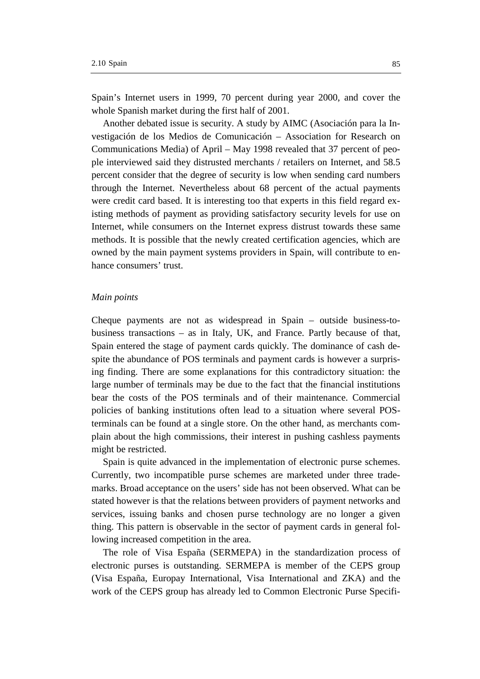Spain's Internet users in 1999, 70 percent during year 2000, and cover the whole Spanish market during the first half of 2001.

Another debated issue is security. A study by AIMC (Asociación para la Investigación de los Medios de Comunicación – Association for Research on Communications Media) of April – May 1998 revealed that 37 percent of people interviewed said they distrusted merchants / retailers on Internet, and 58.5 percent consider that the degree of security is low when sending card numbers through the Internet. Nevertheless about 68 percent of the actual payments were credit card based. It is interesting too that experts in this field regard existing methods of payment as providing satisfactory security levels for use on Internet, while consumers on the Internet express distrust towards these same methods. It is possible that the newly created certification agencies, which are owned by the main payment systems providers in Spain, will contribute to enhance consumers' trust.

## *Main points*

Cheque payments are not as widespread in Spain – outside business-tobusiness transactions – as in Italy, UK, and France. Partly because of that, Spain entered the stage of payment cards quickly. The dominance of cash despite the abundance of POS terminals and payment cards is however a surprising finding. There are some explanations for this contradictory situation: the large number of terminals may be due to the fact that the financial institutions bear the costs of the POS terminals and of their maintenance. Commercial policies of banking institutions often lead to a situation where several POSterminals can be found at a single store. On the other hand, as merchants complain about the high commissions, their interest in pushing cashless payments might be restricted.

Spain is quite advanced in the implementation of electronic purse schemes. Currently, two incompatible purse schemes are marketed under three trademarks. Broad acceptance on the users' side has not been observed. What can be stated however is that the relations between providers of payment networks and services, issuing banks and chosen purse technology are no longer a given thing. This pattern is observable in the sector of payment cards in general following increased competition in the area.

The role of Visa España (SERMEPA) in the standardization process of electronic purses is outstanding. SERMEPA is member of the CEPS group (Visa España, Europay International, Visa International and ZKA) and the work of the CEPS group has already led to Common Electronic Purse Specifi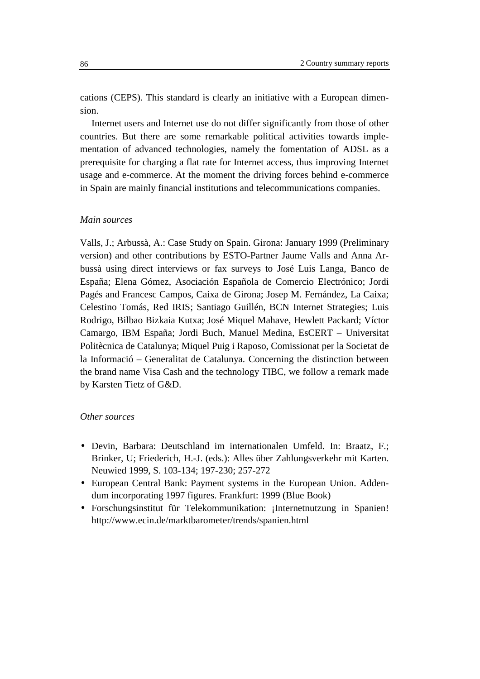cations (CEPS). This standard is clearly an initiative with a European dimension.

Internet users and Internet use do not differ significantly from those of other countries. But there are some remarkable political activities towards implementation of advanced technologies, namely the fomentation of ADSL as a prerequisite for charging a flat rate for Internet access, thus improving Internet usage and e-commerce. At the moment the driving forces behind e-commerce in Spain are mainly financial institutions and telecommunications companies.

## *Main sources*

Valls, J.; Arbussà, A.: Case Study on Spain. Girona: January 1999 (Preliminary version) and other contributions by ESTO-Partner Jaume Valls and Anna Arbussà using direct interviews or fax surveys to José Luis Langa, Banco de España; Elena Gómez, Asociación Española de Comercio Electrónico; Jordi Pagés and Francesc Campos, Caixa de Girona; Josep M. Fernández, La Caixa; Celestino Tomás, Red IRIS; Santiago Guillén, BCN Internet Strategies; Luis Rodrigo, Bilbao Bizkaia Kutxa; José Miquel Mahave, Hewlett Packard; Víctor Camargo, IBM España; Jordi Buch, Manuel Medina, EsCERT – Universitat Politècnica de Catalunya; Miquel Puig i Raposo, Comissionat per la Societat de la Informació – Generalitat de Catalunya. Concerning the distinction between the brand name Visa Cash and the technology TIBC, we follow a remark made by Karsten Tietz of G&D.

#### *Other sources*

- Devin, Barbara: Deutschland im internationalen Umfeld. In: Braatz, F.; Brinker, U; Friederich, H.-J. (eds.): Alles über Zahlungsverkehr mit Karten. Neuwied 1999, S. 103-134; 197-230; 257-272
- European Central Bank: Payment systems in the European Union. Addendum incorporating 1997 figures. Frankfurt: 1999 (Blue Book)
- Forschungsinstitut für Telekommunikation: ¡Internetnutzung in Spanien! http://www.ecin.de/marktbarometer/trends/spanien.html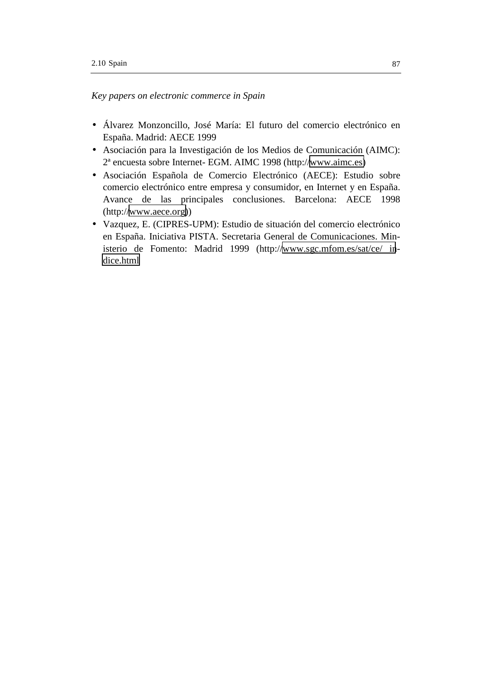## *Key papers on electronic commerce in Spain*

- Álvarez Monzoncillo, José María: El futuro del comercio electrónico en España. Madrid: AECE 1999
- Asociación para la Investigación de los Medios de Comunicación (AIMC): 2ª encuesta sobre Internet- EGM. AIMC 1998 (http:/[/www.aimc.es\)](http://www.aimc.es/)
- Asociación Española de Comercio Electrónico (AECE): Estudio sobre comercio electrónico entre empresa y consumidor, en Internet y en España. Avance de las principales conclusiones. Barcelona: AECE 1998 (http:/[/www.aece.org\)](http://www.aece.org/))
- Vazquez, E. (CIPRES-UPM): Estudio de situación del comercio electrónico en España. Iniciativa PISTA. Secretaria General de Comunicaciones. Ministerio de Fomento: Madrid 1999 (http:/[/www.sgc.mfom.es/sat/ce/ in](http://www.sgc.mfom.es/sat/ce/indice.html)[dice.html](http://www.sgc.mfom.es/sat/ce/indice.html)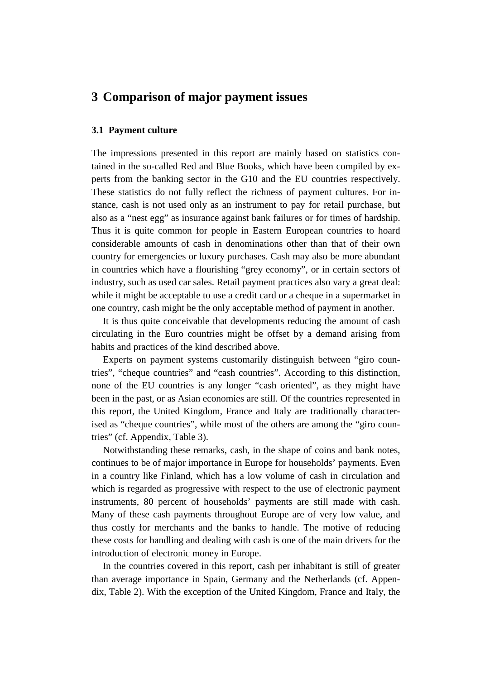# **3 Comparison of major payment issues**

## **3.1 Payment culture**

The impressions presented in this report are mainly based on statistics contained in the so-called Red and Blue Books, which have been compiled by experts from the banking sector in the G10 and the EU countries respectively. These statistics do not fully reflect the richness of payment cultures. For instance, cash is not used only as an instrument to pay for retail purchase, but also as a "nest egg" as insurance against bank failures or for times of hardship. Thus it is quite common for people in Eastern European countries to hoard considerable amounts of cash in denominations other than that of their own country for emergencies or luxury purchases. Cash may also be more abundant in countries which have a flourishing "grey economy", or in certain sectors of industry, such as used car sales. Retail payment practices also vary a great deal: while it might be acceptable to use a credit card or a cheque in a supermarket in one country, cash might be the only acceptable method of payment in another.

It is thus quite conceivable that developments reducing the amount of cash circulating in the Euro countries might be offset by a demand arising from habits and practices of the kind described above.

Experts on payment systems customarily distinguish between "giro countries", "cheque countries" and "cash countries". According to this distinction, none of the EU countries is any longer "cash oriented", as they might have been in the past, or as Asian economies are still. Of the countries represented in this report, the United Kingdom, France and Italy are traditionally characterised as "cheque countries", while most of the others are among the "giro countries" (cf. Appendix, Table 3).

Notwithstanding these remarks, cash, in the shape of coins and bank notes, continues to be of major importance in Europe for households' payments. Even in a country like Finland, which has a low volume of cash in circulation and which is regarded as progressive with respect to the use of electronic payment instruments, 80 percent of households' payments are still made with cash. Many of these cash payments throughout Europe are of very low value, and thus costly for merchants and the banks to handle. The motive of reducing these costs for handling and dealing with cash is one of the main drivers for the introduction of electronic money in Europe.

In the countries covered in this report, cash per inhabitant is still of greater than average importance in Spain, Germany and the Netherlands (cf. Appendix, Table 2). With the exception of the United Kingdom, France and Italy, the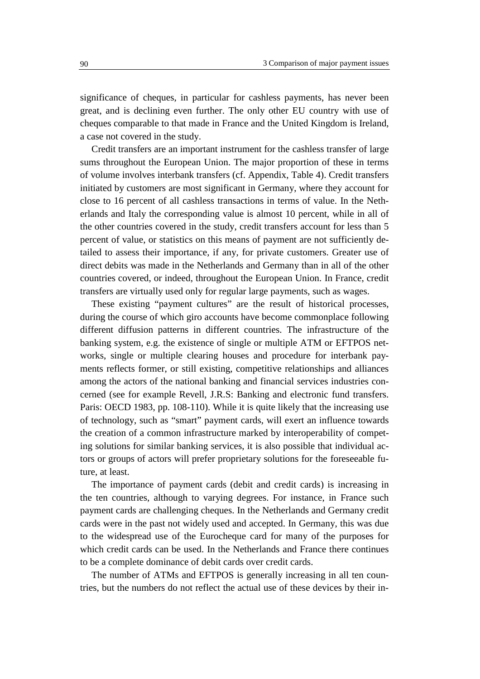significance of cheques, in particular for cashless payments, has never been great, and is declining even further. The only other EU country with use of cheques comparable to that made in France and the United Kingdom is Ireland, a case not covered in the study.

Credit transfers are an important instrument for the cashless transfer of large sums throughout the European Union. The major proportion of these in terms of volume involves interbank transfers (cf. Appendix, Table 4). Credit transfers initiated by customers are most significant in Germany, where they account for close to 16 percent of all cashless transactions in terms of value. In the Netherlands and Italy the corresponding value is almost 10 percent, while in all of the other countries covered in the study, credit transfers account for less than 5 percent of value, or statistics on this means of payment are not sufficiently detailed to assess their importance, if any, for private customers. Greater use of direct debits was made in the Netherlands and Germany than in all of the other countries covered, or indeed, throughout the European Union. In France, credit transfers are virtually used only for regular large payments, such as wages.

These existing "payment cultures" are the result of historical processes, during the course of which giro accounts have become commonplace following different diffusion patterns in different countries. The infrastructure of the banking system, e.g. the existence of single or multiple ATM or EFTPOS networks, single or multiple clearing houses and procedure for interbank payments reflects former, or still existing, competitive relationships and alliances among the actors of the national banking and financial services industries concerned (see for example Revell, J.R.S: Banking and electronic fund transfers. Paris: OECD 1983, pp. 108-110). While it is quite likely that the increasing use of technology, such as "smart" payment cards, will exert an influence towards the creation of a common infrastructure marked by interoperability of competing solutions for similar banking services, it is also possible that individual actors or groups of actors will prefer proprietary solutions for the foreseeable future, at least.

The importance of payment cards (debit and credit cards) is increasing in the ten countries, although to varying degrees. For instance, in France such payment cards are challenging cheques. In the Netherlands and Germany credit cards were in the past not widely used and accepted. In Germany, this was due to the widespread use of the Eurocheque card for many of the purposes for which credit cards can be used. In the Netherlands and France there continues to be a complete dominance of debit cards over credit cards.

The number of ATMs and EFTPOS is generally increasing in all ten countries, but the numbers do not reflect the actual use of these devices by their in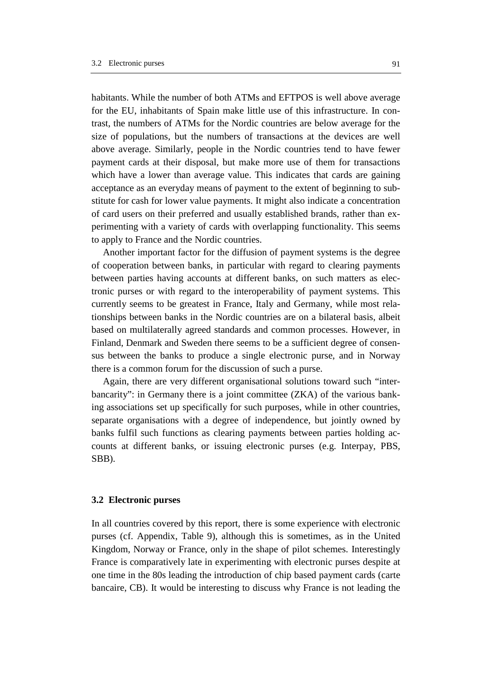habitants. While the number of both ATMs and EFTPOS is well above average for the EU, inhabitants of Spain make little use of this infrastructure. In contrast, the numbers of ATMs for the Nordic countries are below average for the size of populations, but the numbers of transactions at the devices are well above average. Similarly, people in the Nordic countries tend to have fewer payment cards at their disposal, but make more use of them for transactions which have a lower than average value. This indicates that cards are gaining acceptance as an everyday means of payment to the extent of beginning to substitute for cash for lower value payments. It might also indicate a concentration of card users on their preferred and usually established brands, rather than experimenting with a variety of cards with overlapping functionality. This seems to apply to France and the Nordic countries.

Another important factor for the diffusion of payment systems is the degree of cooperation between banks, in particular with regard to clearing payments between parties having accounts at different banks, on such matters as electronic purses or with regard to the interoperability of payment systems. This currently seems to be greatest in France, Italy and Germany, while most relationships between banks in the Nordic countries are on a bilateral basis, albeit based on multilaterally agreed standards and common processes. However, in Finland, Denmark and Sweden there seems to be a sufficient degree of consensus between the banks to produce a single electronic purse, and in Norway there is a common forum for the discussion of such a purse.

Again, there are very different organisational solutions toward such "interbancarity": in Germany there is a joint committee (ZKA) of the various banking associations set up specifically for such purposes, while in other countries, separate organisations with a degree of independence, but jointly owned by banks fulfil such functions as clearing payments between parties holding accounts at different banks, or issuing electronic purses (e.g. Interpay, PBS, SBB).

## **3.2 Electronic purses**

In all countries covered by this report, there is some experience with electronic purses (cf. Appendix, Table 9), although this is sometimes, as in the United Kingdom, Norway or France, only in the shape of pilot schemes. Interestingly France is comparatively late in experimenting with electronic purses despite at one time in the 80s leading the introduction of chip based payment cards (carte bancaire, CB). It would be interesting to discuss why France is not leading the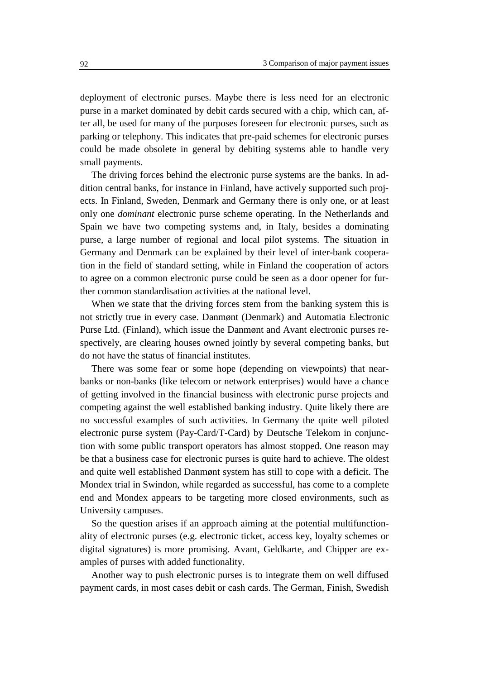deployment of electronic purses. Maybe there is less need for an electronic purse in a market dominated by debit cards secured with a chip, which can, after all, be used for many of the purposes foreseen for electronic purses, such as parking or telephony. This indicates that pre-paid schemes for electronic purses could be made obsolete in general by debiting systems able to handle very small payments.

The driving forces behind the electronic purse systems are the banks. In addition central banks, for instance in Finland, have actively supported such projects. In Finland, Sweden, Denmark and Germany there is only one, or at least only one *dominant* electronic purse scheme operating. In the Netherlands and Spain we have two competing systems and, in Italy, besides a dominating purse, a large number of regional and local pilot systems. The situation in Germany and Denmark can be explained by their level of inter-bank cooperation in the field of standard setting, while in Finland the cooperation of actors to agree on a common electronic purse could be seen as a door opener for further common standardisation activities at the national level.

When we state that the driving forces stem from the banking system this is not strictly true in every case. Danmønt (Denmark) and Automatia Electronic Purse Ltd. (Finland), which issue the Danmønt and Avant electronic purses respectively, are clearing houses owned jointly by several competing banks, but do not have the status of financial institutes.

There was some fear or some hope (depending on viewpoints) that nearbanks or non-banks (like telecom or network enterprises) would have a chance of getting involved in the financial business with electronic purse projects and competing against the well established banking industry. Quite likely there are no successful examples of such activities. In Germany the quite well piloted electronic purse system (Pay-Card/T-Card) by Deutsche Telekom in conjunction with some public transport operators has almost stopped. One reason may be that a business case for electronic purses is quite hard to achieve. The oldest and quite well established Danmønt system has still to cope with a deficit. The Mondex trial in Swindon, while regarded as successful, has come to a complete end and Mondex appears to be targeting more closed environments, such as University campuses.

So the question arises if an approach aiming at the potential multifunctionality of electronic purses (e.g. electronic ticket, access key, loyalty schemes or digital signatures) is more promising. Avant, Geldkarte, and Chipper are examples of purses with added functionality.

Another way to push electronic purses is to integrate them on well diffused payment cards, in most cases debit or cash cards. The German, Finish, Swedish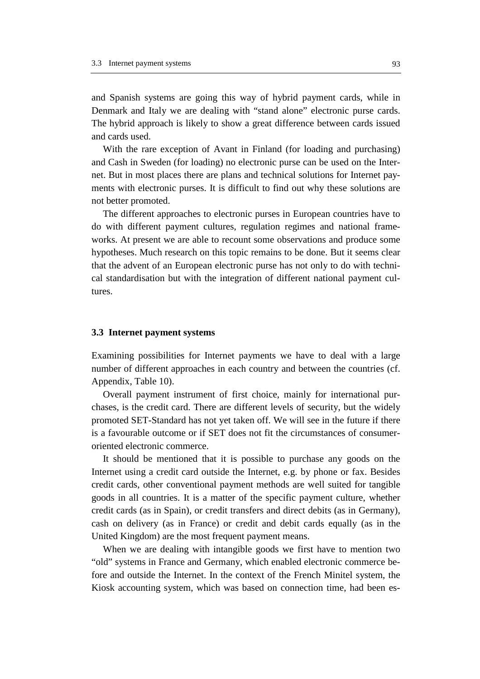and Spanish systems are going this way of hybrid payment cards, while in Denmark and Italy we are dealing with "stand alone" electronic purse cards. The hybrid approach is likely to show a great difference between cards issued and cards used.

With the rare exception of Avant in Finland (for loading and purchasing) and Cash in Sweden (for loading) no electronic purse can be used on the Internet. But in most places there are plans and technical solutions for Internet payments with electronic purses. It is difficult to find out why these solutions are not better promoted.

The different approaches to electronic purses in European countries have to do with different payment cultures, regulation regimes and national frameworks. At present we are able to recount some observations and produce some hypotheses. Much research on this topic remains to be done. But it seems clear that the advent of an European electronic purse has not only to do with technical standardisation but with the integration of different national payment cultures.

## **3.3 Internet payment systems**

Examining possibilities for Internet payments we have to deal with a large number of different approaches in each country and between the countries (cf. Appendix, Table 10).

Overall payment instrument of first choice, mainly for international purchases, is the credit card. There are different levels of security, but the widely promoted SET-Standard has not yet taken off. We will see in the future if there is a favourable outcome or if SET does not fit the circumstances of consumeroriented electronic commerce.

It should be mentioned that it is possible to purchase any goods on the Internet using a credit card outside the Internet, e.g. by phone or fax. Besides credit cards, other conventional payment methods are well suited for tangible goods in all countries. It is a matter of the specific payment culture, whether credit cards (as in Spain), or credit transfers and direct debits (as in Germany), cash on delivery (as in France) or credit and debit cards equally (as in the United Kingdom) are the most frequent payment means.

When we are dealing with intangible goods we first have to mention two "old" systems in France and Germany, which enabled electronic commerce before and outside the Internet. In the context of the French Minitel system, the Kiosk accounting system, which was based on connection time, had been es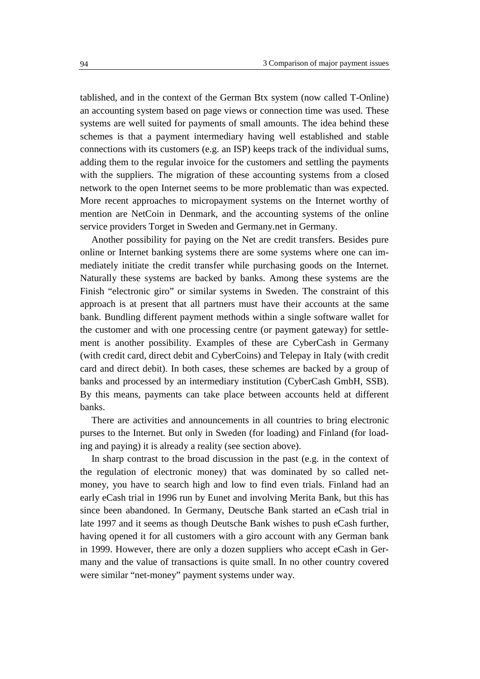tablished, and in the context of the German Btx system (now called T-Online) an accounting system based on page views or connection time was used. These systems are well suited for payments of small amounts. The idea behind these schemes is that a payment intermediary having well established and stable connections with its customers (e.g. an ISP) keeps track of the individual sums, adding them to the regular invoice for the customers and settling the payments with the suppliers. The migration of these accounting systems from a closed network to the open Internet seems to be more problematic than was expected. More recent approaches to micropayment systems on the Internet worthy of mention are NetCoin in Denmark, and the accounting systems of the online service providers Torget in Sweden and Germany.net in Germany.

Another possibility for paying on the Net are credit transfers. Besides pure online or Internet banking systems there are some systems where one can immediately initiate the credit transfer while purchasing goods on the Internet. Naturally these systems are backed by banks. Among these systems are the Finish "electronic giro" or similar systems in Sweden. The constraint of this approach is at present that all partners must have their accounts at the same bank. Bundling different payment methods within a single software wallet for the customer and with one processing centre (or payment gateway) for settlement is another possibility. Examples of these are CyberCash in Germany (with credit card, direct debit and CyberCoins) and Telepay in Italy (with credit card and direct debit). In both cases, these schemes are backed by a group of banks and processed by an intermediary institution (CyberCash GmbH, SSB). By this means, payments can take place between accounts held at different banks.

There are activities and announcements in all countries to bring electronic purses to the Internet. But only in Sweden (for loading) and Finland (for loading and paying) it is already a reality (see section above).

In sharp contrast to the broad discussion in the past (e.g. in the context of the regulation of electronic money) that was dominated by so called netmoney, you have to search high and low to find even trials. Finland had an early eCash trial in 1996 run by Eunet and involving Merita Bank, but this has since been abandoned. In Germany, Deutsche Bank started an eCash trial in late 1997 and it seems as though Deutsche Bank wishes to push eCash further, having opened it for all customers with a giro account with any German bank in 1999. However, there are only a dozen suppliers who accept eCash in Germany and the value of transactions is quite small. In no other country covered were similar "net-money" payment systems under way.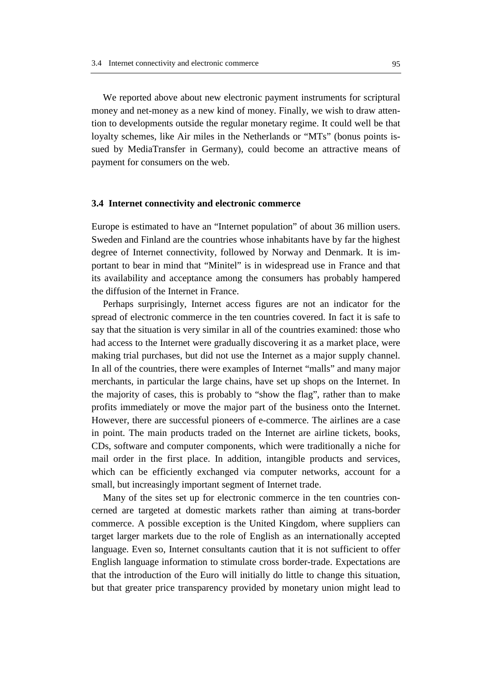We reported above about new electronic payment instruments for scriptural money and net-money as a new kind of money. Finally, we wish to draw attention to developments outside the regular monetary regime. It could well be that loyalty schemes, like Air miles in the Netherlands or "MTs" (bonus points issued by MediaTransfer in Germany), could become an attractive means of payment for consumers on the web.

#### **3.4 Internet connectivity and electronic commerce**

Europe is estimated to have an "Internet population" of about 36 million users. Sweden and Finland are the countries whose inhabitants have by far the highest degree of Internet connectivity, followed by Norway and Denmark. It is important to bear in mind that "Minitel" is in widespread use in France and that its availability and acceptance among the consumers has probably hampered the diffusion of the Internet in France.

Perhaps surprisingly, Internet access figures are not an indicator for the spread of electronic commerce in the ten countries covered. In fact it is safe to say that the situation is very similar in all of the countries examined: those who had access to the Internet were gradually discovering it as a market place, were making trial purchases, but did not use the Internet as a major supply channel. In all of the countries, there were examples of Internet "malls" and many major merchants, in particular the large chains, have set up shops on the Internet. In the majority of cases, this is probably to "show the flag", rather than to make profits immediately or move the major part of the business onto the Internet. However, there are successful pioneers of e-commerce. The airlines are a case in point. The main products traded on the Internet are airline tickets, books, CDs, software and computer components, which were traditionally a niche for mail order in the first place. In addition, intangible products and services, which can be efficiently exchanged via computer networks, account for a small, but increasingly important segment of Internet trade.

Many of the sites set up for electronic commerce in the ten countries concerned are targeted at domestic markets rather than aiming at trans-border commerce. A possible exception is the United Kingdom, where suppliers can target larger markets due to the role of English as an internationally accepted language. Even so, Internet consultants caution that it is not sufficient to offer English language information to stimulate cross border-trade. Expectations are that the introduction of the Euro will initially do little to change this situation, but that greater price transparency provided by monetary union might lead to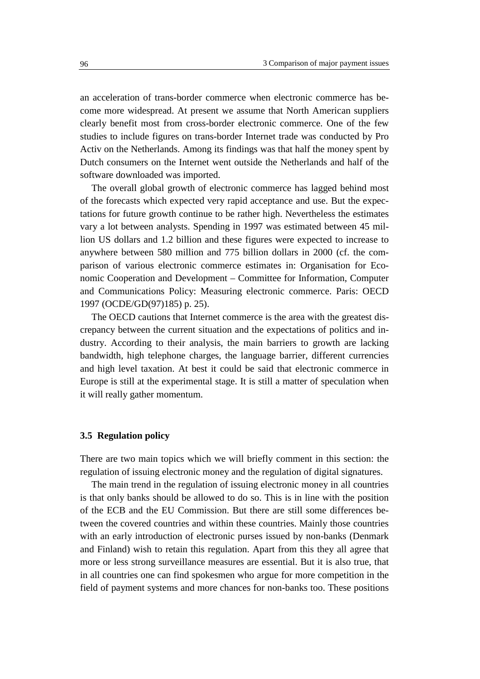an acceleration of trans-border commerce when electronic commerce has become more widespread. At present we assume that North American suppliers clearly benefit most from cross-border electronic commerce. One of the few studies to include figures on trans-border Internet trade was conducted by Pro Activ on the Netherlands. Among its findings was that half the money spent by Dutch consumers on the Internet went outside the Netherlands and half of the software downloaded was imported.

The overall global growth of electronic commerce has lagged behind most of the forecasts which expected very rapid acceptance and use. But the expectations for future growth continue to be rather high. Nevertheless the estimates vary a lot between analysts. Spending in 1997 was estimated between 45 million US dollars and 1.2 billion and these figures were expected to increase to anywhere between 580 million and 775 billion dollars in 2000 (cf. the comparison of various electronic commerce estimates in: Organisation for Economic Cooperation and Development – Committee for Information, Computer and Communications Policy: Measuring electronic commerce. Paris: OECD 1997 (OCDE/GD(97)185) p. 25).

The OECD cautions that Internet commerce is the area with the greatest discrepancy between the current situation and the expectations of politics and industry. According to their analysis, the main barriers to growth are lacking bandwidth, high telephone charges, the language barrier, different currencies and high level taxation. At best it could be said that electronic commerce in Europe is still at the experimental stage. It is still a matter of speculation when it will really gather momentum.

#### **3.5 Regulation policy**

There are two main topics which we will briefly comment in this section: the regulation of issuing electronic money and the regulation of digital signatures.

The main trend in the regulation of issuing electronic money in all countries is that only banks should be allowed to do so. This is in line with the position of the ECB and the EU Commission. But there are still some differences between the covered countries and within these countries. Mainly those countries with an early introduction of electronic purses issued by non-banks (Denmark and Finland) wish to retain this regulation. Apart from this they all agree that more or less strong surveillance measures are essential. But it is also true, that in all countries one can find spokesmen who argue for more competition in the field of payment systems and more chances for non-banks too. These positions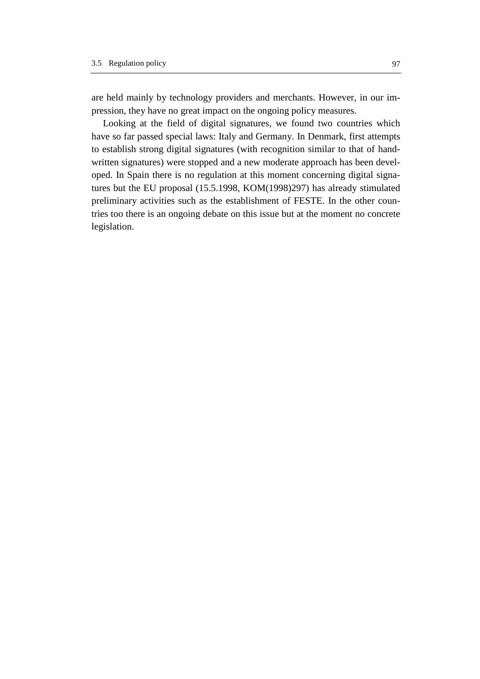are held mainly by technology providers and merchants. However, in our impression, they have no great impact on the ongoing policy measures.

Looking at the field of digital signatures, we found two countries which have so far passed special laws: Italy and Germany. In Denmark, first attempts to establish strong digital signatures (with recognition similar to that of handwritten signatures) were stopped and a new moderate approach has been developed. In Spain there is no regulation at this moment concerning digital signatures but the EU proposal (15.5.1998, KOM(1998)297) has already stimulated preliminary activities such as the establishment of FESTE. In the other countries too there is an ongoing debate on this issue but at the moment no concrete legislation.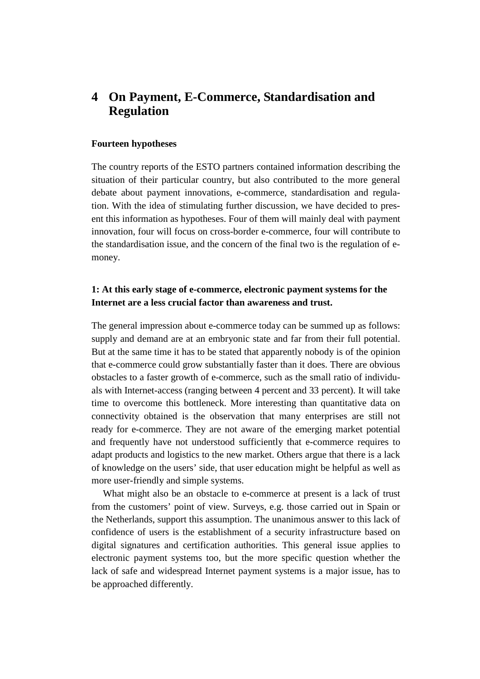# **4 On Payment, E-Commerce, Standardisation and Regulation**

#### **Fourteen hypotheses**

The country reports of the ESTO partners contained information describing the situation of their particular country, but also contributed to the more general debate about payment innovations, e-commerce, standardisation and regulation. With the idea of stimulating further discussion, we have decided to present this information as hypotheses. Four of them will mainly deal with payment innovation, four will focus on cross-border e-commerce, four will contribute to the standardisation issue, and the concern of the final two is the regulation of emoney.

## **1: At this early stage of e-commerce, electronic payment systems for the Internet are a less crucial factor than awareness and trust.**

The general impression about e-commerce today can be summed up as follows: supply and demand are at an embryonic state and far from their full potential. But at the same time it has to be stated that apparently nobody is of the opinion that e-commerce could grow substantially faster than it does. There are obvious obstacles to a faster growth of e-commerce, such as the small ratio of individuals with Internet-access (ranging between 4 percent and 33 percent). It will take time to overcome this bottleneck. More interesting than quantitative data on connectivity obtained is the observation that many enterprises are still not ready for e-commerce. They are not aware of the emerging market potential and frequently have not understood sufficiently that e-commerce requires to adapt products and logistics to the new market. Others argue that there is a lack of knowledge on the users' side, that user education might be helpful as well as more user-friendly and simple systems.

What might also be an obstacle to e-commerce at present is a lack of trust from the customers' point of view. Surveys, e.g. those carried out in Spain or the Netherlands, support this assumption. The unanimous answer to this lack of confidence of users is the establishment of a security infrastructure based on digital signatures and certification authorities. This general issue applies to electronic payment systems too, but the more specific question whether the lack of safe and widespread Internet payment systems is a major issue, has to be approached differently.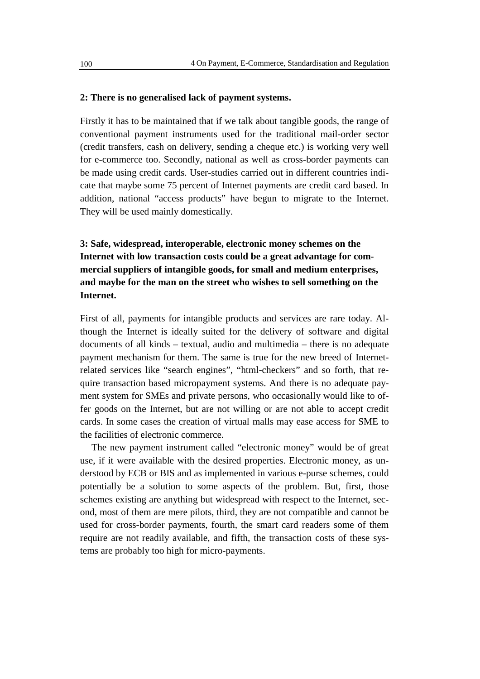#### **2: There is no generalised lack of payment systems.**

Firstly it has to be maintained that if we talk about tangible goods, the range of conventional payment instruments used for the traditional mail-order sector (credit transfers, cash on delivery, sending a cheque etc.) is working very well for e-commerce too. Secondly, national as well as cross-border payments can be made using credit cards. User-studies carried out in different countries indicate that maybe some 75 percent of Internet payments are credit card based. In addition, national "access products" have begun to migrate to the Internet. They will be used mainly domestically.

## **3: Safe, widespread, interoperable, electronic money schemes on the Internet with low transaction costs could be a great advantage for commercial suppliers of intangible goods, for small and medium enterprises, and maybe for the man on the street who wishes to sell something on the Internet.**

First of all, payments for intangible products and services are rare today. Although the Internet is ideally suited for the delivery of software and digital documents of all kinds – textual, audio and multimedia – there is no adequate payment mechanism for them. The same is true for the new breed of Internetrelated services like "search engines", "html-checkers" and so forth, that require transaction based micropayment systems. And there is no adequate payment system for SMEs and private persons, who occasionally would like to offer goods on the Internet, but are not willing or are not able to accept credit cards. In some cases the creation of virtual malls may ease access for SME to the facilities of electronic commerce.

The new payment instrument called "electronic money" would be of great use, if it were available with the desired properties. Electronic money, as understood by ECB or BIS and as implemented in various e-purse schemes, could potentially be a solution to some aspects of the problem. But, first, those schemes existing are anything but widespread with respect to the Internet, second, most of them are mere pilots, third, they are not compatible and cannot be used for cross-border payments, fourth, the smart card readers some of them require are not readily available, and fifth, the transaction costs of these systems are probably too high for micro-payments.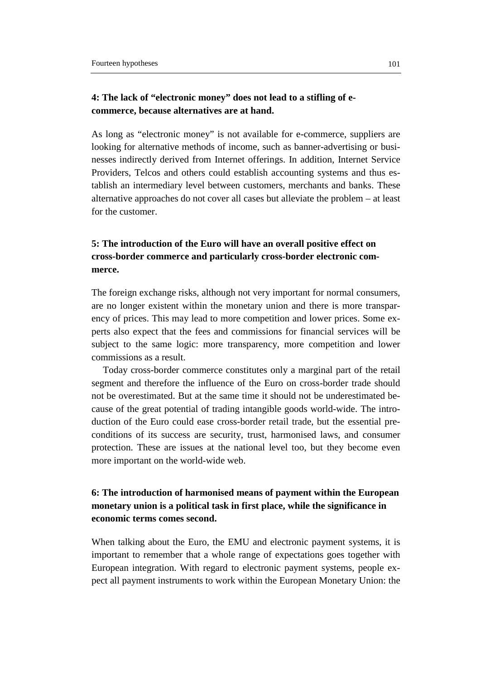## **4: The lack of "electronic money" does not lead to a stifling of ecommerce, because alternatives are at hand.**

As long as "electronic money" is not available for e-commerce, suppliers are looking for alternative methods of income, such as banner-advertising or businesses indirectly derived from Internet offerings. In addition, Internet Service Providers, Telcos and others could establish accounting systems and thus establish an intermediary level between customers, merchants and banks. These alternative approaches do not cover all cases but alleviate the problem – at least for the customer.

## **5: The introduction of the Euro will have an overall positive effect on cross-border commerce and particularly cross-border electronic commerce.**

The foreign exchange risks, although not very important for normal consumers, are no longer existent within the monetary union and there is more transparency of prices. This may lead to more competition and lower prices. Some experts also expect that the fees and commissions for financial services will be subject to the same logic: more transparency, more competition and lower commissions as a result.

Today cross-border commerce constitutes only a marginal part of the retail segment and therefore the influence of the Euro on cross-border trade should not be overestimated. But at the same time it should not be underestimated because of the great potential of trading intangible goods world-wide. The introduction of the Euro could ease cross-border retail trade, but the essential preconditions of its success are security, trust, harmonised laws, and consumer protection. These are issues at the national level too, but they become even more important on the world-wide web.

## **6: The introduction of harmonised means of payment within the European monetary union is a political task in first place, while the significance in economic terms comes second.**

When talking about the Euro, the EMU and electronic payment systems, it is important to remember that a whole range of expectations goes together with European integration. With regard to electronic payment systems, people expect all payment instruments to work within the European Monetary Union: the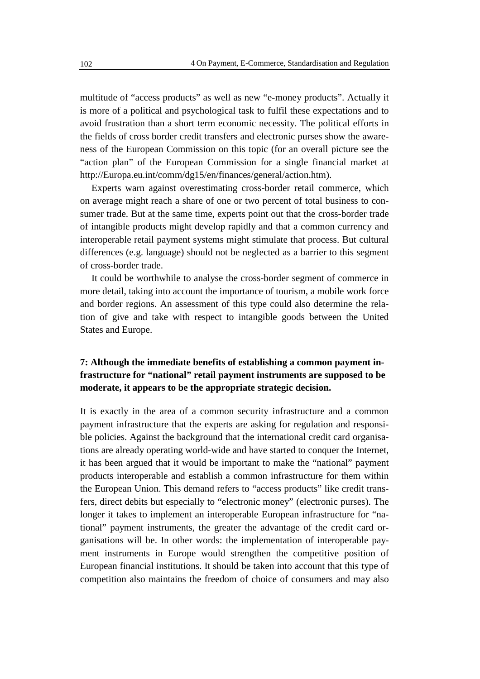multitude of "access products" as well as new "e-money products". Actually it is more of a political and psychological task to fulfil these expectations and to avoid frustration than a short term economic necessity. The political efforts in the fields of cross border credit transfers and electronic purses show the awareness of the European Commission on this topic (for an overall picture see the "action plan" of the European Commission for a single financial market at http://Europa.eu.int/comm/dg15/en/finances/general/action.htm).

Experts warn against overestimating cross-border retail commerce, which on average might reach a share of one or two percent of total business to consumer trade. But at the same time, experts point out that the cross-border trade of intangible products might develop rapidly and that a common currency and interoperable retail payment systems might stimulate that process. But cultural differences (e.g. language) should not be neglected as a barrier to this segment of cross-border trade.

It could be worthwhile to analyse the cross-border segment of commerce in more detail, taking into account the importance of tourism, a mobile work force and border regions. An assessment of this type could also determine the relation of give and take with respect to intangible goods between the United States and Europe.

## **7: Although the immediate benefits of establishing a common payment infrastructure for "national" retail payment instruments are supposed to be moderate, it appears to be the appropriate strategic decision.**

It is exactly in the area of a common security infrastructure and a common payment infrastructure that the experts are asking for regulation and responsible policies. Against the background that the international credit card organisations are already operating world-wide and have started to conquer the Internet, it has been argued that it would be important to make the "national" payment products interoperable and establish a common infrastructure for them within the European Union. This demand refers to "access products" like credit transfers, direct debits but especially to "electronic money" (electronic purses). The longer it takes to implement an interoperable European infrastructure for "national" payment instruments, the greater the advantage of the credit card organisations will be. In other words: the implementation of interoperable payment instruments in Europe would strengthen the competitive position of European financial institutions. It should be taken into account that this type of competition also maintains the freedom of choice of consumers and may also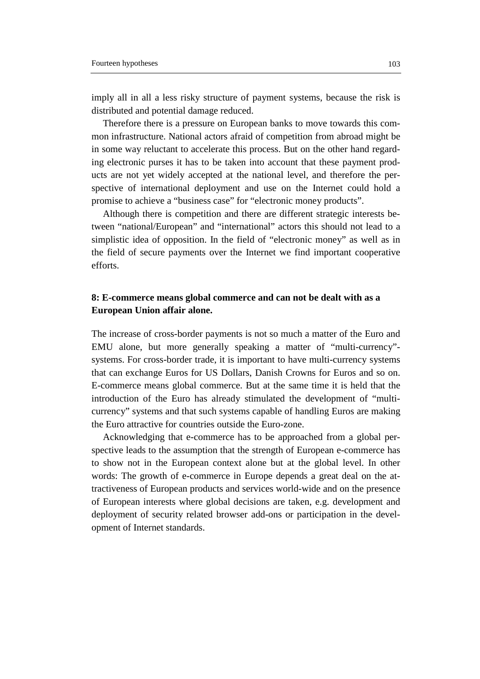imply all in all a less risky structure of payment systems, because the risk is distributed and potential damage reduced.

Therefore there is a pressure on European banks to move towards this common infrastructure. National actors afraid of competition from abroad might be in some way reluctant to accelerate this process. But on the other hand regarding electronic purses it has to be taken into account that these payment products are not yet widely accepted at the national level, and therefore the perspective of international deployment and use on the Internet could hold a promise to achieve a "business case" for "electronic money products".

Although there is competition and there are different strategic interests between "national/European" and "international" actors this should not lead to a simplistic idea of opposition. In the field of "electronic money" as well as in the field of secure payments over the Internet we find important cooperative efforts.

## **8: E-commerce means global commerce and can not be dealt with as a European Union affair alone.**

The increase of cross-border payments is not so much a matter of the Euro and EMU alone, but more generally speaking a matter of "multi-currency" systems. For cross-border trade, it is important to have multi-currency systems that can exchange Euros for US Dollars, Danish Crowns for Euros and so on. E-commerce means global commerce. But at the same time it is held that the introduction of the Euro has already stimulated the development of "multicurrency" systems and that such systems capable of handling Euros are making the Euro attractive for countries outside the Euro-zone.

Acknowledging that e-commerce has to be approached from a global perspective leads to the assumption that the strength of European e-commerce has to show not in the European context alone but at the global level. In other words: The growth of e-commerce in Europe depends a great deal on the attractiveness of European products and services world-wide and on the presence of European interests where global decisions are taken, e.g. development and deployment of security related browser add-ons or participation in the development of Internet standards.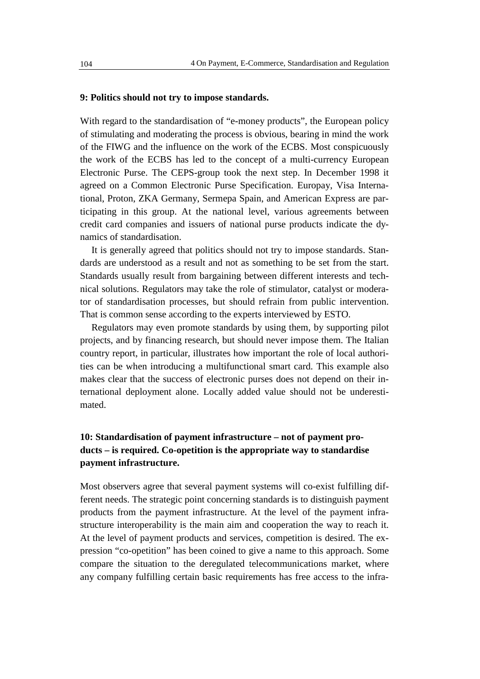#### **9: Politics should not try to impose standards.**

With regard to the standardisation of "e-money products", the European policy of stimulating and moderating the process is obvious, bearing in mind the work of the FIWG and the influence on the work of the ECBS. Most conspicuously the work of the ECBS has led to the concept of a multi-currency European Electronic Purse. The CEPS-group took the next step. In December 1998 it agreed on a Common Electronic Purse Specification. Europay, Visa International, Proton, ZKA Germany, Sermepa Spain, and American Express are participating in this group. At the national level, various agreements between credit card companies and issuers of national purse products indicate the dynamics of standardisation.

It is generally agreed that politics should not try to impose standards. Standards are understood as a result and not as something to be set from the start. Standards usually result from bargaining between different interests and technical solutions. Regulators may take the role of stimulator, catalyst or moderator of standardisation processes, but should refrain from public intervention. That is common sense according to the experts interviewed by ESTO.

Regulators may even promote standards by using them, by supporting pilot projects, and by financing research, but should never impose them. The Italian country report, in particular, illustrates how important the role of local authorities can be when introducing a multifunctional smart card. This example also makes clear that the success of electronic purses does not depend on their international deployment alone. Locally added value should not be underestimated.

## **10: Standardisation of payment infrastructure – not of payment products – is required. Co-opetition is the appropriate way to standardise payment infrastructure.**

Most observers agree that several payment systems will co-exist fulfilling different needs. The strategic point concerning standards is to distinguish payment products from the payment infrastructure. At the level of the payment infrastructure interoperability is the main aim and cooperation the way to reach it. At the level of payment products and services, competition is desired. The expression "co-opetition" has been coined to give a name to this approach. Some compare the situation to the deregulated telecommunications market, where any company fulfilling certain basic requirements has free access to the infra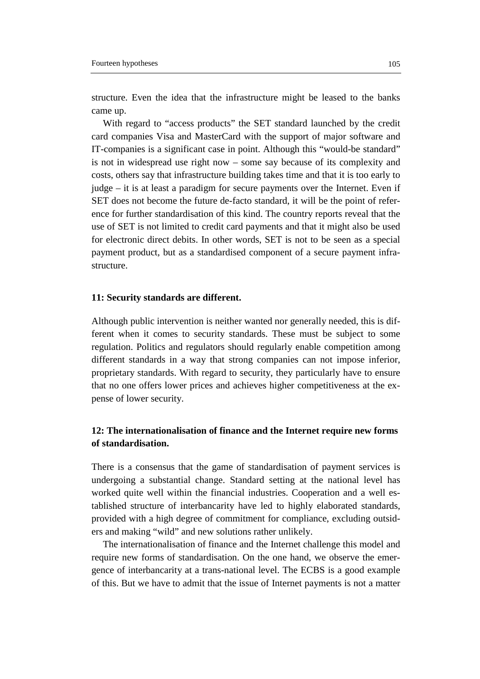structure. Even the idea that the infrastructure might be leased to the banks came up.

With regard to "access products" the SET standard launched by the credit card companies Visa and MasterCard with the support of major software and IT-companies is a significant case in point. Although this "would-be standard" is not in widespread use right now – some say because of its complexity and costs, others say that infrastructure building takes time and that it is too early to judge – it is at least a paradigm for secure payments over the Internet. Even if SET does not become the future de-facto standard, it will be the point of reference for further standardisation of this kind. The country reports reveal that the use of SET is not limited to credit card payments and that it might also be used for electronic direct debits. In other words, SET is not to be seen as a special payment product, but as a standardised component of a secure payment infrastructure.

#### **11: Security standards are different.**

Although public intervention is neither wanted nor generally needed, this is different when it comes to security standards. These must be subject to some regulation. Politics and regulators should regularly enable competition among different standards in a way that strong companies can not impose inferior, proprietary standards. With regard to security, they particularly have to ensure that no one offers lower prices and achieves higher competitiveness at the expense of lower security.

## **12: The internationalisation of finance and the Internet require new forms of standardisation.**

There is a consensus that the game of standardisation of payment services is undergoing a substantial change. Standard setting at the national level has worked quite well within the financial industries. Cooperation and a well established structure of interbancarity have led to highly elaborated standards, provided with a high degree of commitment for compliance, excluding outsiders and making "wild" and new solutions rather unlikely.

The internationalisation of finance and the Internet challenge this model and require new forms of standardisation. On the one hand, we observe the emergence of interbancarity at a trans-national level. The ECBS is a good example of this. But we have to admit that the issue of Internet payments is not a matter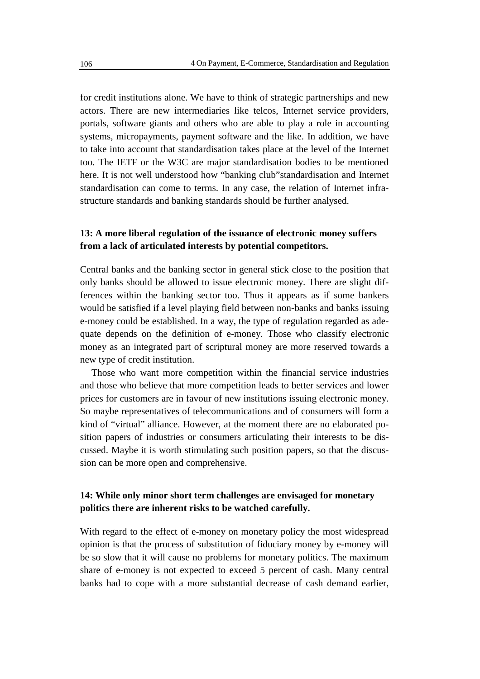for credit institutions alone. We have to think of strategic partnerships and new actors. There are new intermediaries like telcos, Internet service providers, portals, software giants and others who are able to play a role in accounting systems, micropayments, payment software and the like. In addition, we have to take into account that standardisation takes place at the level of the Internet too. The IETF or the W3C are major standardisation bodies to be mentioned here. It is not well understood how "banking club"standardisation and Internet standardisation can come to terms. In any case, the relation of Internet infrastructure standards and banking standards should be further analysed.

## **13: A more liberal regulation of the issuance of electronic money suffers from a lack of articulated interests by potential competitors.**

Central banks and the banking sector in general stick close to the position that only banks should be allowed to issue electronic money. There are slight differences within the banking sector too. Thus it appears as if some bankers would be satisfied if a level playing field between non-banks and banks issuing e-money could be established. In a way, the type of regulation regarded as adequate depends on the definition of e-money. Those who classify electronic money as an integrated part of scriptural money are more reserved towards a new type of credit institution.

Those who want more competition within the financial service industries and those who believe that more competition leads to better services and lower prices for customers are in favour of new institutions issuing electronic money. So maybe representatives of telecommunications and of consumers will form a kind of "virtual" alliance. However, at the moment there are no elaborated position papers of industries or consumers articulating their interests to be discussed. Maybe it is worth stimulating such position papers, so that the discussion can be more open and comprehensive.

## **14: While only minor short term challenges are envisaged for monetary politics there are inherent risks to be watched carefully.**

With regard to the effect of e-money on monetary policy the most widespread opinion is that the process of substitution of fiduciary money by e-money will be so slow that it will cause no problems for monetary politics. The maximum share of e-money is not expected to exceed 5 percent of cash. Many central banks had to cope with a more substantial decrease of cash demand earlier,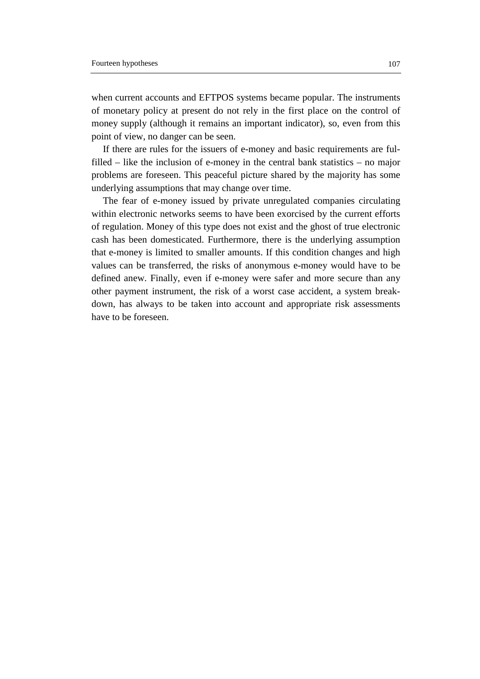when current accounts and EFTPOS systems became popular. The instruments of monetary policy at present do not rely in the first place on the control of money supply (although it remains an important indicator), so, even from this point of view, no danger can be seen.

If there are rules for the issuers of e-money and basic requirements are fulfilled – like the inclusion of e-money in the central bank statistics – no major problems are foreseen. This peaceful picture shared by the majority has some underlying assumptions that may change over time.

The fear of e-money issued by private unregulated companies circulating within electronic networks seems to have been exorcised by the current efforts of regulation. Money of this type does not exist and the ghost of true electronic cash has been domesticated. Furthermore, there is the underlying assumption that e-money is limited to smaller amounts. If this condition changes and high values can be transferred, the risks of anonymous e-money would have to be defined anew. Finally, even if e-money were safer and more secure than any other payment instrument, the risk of a worst case accident, a system breakdown, has always to be taken into account and appropriate risk assessments have to be foreseen.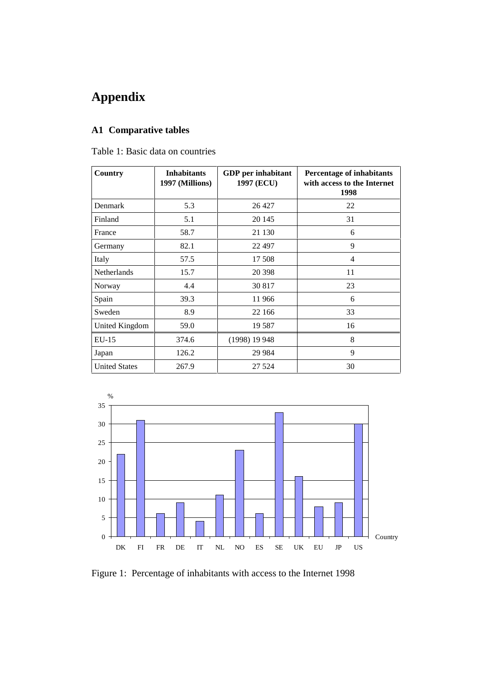# **Appendix**

# **A1 Comparative tables**

|  |  | Table 1: Basic data on countries |  |
|--|--|----------------------------------|--|
|--|--|----------------------------------|--|

| Country              | <b>Inhabitants</b><br>1997 (Millions) | <b>GDP</b> per inhabitant<br>1997 (ECU) | Percentage of inhabitants<br>with access to the Internet<br>1998 |
|----------------------|---------------------------------------|-----------------------------------------|------------------------------------------------------------------|
| Denmark              | 5.3                                   | 26 427                                  | 22                                                               |
| Finland              | 5.1                                   | 20 145                                  | 31                                                               |
| France               | 58.7                                  | 21 130                                  | 6                                                                |
| Germany              | 82.1                                  | 22 497                                  | 9                                                                |
| Italy                | 57.5                                  | 17 508                                  | $\overline{4}$                                                   |
| Netherlands          | 15.7                                  | 20 398                                  | 11                                                               |
| Norway               | 4.4                                   | 30 817                                  | 23                                                               |
| Spain                | 39.3                                  | 11 966                                  | 6                                                                |
| Sweden               | 8.9                                   | 22 166                                  | 33                                                               |
| United Kingdom       | 59.0                                  | 19587                                   | 16                                                               |
| $EU-15$              | 374.6                                 | (1998) 19948                            | 8                                                                |
| Japan                | 126.2                                 | 29 9 84                                 | 9                                                                |
| <b>United States</b> | 267.9                                 | 27 5 24                                 | 30                                                               |



Figure 1: Percentage of inhabitants with access to the Internet 1998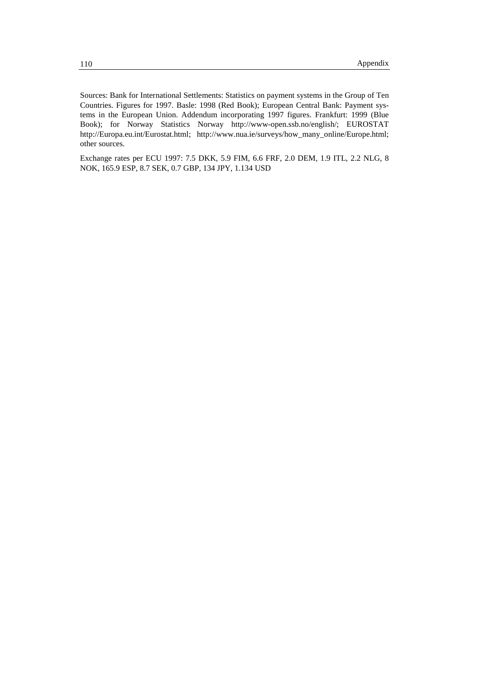Sources: Bank for International Settlements: Statistics on payment systems in the Group of Ten Countries. Figures for 1997. Basle: 1998 (Red Book); European Central Bank: Payment systems in the European Union. Addendum incorporating 1997 figures. Frankfurt: 1999 (Blue Book); for Norway Statistics Norway http://www-open.ssb.no/english/; EUROSTAT http://Europa.eu.int/Eurostat.html; http://www.nua.ie/surveys/how\_many\_online/Europe.html; other sources.

Exchange rates per ECU 1997: 7.5 DKK, 5.9 FIM, 6.6 FRF, 2.0 DEM, 1.9 ITL, 2.2 NLG, 8 NOK, 165.9 ESP, 8.7 SEK, 0.7 GBP, 134 JPY, 1.134 USD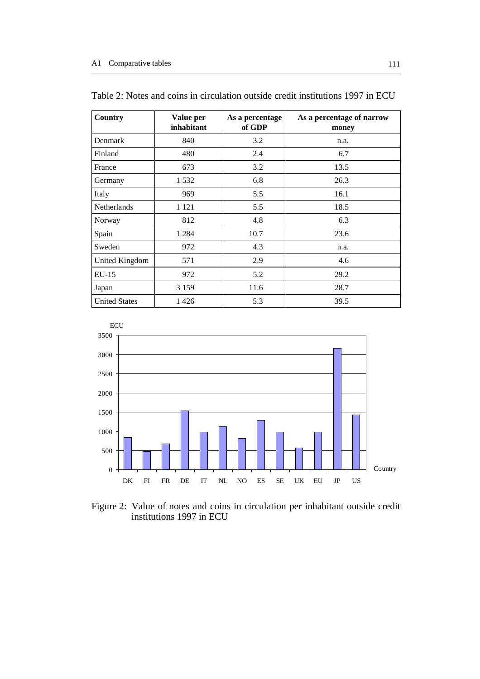| Country              | Value per<br>inhabitant | As a percentage<br>of GDP | As a percentage of narrow<br>money |
|----------------------|-------------------------|---------------------------|------------------------------------|
| Denmark              | 840                     | 3.2                       | n.a.                               |
| Finland              | 480                     | 2.4                       | 6.7                                |
| France               | 673                     | 3.2                       | 13.5                               |
| Germany              | 1532                    | 6.8                       | 26.3                               |
| Italy                | 969                     | 5.5                       | 16.1                               |
| Netherlands          | 1 1 2 1                 | 5.5                       | 18.5                               |
| Norway               | 812                     | 4.8                       | 6.3                                |
| Spain                | 1 2 8 4                 | 10.7                      | 23.6                               |
| Sweden               | 972                     | 4.3                       | n.a.                               |
| United Kingdom       | 571                     | 2.9                       | 4.6                                |
| $EU-15$              | 972                     | 5.2                       | 29.2                               |
| Japan                | 3 1 5 9                 | 11.6                      | 28.7                               |
| <b>United States</b> | 1426                    | 5.3                       | 39.5                               |

Table 2: Notes and coins in circulation outside credit institutions 1997 in ECU



Figure 2: Value of notes and coins in circulation per inhabitant outside credit institutions 1997 in ECU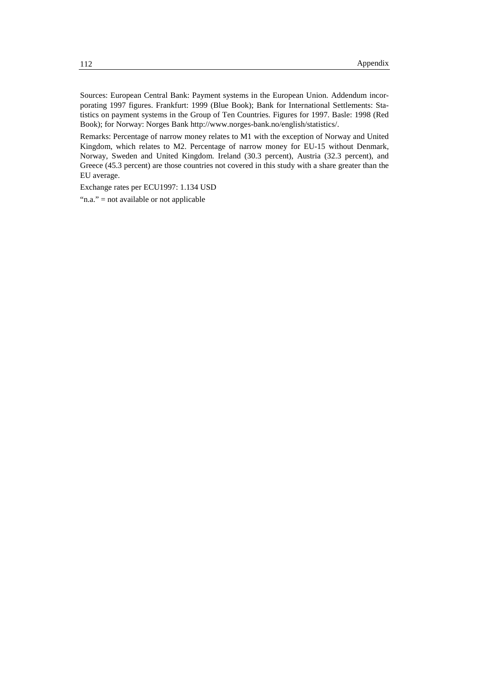Sources: European Central Bank: Payment systems in the European Union. Addendum incorporating 1997 figures. Frankfurt: 1999 (Blue Book); Bank for International Settlements: Statistics on payment systems in the Group of Ten Countries. Figures for 1997. Basle: 1998 (Red Book); for Norway: Norges Bank http://www.norges-bank.no/english/statistics/.

Remarks: Percentage of narrow money relates to M1 with the exception of Norway and United Kingdom, which relates to M2. Percentage of narrow money for EU-15 without Denmark, Norway, Sweden and United Kingdom. Ireland (30.3 percent), Austria (32.3 percent), and Greece (45.3 percent) are those countries not covered in this study with a share greater than the EU average.

Exchange rates per ECU1997: 1.134 USD

"n.a." = not available or not applicable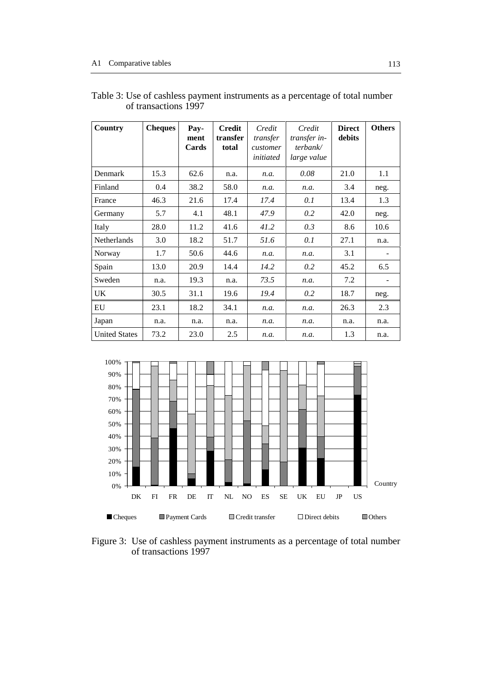| Country              | <b>Cheques</b> | Pay-<br>ment<br>Cards | <b>Credit</b><br>transfer<br>total | Credit<br>transfer<br>customer<br>initiated | Credit<br>transfer in-<br>terbank/<br>large value | <b>Direct</b><br>debits | <b>Others</b> |
|----------------------|----------------|-----------------------|------------------------------------|---------------------------------------------|---------------------------------------------------|-------------------------|---------------|
| Denmark              | 15.3           | 62.6                  | n.a.                               | n.a.                                        | 0.08                                              | 21.0                    | 1.1           |
| Finland              | 0.4            | 38.2                  | 58.0                               | n.a.                                        | n.a.                                              | 3.4                     | neg.          |
| France               | 46.3           | 21.6                  | 17.4                               | 17.4                                        | 0.1                                               | 13.4                    | 1.3           |
| Germany              | 5.7            | 4.1                   | 48.1                               | 47.9                                        | 0.2                                               | 42.0                    | neg.          |
| Italy                | 28.0           | 11.2                  | 41.6                               | 41.2                                        | 0.3                                               | 8.6                     | 10.6          |
| <b>Netherlands</b>   | 3.0            | 18.2                  | 51.7                               | 51.6                                        | 0.1                                               | 27.1                    | n.a.          |
| Norway               | 1.7            | 50.6                  | 44.6                               | n.a.                                        | n.a.                                              | 3.1                     |               |
| Spain                | 13.0           | 20.9                  | 14.4                               | 14.2                                        | 0.2                                               | 45.2                    | 6.5           |
| Sweden               | n.a.           | 19.3                  | n.a.                               | 73.5                                        | n.a.                                              | 7.2                     |               |
| <b>UK</b>            | 30.5           | 31.1                  | 19.6                               | 19.4                                        | 0.2                                               | 18.7                    | neg.          |
| EU                   | 23.1           | 18.2                  | 34.1                               | n.a.                                        | n.a.                                              | 26.3                    | 2.3           |
| Japan                | n.a.           | n.a.                  | n.a.                               | n.a.                                        | n.a.                                              | n.a.                    | n.a.          |
| <b>United States</b> | 73.2           | 23.0                  | 2.5                                | n.a.                                        | n.a.                                              | 1.3                     | n.a.          |

| Table 3: Use of cashless payment instruments as a percentage of total number |  |  |
|------------------------------------------------------------------------------|--|--|
| of transactions 1997                                                         |  |  |



Figure 3: Use of cashless payment instruments as a percentage of total number of transactions 1997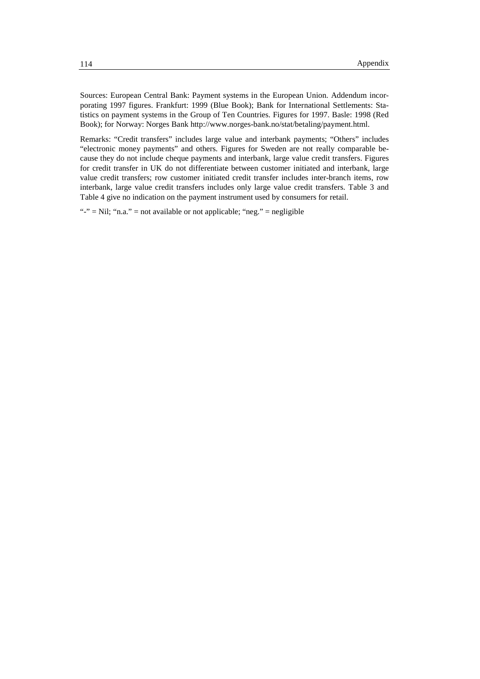Sources: European Central Bank: Payment systems in the European Union. Addendum incorporating 1997 figures. Frankfurt: 1999 (Blue Book); Bank for International Settlements: Statistics on payment systems in the Group of Ten Countries. Figures for 1997. Basle: 1998 (Red Book); for Norway: Norges Bank http://www.norges-bank.no/stat/betaling/payment.html.

Remarks: "Credit transfers" includes large value and interbank payments; "Others" includes "electronic money payments" and others. Figures for Sweden are not really comparable because they do not include cheque payments and interbank, large value credit transfers. Figures for credit transfer in UK do not differentiate between customer initiated and interbank, large value credit transfers; row customer initiated credit transfer includes inter-branch items, row interbank, large value credit transfers includes only large value credit transfers. Table 3 and Table 4 give no indication on the payment instrument used by consumers for retail.

"-" = Nil; "n.a." = not available or not applicable; "neg." = negligible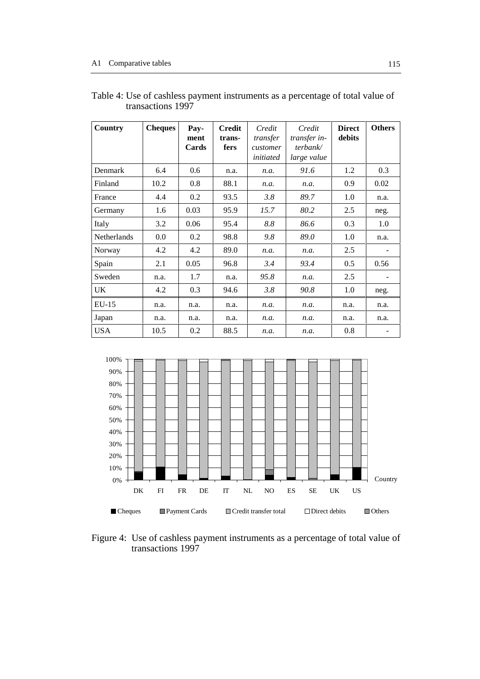| Country            | <b>Cheques</b> | Pay-<br>ment<br>Cards | <b>Credit</b><br>trans-<br>fers | Credit<br>transfer<br>customer<br>initiated | Credit<br>transfer in-<br>terbank/<br>large value | <b>Direct</b><br>debits | <b>Others</b> |
|--------------------|----------------|-----------------------|---------------------------------|---------------------------------------------|---------------------------------------------------|-------------------------|---------------|
| Denmark            | 6.4            | 0.6                   | n.a.                            | n.a.                                        | 91.6                                              | 1.2                     | 0.3           |
| Finland            | 10.2           | 0.8                   | 88.1                            | n.a.                                        | n.a.                                              | 0.9                     | 0.02          |
| France             | 4.4            | 0.2                   | 93.5                            | 3.8                                         | 89.7                                              | 1.0                     | n.a.          |
| Germany            | 1.6            | 0.03                  | 95.9                            | 15.7                                        | 80.2                                              | 2.5                     | neg.          |
| Italy              | 3.2            | 0.06                  | 95.4                            | 8.8                                         | 86.6                                              | 0.3                     | 1.0           |
| <b>Netherlands</b> | $0.0\,$        | 0.2                   | 98.8                            | 9.8                                         | 89.0                                              | 1.0                     | n.a.          |
| Norway             | 4.2            | 4.2                   | 89.0                            | n.a.                                        | n.a.                                              | 2.5                     |               |
| Spain              | 2.1            | 0.05                  | 96.8                            | 3.4                                         | 93.4                                              | 0.5                     | 0.56          |
| Sweden             | n.a.           | 1.7                   | n.a.                            | 95.8                                        | n.a.                                              | 2.5                     |               |
| UK.                | 4.2            | 0.3                   | 94.6                            | 3.8                                         | 90.8                                              | 1.0                     | neg.          |
| $EU-15$            | n.a.           | n.a.                  | n.a.                            | n.a.                                        | n.a.                                              | n.a.                    | n.a.          |
| Japan              | n.a.           | n.a.                  | n.a.                            | n.a.                                        | n.a.                                              | n.a.                    | n.a.          |
| <b>USA</b>         | 10.5           | 0.2                   | 88.5                            | n.a.                                        | n.a.                                              | 0.8                     |               |

| Table 4: Use of cashless payment instruments as a percentage of total value of |  |  |  |
|--------------------------------------------------------------------------------|--|--|--|
| transactions 1997                                                              |  |  |  |



Figure 4: Use of cashless payment instruments as a percentage of total value of transactions 1997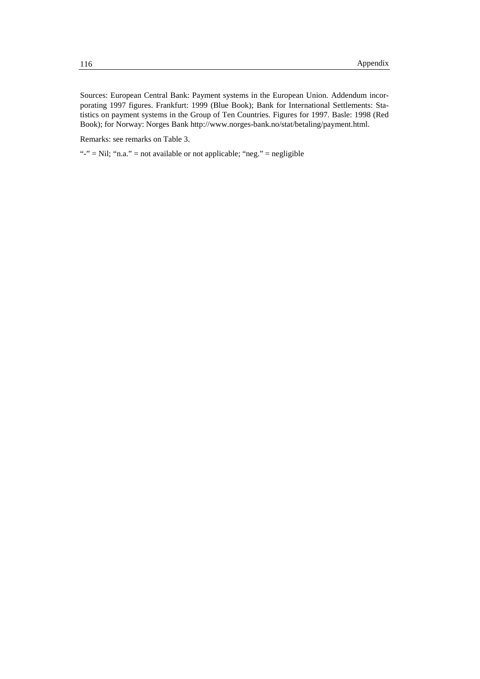Sources: European Central Bank: Payment systems in the European Union. Addendum incorporating 1997 figures. Frankfurt: 1999 (Blue Book); Bank for International Settlements: Statistics on payment systems in the Group of Ten Countries. Figures for 1997. Basle: 1998 (Red Book); for Norway: Norges Bank http://www.norges-bank.no/stat/betaling/payment.html.

Remarks: see remarks on Table 3.

"-" = Nil; "n.a." = not available or not applicable; "neg." = negligible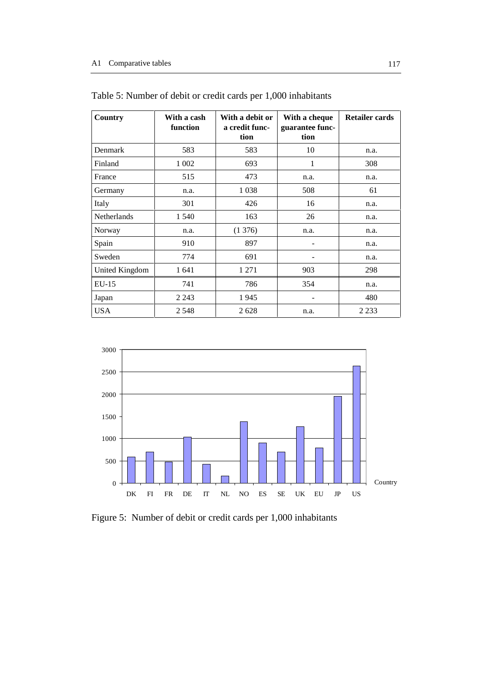| Country        | With a cash<br>function | With a debit or<br>a credit func-<br>tion | With a cheque<br>guarantee func-<br>tion | <b>Retailer cards</b> |
|----------------|-------------------------|-------------------------------------------|------------------------------------------|-----------------------|
| Denmark        | 583                     | 583                                       | 10                                       | n.a.                  |
| Finland        | 1 0 0 2                 | 693                                       | 1                                        | 308                   |
| France         | 515                     | 473                                       | n.a.                                     | n.a.                  |
| Germany        | n.a.                    | 1 0 38                                    | 508                                      | 61                    |
| Italy          | 301                     | 426                                       | 16                                       | n.a.                  |
| Netherlands    | 1 540                   | 163                                       | 26                                       | n.a.                  |
| Norway         | n.a.                    | (1376)                                    | n.a.                                     | n.a.                  |
| Spain          | 910                     | 897                                       |                                          | n.a.                  |
| Sweden         | 774                     | 691                                       |                                          | n.a.                  |
| United Kingdom | 1641                    | 1 2 7 1                                   | 903                                      | 298                   |
| $EU-15$        | 741                     | 786                                       | 354                                      | n.a.                  |
| Japan          | 2 2 4 3                 | 1945                                      |                                          | 480                   |
| <b>USA</b>     | 2 5 4 8                 | 2628                                      | n.a.                                     | 2 2 3 3               |

Table 5: Number of debit or credit cards per 1,000 inhabitants



Figure 5: Number of debit or credit cards per 1,000 inhabitants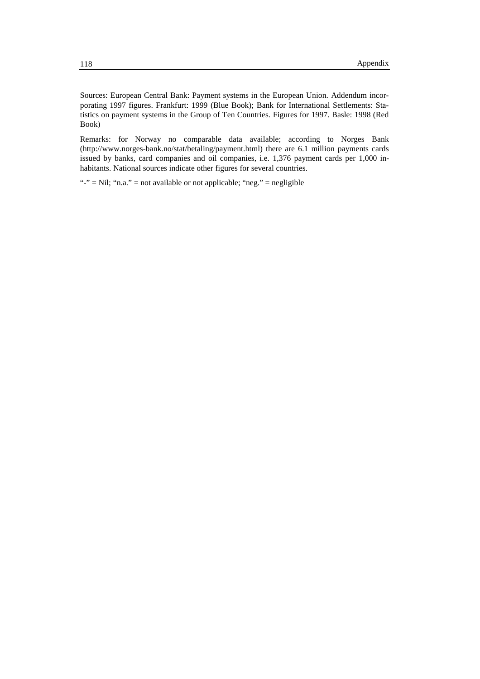Sources: European Central Bank: Payment systems in the European Union. Addendum incorporating 1997 figures. Frankfurt: 1999 (Blue Book); Bank for International Settlements: Statistics on payment systems in the Group of Ten Countries. Figures for 1997. Basle: 1998 (Red Book)

Remarks: for Norway no comparable data available; according to Norges Bank (http://www.norges-bank.no/stat/betaling/payment.html) there are 6.1 million payments cards issued by banks, card companies and oil companies, i.e. 1,376 payment cards per 1,000 inhabitants. National sources indicate other figures for several countries.

"-" = Nil; "n.a." = not available or not applicable; "neg." = negligible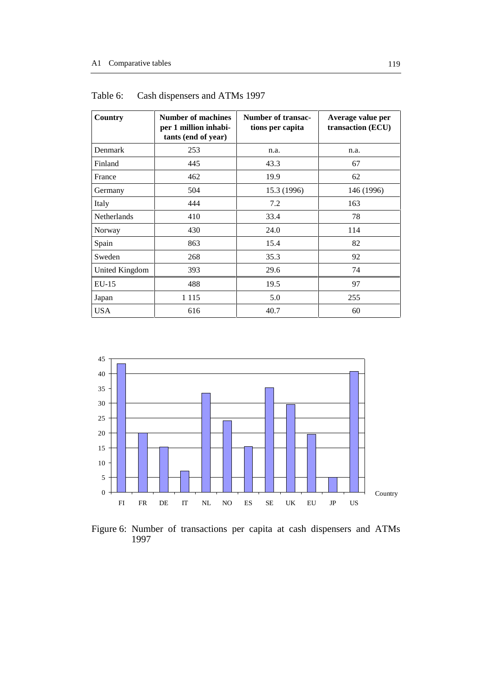| Country        | <b>Number of machines</b><br>per 1 million inhabi-<br>tants (end of year) | <b>Number of transac-</b><br>tions per capita | Average value per<br>transaction (ECU) |
|----------------|---------------------------------------------------------------------------|-----------------------------------------------|----------------------------------------|
| Denmark        | 253                                                                       | n.a.                                          | n.a.                                   |
| Finland        | 445                                                                       | 43.3                                          | 67                                     |
| France         | 462                                                                       | 19.9                                          | 62                                     |
| Germany        | 504                                                                       | 15.3 (1996)                                   | 146 (1996)                             |
| Italy          | 444                                                                       | 7.2                                           | 163                                    |
| Netherlands    | 410                                                                       | 33.4                                          | 78                                     |
| Norway         | 430                                                                       | 24.0                                          | 114                                    |
| Spain          | 863                                                                       | 15.4                                          | 82                                     |
| Sweden         | 268                                                                       | 35.3                                          | 92                                     |
| United Kingdom | 393                                                                       | 29.6                                          | 74                                     |
| $EU-15$        | 488                                                                       | 19.5                                          | 97                                     |
| Japan          | 1 1 1 5                                                                   | 5.0                                           | 255                                    |
| <b>USA</b>     | 616                                                                       | 40.7                                          | 60                                     |

Table 6: Cash dispensers and ATMs 1997



Figure 6: Number of transactions per capita at cash dispensers and ATMs 1997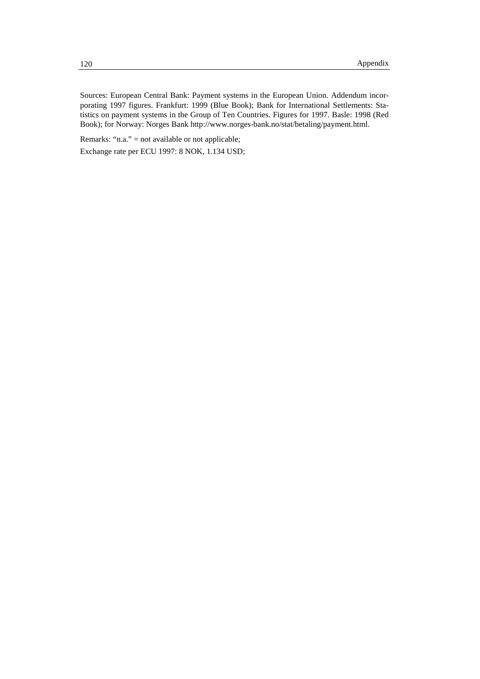Sources: European Central Bank: Payment systems in the European Union. Addendum incorporating 1997 figures. Frankfurt: 1999 (Blue Book); Bank for International Settlements: Statistics on payment systems in the Group of Ten Countries. Figures for 1997. Basle: 1998 (Red Book); for Norway: Norges Bank http://www.norges-bank.no/stat/betaling/payment.html.

Remarks: "n.a." = not available or not applicable;

Exchange rate per ECU 1997: 8 NOK, 1.134 USD;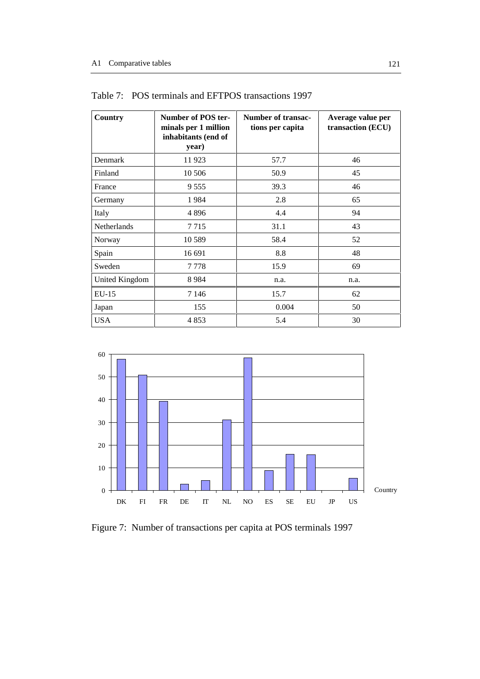| Country            | Number of POS ter-<br>minals per 1 million<br>inhabitants (end of<br>year) | <b>Number of transac-</b><br>tions per capita | Average value per<br>transaction (ECU) |
|--------------------|----------------------------------------------------------------------------|-----------------------------------------------|----------------------------------------|
| Denmark            | 11923                                                                      | 57.7                                          | 46                                     |
| Finland            | 10 50 6                                                                    | 50.9                                          | 45                                     |
| France             | 9 5 5 5                                                                    | 39.3                                          | 46                                     |
| Germany            | 1984                                                                       | 2.8                                           | 65                                     |
| Italy              | 4896                                                                       | 4.4                                           | 94                                     |
| <b>Netherlands</b> | 7715                                                                       | 31.1                                          | 43                                     |
| Norway             | 10 5 89                                                                    | 58.4                                          | 52                                     |
| Spain              | 16 691                                                                     | 8.8                                           | 48                                     |
| Sweden             | 7 7 7 8                                                                    | 15.9                                          | 69                                     |
| United Kingdom     | 8984                                                                       | n.a.                                          | n.a.                                   |
| $EU-15$            | 7 1 4 6                                                                    | 15.7                                          | 62                                     |
| Japan              | 155                                                                        | 0.004                                         | 50                                     |
| <b>USA</b>         | 4853                                                                       | 5.4                                           | 30                                     |

Table 7: POS terminals and EFTPOS transactions 1997



Figure 7: Number of transactions per capita at POS terminals 1997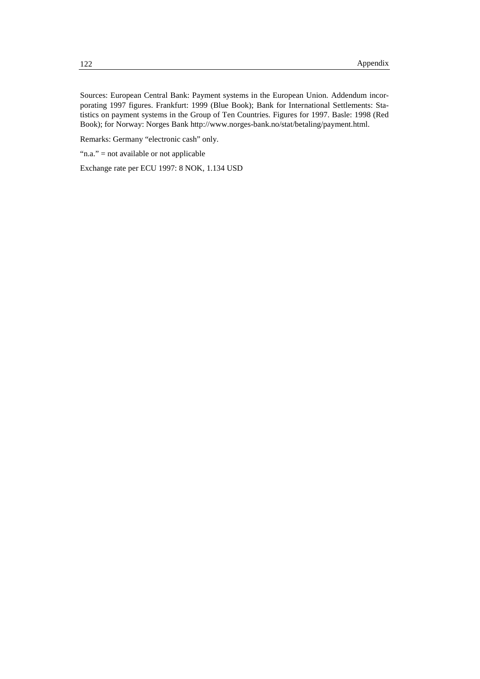Sources: European Central Bank: Payment systems in the European Union. Addendum incorporating 1997 figures. Frankfurt: 1999 (Blue Book); Bank for International Settlements: Statistics on payment systems in the Group of Ten Countries. Figures for 1997. Basle: 1998 (Red Book); for Norway: Norges Bank http://www.norges-bank.no/stat/betaling/payment.html.

Remarks: Germany "electronic cash" only.

"n.a." = not available or not applicable

Exchange rate per ECU 1997: 8 NOK, 1.134 USD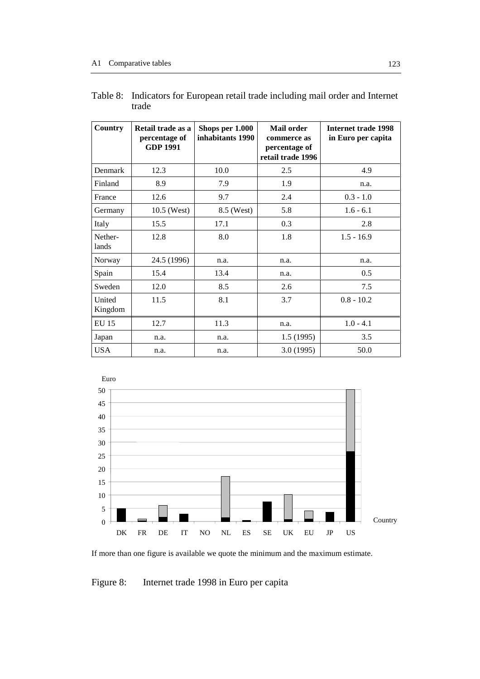| Country           | Retail trade as a<br>percentage of<br><b>GDP 1991</b> | Shops per 1.000<br>inhabitants 1990 | <b>Mail order</b><br>commerce as<br>percentage of<br>retail trade 1996 | <b>Internet trade 1998</b><br>in Euro per capita |
|-------------------|-------------------------------------------------------|-------------------------------------|------------------------------------------------------------------------|--------------------------------------------------|
| Denmark           | 12.3                                                  | 10.0                                | 2.5                                                                    | 4.9                                              |
| Finland           | 8.9                                                   | 7.9                                 | 1.9                                                                    | n.a.                                             |
| France            | 12.6                                                  | 9.7                                 | 2.4                                                                    | $0.3 - 1.0$                                      |
| Germany           | 10.5 (West)                                           | 8.5 (West)                          | 5.8                                                                    | $1.6 - 6.1$                                      |
| Italy             | 15.5                                                  | 17.1                                | 0.3                                                                    | 2.8                                              |
| Nether-<br>lands  | 12.8                                                  | 8.0                                 | 1.8                                                                    | $1.5 - 16.9$                                     |
| Norway            | 24.5 (1996)                                           | n.a.                                | n.a.                                                                   | n.a.                                             |
| Spain             | 15.4                                                  | 13.4                                | n.a.                                                                   | 0.5                                              |
| Sweden            | 12.0                                                  | 8.5                                 | 2.6                                                                    | 7.5                                              |
| United<br>Kingdom | 11.5                                                  | 8.1                                 | 3.7                                                                    | $0.8 - 10.2$                                     |
| EU 15             | 12.7                                                  | 11.3                                | n.a.                                                                   | $1.0 - 4.1$                                      |
| Japan             | n.a.                                                  | n.a.                                | 1.5(1995)                                                              | 3.5                                              |
| <b>USA</b>        | n.a.                                                  | n.a.                                | 3.0 (1995)                                                             | 50.0                                             |

Table 8: Indicators for European retail trade including mail order and Internet trade



If more than one figure is available we quote the minimum and the maximum estimate.

Figure 8: Internet trade 1998 in Euro per capita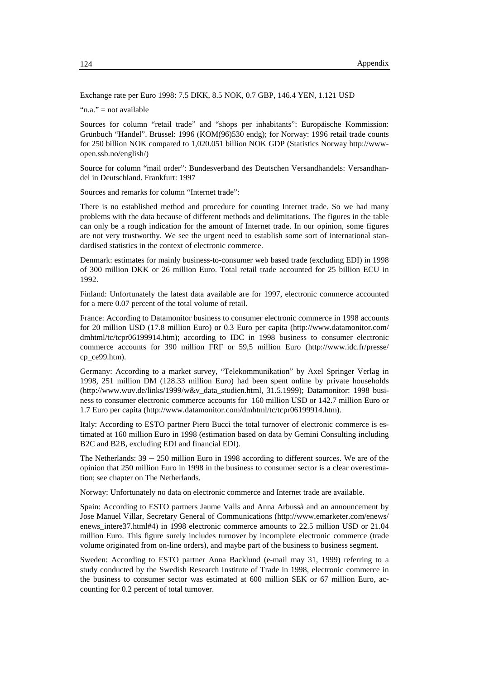Exchange rate per Euro 1998: 7.5 DKK, 8.5 NOK, 0.7 GBP, 146.4 YEN, 1.121 USD

" $n.a." = not available$ 

Sources for column "retail trade" and "shops per inhabitants": Europäische Kommission: Grünbuch "Handel". Brüssel: 1996 (KOM(96)530 endg); for Norway: 1996 retail trade counts for 250 billion NOK compared to 1,020.051 billion NOK GDP (Statistics Norway http://wwwopen.ssb.no/english/)

Source for column "mail order": Bundesverband des Deutschen Versandhandels: Versandhandel in Deutschland. Frankfurt: 1997

Sources and remarks for column "Internet trade":

There is no established method and procedure for counting Internet trade. So we had many problems with the data because of different methods and delimitations. The figures in the table can only be a rough indication for the amount of Internet trade. In our opinion, some figures are not very trustworthy. We see the urgent need to establish some sort of international standardised statistics in the context of electronic commerce.

Denmark: estimates for mainly business-to-consumer web based trade (excluding EDI) in 1998 of 300 million DKK or 26 million Euro. Total retail trade accounted for 25 billion ECU in 1992.

Finland: Unfortunately the latest data available are for 1997, electronic commerce accounted for a mere 0.07 percent of the total volume of retail.

France: According to Datamonitor business to consumer electronic commerce in 1998 accounts for 20 million USD (17.8 million Euro) or 0.3 Euro per capita (http://www.datamonitor.com/ dmhtml/tc/tcpr06199914.htm); according to IDC in 1998 business to consumer electronic commerce accounts for 390 million FRF or 59,5 million Euro (http://www.idc.fr/presse/ cp\_ce99.htm).

Germany: According to a market survey, "Telekommunikation" by Axel Springer Verlag in 1998, 251 million DM (128.33 million Euro) had been spent online by private households (http://www.wuv.de/links/1999/w&v\_data\_studien.html, 31.5.1999); Datamonitor: 1998 business to consumer electronic commerce accounts for 160 million USD or 142.7 million Euro or 1.7 Euro per capita (http://www.datamonitor.com/dmhtml/tc/tcpr06199914.htm).

Italy: According to ESTO partner Piero Bucci the total turnover of electronic commerce is estimated at 160 million Euro in 1998 (estimation based on data by Gemini Consulting including B2C and B2B, excluding EDI and financial EDI).

The Netherlands: 39 – 250 million Euro in 1998 according to different sources. We are of the opinion that 250 million Euro in 1998 in the business to consumer sector is a clear overestimation; see chapter on The Netherlands.

Norway: Unfortunately no data on electronic commerce and Internet trade are available.

Spain: According to ESTO partners Jaume Valls and Anna Arbussà and an announcement by Jose Manuel Villar, Secretary General of Communications (http://www.emarketer.com/enews/ enews\_intere37.html#4) in 1998 electronic commerce amounts to 22.5 million USD or 21.04 million Euro. This figure surely includes turnover by incomplete electronic commerce (trade volume originated from on-line orders), and maybe part of the business to business segment.

Sweden: According to ESTO partner Anna Backlund (e-mail may 31, 1999) referring to a study conducted by the Swedish Research Institute of Trade in 1998, electronic commerce in the business to consumer sector was estimated at 600 million SEK or 67 million Euro, accounting for 0.2 percent of total turnover.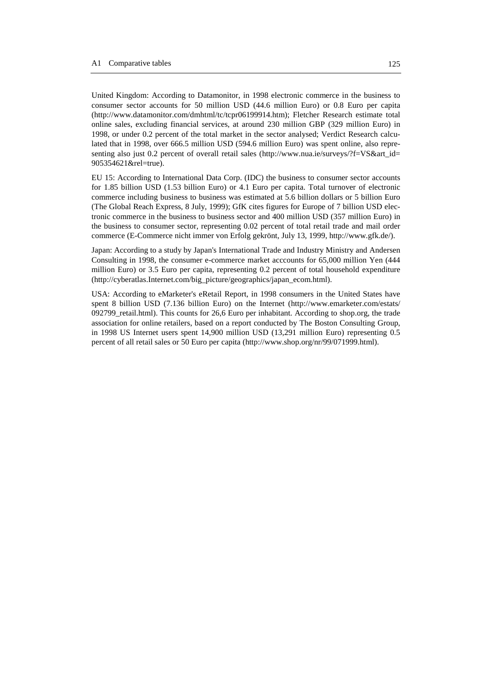United Kingdom: According to Datamonitor, in 1998 electronic commerce in the business to consumer sector accounts for 50 million USD (44.6 million Euro) or 0.8 Euro per capita (http://www.datamonitor.com/dmhtml/tc/tcpr06199914.htm); Fletcher Research estimate total online sales, excluding financial services, at around 230 million GBP (329 million Euro) in 1998, or under 0.2 percent of the total market in the sector analysed; Verdict Research calculated that in 1998, over 666.5 million USD (594.6 million Euro) was spent online, also representing also just 0.2 percent of overall retail sales (http://www.nua.ie/surveys/?f=VS&art\_id= 905354621&rel=true).

EU 15: According to International Data Corp. (IDC) the business to consumer sector accounts for 1.85 billion USD (1.53 billion Euro) or 4.1 Euro per capita. Total turnover of electronic commerce including business to business was estimated at 5.6 billion dollars or 5 billion Euro (The Global Reach Express, 8 July, 1999); GfK cites figures for Europe of 7 billion USD electronic commerce in the business to business sector and 400 million USD (357 million Euro) in the business to consumer sector, representing 0.02 percent of total retail trade and mail order commerce (E-Commerce nicht immer von Erfolg gekrönt, July 13, 1999, http://www.gfk.de/).

Japan: According to a study by Japan's International Trade and Industry Ministry and Andersen Consulting in 1998, the consumer e-commerce market acccounts for 65,000 million Yen (444 million Euro) or 3.5 Euro per capita, representing 0.2 percent of total household expenditure (http://cyberatlas.Internet.com/big\_picture/geographics/japan\_ecom.html).

USA: According to eMarketer's eRetail Report, in 1998 consumers in the United States have spent 8 billion USD (7.136 billion Euro) on the Internet (http://www.emarketer.com/estats/ 092799\_retail.html). This counts for 26,6 Euro per inhabitant. According to shop.org, the trade association for online retailers, based on a report conducted by The Boston Consulting Group, in 1998 US Internet users spent 14,900 million USD (13,291 million Euro) representing 0.5 percent of all retail sales or 50 Euro per capita (http://www.shop.org/nr/99/071999.html).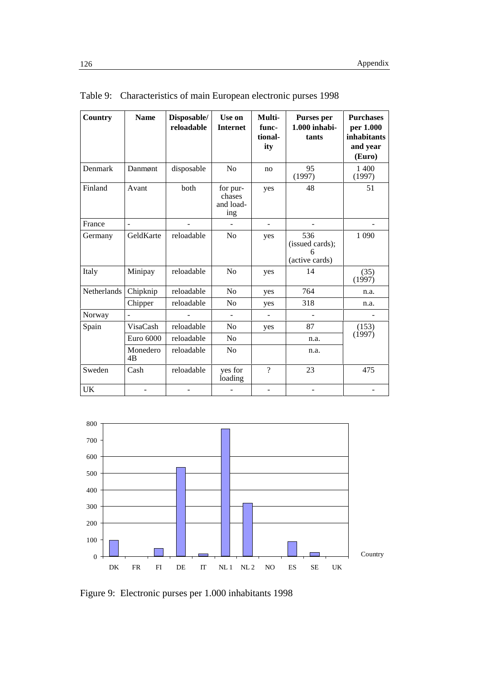| Country     | <b>Name</b>              | Disposable/<br>reloadable | Use on<br><b>Internet</b>              | Multi-<br>func-<br>tional-<br>ity | Purses per<br>$1.000$ inhabi-<br>tants   | <b>Purchases</b><br>per 1.000<br>inhabitants<br>and year<br>(Euro) |
|-------------|--------------------------|---------------------------|----------------------------------------|-----------------------------------|------------------------------------------|--------------------------------------------------------------------|
| Denmark     | Danmont                  | disposable                | No                                     | no                                | 95<br>(1997)                             | 1400<br>(1997)                                                     |
| Finland     | Avant                    | both                      | for pur-<br>chases<br>and load-<br>ing | yes                               | 48                                       | 51                                                                 |
| France      | $\overline{\phantom{a}}$ |                           |                                        |                                   |                                          |                                                                    |
| Germany     | GeldKarte                | reloadable                | N <sub>o</sub>                         | yes                               | 536<br>(issued cards);<br>(active cards) | 1 0 9 0                                                            |
| Italy       | Minipay                  | reloadable                | No                                     | yes                               | 14                                       | (35)<br>(1997)                                                     |
| Netherlands | Chipknip                 | reloadable                | No                                     | yes                               | 764                                      | n.a.                                                               |
|             | Chipper                  | reloadable                | No                                     | yes                               | 318                                      | n.a.                                                               |
| Norway      |                          |                           |                                        |                                   |                                          |                                                                    |
| Spain       | VisaCash                 | reloadable                | No                                     | yes                               | 87                                       | (153)                                                              |
|             | Euro 6000                | reloadable                | N <sub>o</sub>                         |                                   | n.a.                                     | (1997)                                                             |
|             | Monedero<br>4B           | reloadable                | N <sub>o</sub>                         |                                   | n.a.                                     |                                                                    |
| Sweden      | Cash                     | reloadable                | yes for<br>loading                     | $\gamma$                          | 23                                       | 475                                                                |
| UK          |                          |                           |                                        |                                   |                                          |                                                                    |

Table 9: Characteristics of main European electronic purses 1998



Figure 9: Electronic purses per 1.000 inhabitants 1998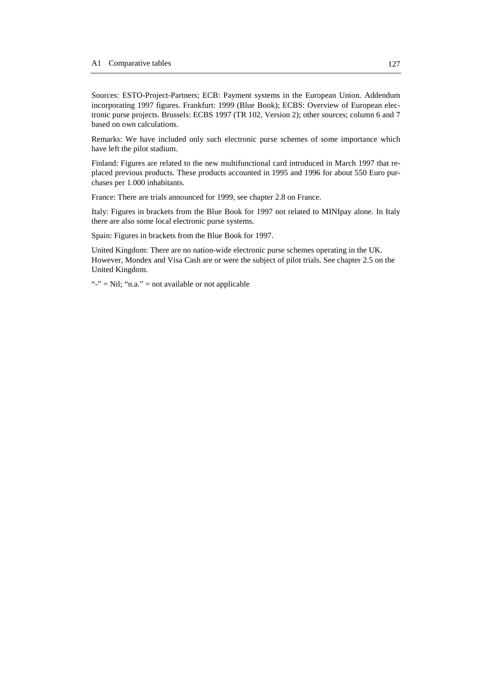Sources: ESTO-Project-Partners; ECB: Payment systems in the European Union. Addendum incorporating 1997 figures. Frankfurt: 1999 (Blue Book); ECBS: Overview of European electronic purse projects. Brussels: ECBS 1997 (TR 102, Version 2); other sources; column 6 and 7 based on own calculations.

Remarks: We have included only such electronic purse schemes of some importance which have left the pilot stadium.

Finland: Figures are related to the new multifunctional card introduced in March 1997 that replaced previous products. These products accounted in 1995 and 1996 for about 550 Euro purchases per 1.000 inhabitants.

France: There are trials announced for 1999, see chapter 2.8 on France.

Italy: Figures in brackets from the Blue Book for 1997 not related to MINIpay alone. In Italy there are also some local electronic purse systems.

Spain: Figures in brackets from the Blue Book for 1997.

United Kingdom: There are no nation-wide electronic purse schemes operating in the UK. However, Mondex and Visa Cash are or were the subject of pilot trials. See chapter 2.5 on the United Kingdom.

"-"  $=$  Nil; "n.a."  $=$  not available or not applicable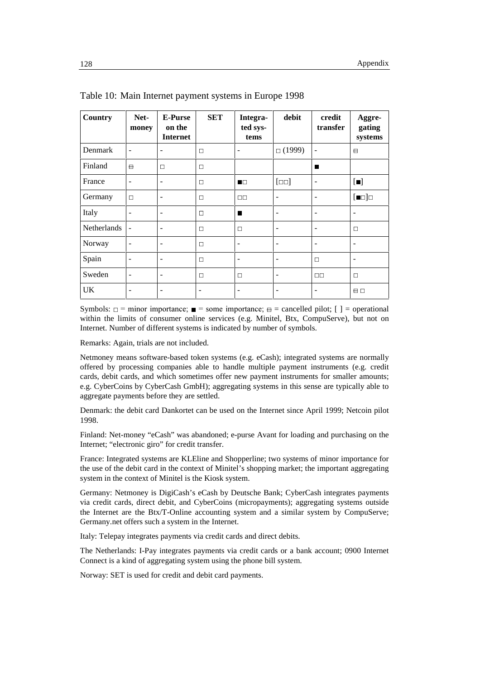| <b>Country</b>     | Net-<br>money            | <b>E-Purse</b><br>on the<br><b>Internet</b> | <b>SET</b>               | Integra-<br>ted sys-<br>tems | debit                    | credit<br>transfer       | Aggre-<br>gating<br>systems                    |
|--------------------|--------------------------|---------------------------------------------|--------------------------|------------------------------|--------------------------|--------------------------|------------------------------------------------|
| Denmark            | $\overline{\phantom{a}}$ | $\qquad \qquad -$                           | $\Box$                   | $\overline{\phantom{a}}$     | $\Box$ (1999)            | $\blacksquare$           | $\overline{a}$                                 |
| Finland            | $\Box$                   | П                                           | $\Box$                   |                              |                          | П                        |                                                |
| France             | $\overline{\phantom{a}}$ | $\overline{\phantom{a}}$                    | $\Box$                   | ПD                           | [CD]                     | $\overline{\phantom{a}}$ | $\lceil \bullet \rceil$                        |
| Germany            | $\Box$                   | $\overline{\phantom{a}}$                    | $\Box$                   | $\Box$                       | $\overline{\phantom{a}}$ | $\overline{a}$           | $\lbrack \blacksquare \square \rbrack \square$ |
| Italy              | $\overline{\phantom{a}}$ | $\overline{\phantom{a}}$                    | $\Box$                   | П                            | $\overline{\phantom{a}}$ | $\qquad \qquad -$        | $\overline{\phantom{a}}$                       |
| <b>Netherlands</b> | $\overline{a}$           | $\overline{\phantom{a}}$                    | $\Box$                   | $\Box$                       | $\overline{\phantom{0}}$ | ۰                        | $\Box$                                         |
| Norway             | $\overline{\phantom{a}}$ | $\overline{\phantom{a}}$                    | $\Box$                   | $\qquad \qquad -$            | $\overline{\phantom{a}}$ | $\qquad \qquad -$        | $\overline{\phantom{a}}$                       |
| Spain              | $\overline{\phantom{a}}$ | $\qquad \qquad -$                           | $\Box$                   | $\overline{\phantom{a}}$     | $\overline{\phantom{0}}$ | $\Box$                   | $\overline{\phantom{a}}$                       |
| Sweden             | $\overline{\phantom{a}}$ | $\overline{\phantom{a}}$                    | $\Box$                   | $\Box$                       | $\overline{\phantom{0}}$ | $\Box$                   | $\Box$                                         |
| UK                 | $\overline{\phantom{a}}$ | $\overline{\phantom{a}}$                    | $\overline{\phantom{a}}$ | $\qquad \qquad -$            | $\overline{\phantom{0}}$ | ٠                        | $\theta$                                       |

Table 10: Main Internet payment systems in Europe 1998

Symbols:  $\Box$  = minor importance;  $\blacksquare$  = some importance;  $\Xi$  = cancelled pilot; [] = operational within the limits of consumer online services (e.g. Minitel, Btx, CompuServe), but not on Internet. Number of different systems is indicated by number of symbols.

Remarks: Again, trials are not included.

Netmoney means software-based token systems (e.g. eCash); integrated systems are normally offered by processing companies able to handle multiple payment instruments (e.g. credit cards, debit cards, and which sometimes offer new payment instruments for smaller amounts; e.g. CyberCoins by CyberCash GmbH); aggregating systems in this sense are typically able to aggregate payments before they are settled.

Denmark: the debit card Dankortet can be used on the Internet since April 1999; Netcoin pilot 1998.

Finland: Net-money "eCash" was abandoned; e-purse Avant for loading and purchasing on the Internet; "electronic giro" for credit transfer.

France: Integrated systems are KLEline and Shopperline; two systems of minor importance for the use of the debit card in the context of Minitel's shopping market; the important aggregating system in the context of Minitel is the Kiosk system.

Germany: Netmoney is DigiCash's eCash by Deutsche Bank; CyberCash integrates payments via credit cards, direct debit, and CyberCoins (micropayments); aggregating systems outside the Internet are the Btx/T-Online accounting system and a similar system by CompuServe; Germany.net offers such a system in the Internet.

Italy: Telepay integrates payments via credit cards and direct debits.

The Netherlands: I-Pay integrates payments via credit cards or a bank account; 0900 Internet Connect is a kind of aggregating system using the phone bill system.

Norway: SET is used for credit and debit card payments.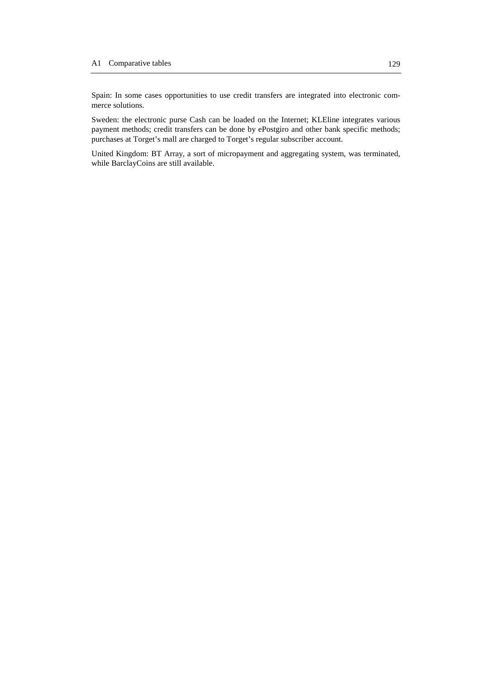Spain: In some cases opportunities to use credit transfers are integrated into electronic commerce solutions.

Sweden: the electronic purse Cash can be loaded on the Internet; KLEline integrates various payment methods; credit transfers can be done by ePostgiro and other bank specific methods; purchases at Torget's mall are charged to Torget's regular subscriber account.

United Kingdom: BT Array, a sort of micropayment and aggregating system, was terminated, while BarclayCoins are still available.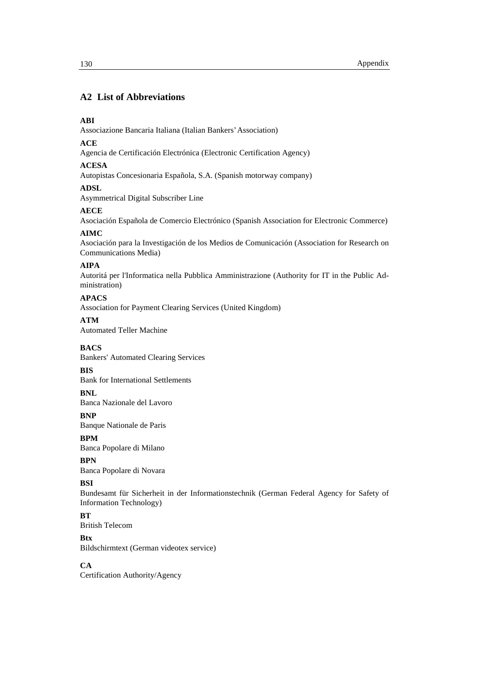### **A2 List of Abbreviations**

#### **ABI**

Associazione Bancaria Italiana (Italian Bankers' Association)

#### **ACE**

Agencia de Certificación Electrónica (Electronic Certification Agency)

#### **ACESA**

Autopistas Concesionaria Española, S.A. (Spanish motorway company)

#### **ADSL**

Asymmetrical Digital Subscriber Line

#### **AECE**

Asociación Española de Comercio Electrónico (Spanish Association for Electronic Commerce)

#### **AIMC**

Asociación para la Investigación de los Medios de Comunicación (Association for Research on Communications Media)

#### **AIPA**

Autoritá per l'Informatica nella Pubblica Amministrazione (Authority for IT in the Public Administration)

#### **APACS**

Association for Payment Clearing Services (United Kingdom)

#### **ATM**

Automated Teller Machine

#### **BACS**

Bankers' Automated Clearing Services

#### **BIS**

Bank for International Settlements

#### **BNL**

Banca Nazionale del Lavoro

#### **BNP**

Banque Nationale de Paris

#### **BPM**

Banca Popolare di Milano

#### **BPN**

Banca Popolare di Novara

#### **BSI**

Bundesamt für Sicherheit in der Informationstechnik (German Federal Agency for Safety of Information Technology)

#### **BT**

British Telecom

#### **Btx**

Bildschirmtext (German videotex service)

#### **CA**

Certification Authority/Agency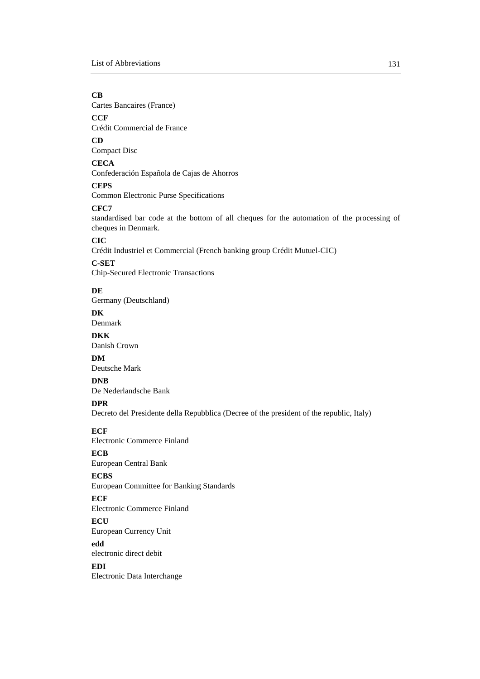## **CB**

Cartes Bancaires (France)

## **CCF**

Crédit Commercial de France

#### **CD**

Compact Disc

## **CECA**

Confederación Española de Cajas de Ahorros

#### **CEPS**

Common Electronic Purse Specifications

#### **CFC7**

standardised bar code at the bottom of all cheques for the automation of the processing of cheques in Denmark.

## **CIC**

Crédit Industriel et Commercial (French banking group Crédit Mutuel-CIC)

## **C-SET**

Chip-Secured Electronic Transactions

#### **DE**

Germany (Deutschland)

## **DK**

Denmark

#### **DKK**

Danish Crown

#### **DM**

Deutsche Mark

### **DNB**

De Nederlandsche Bank

#### **DPR**

Decreto del Presidente della Repubblica (Decree of the president of the republic, Italy)

#### **ECF**

Electronic Commerce Finland

# **ECB**

European Central Bank

## **ECBS**

European Committee for Banking Standards

## **ECF**

Electronic Commerce Finland

#### **ECU**

European Currency Unit

## **edd**

electronic direct debit

## **EDI**

Electronic Data Interchange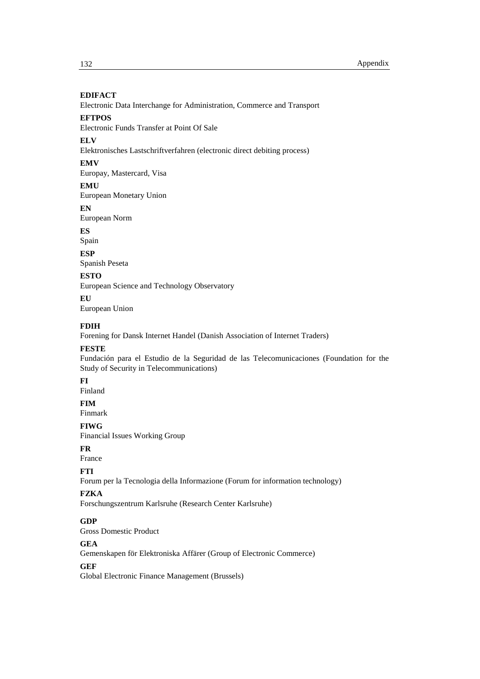### **EDIFACT**

Electronic Data Interchange for Administration, Commerce and Transport

#### **EFTPOS**

Electronic Funds Transfer at Point Of Sale

# **ELV**

Elektronisches Lastschriftverfahren (electronic direct debiting process)

#### **EMV**

Europay, Mastercard, Visa

#### **EMU**

European Monetary Union

#### **EN**

European Norm

#### **ES**

Spain

## **ESP**

Spanish Peseta

## **ESTO**

European Science and Technology Observatory

## **EU**

European Union

#### **FDIH**

Forening for Dansk Internet Handel (Danish Association of Internet Traders)

## **FESTE**

Fundación para el Estudio de la Seguridad de las Telecomunicaciones (Foundation for the Study of Security in Telecommunications)

## **FI**

Finland

# **FIM**

Finmark

## **FIWG**

Financial Issues Working Group

#### **FR**

France

#### **FTI**

Forum per la Tecnologia della Informazione (Forum for information technology)

## **FZKA**

Forschungszentrum Karlsruhe (Research Center Karlsruhe)

## **GDP**

Gross Domestic Product

## **GEA**

Gemenskapen för Elektroniska Affärer (Group of Electronic Commerce)

#### **GEF**

Global Electronic Finance Management (Brussels)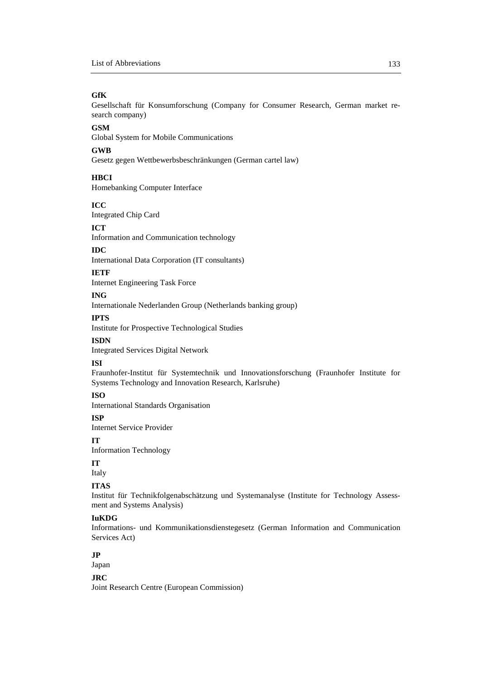## **GfK**

Gesellschaft für Konsumforschung (Company for Consumer Research, German market research company)

#### **GSM**

Global System for Mobile Communications

## **GWB**

Gesetz gegen Wettbewerbsbeschränkungen (German cartel law)

**HBCI**

Homebanking Computer Interface

## **ICC**

Integrated Chip Card

# **ICT**

Information and Communication technology

#### **IDC**

International Data Corporation (IT consultants)

#### **IETF**

Internet Engineering Task Force

## **ING**

Internationale Nederlanden Group (Netherlands banking group)

## **IPTS**

Institute for Prospective Technological Studies

#### **ISDN**

Integrated Services Digital Network

#### **ISI**

Fraunhofer-Institut für Systemtechnik und Innovationsforschung (Fraunhofer Institute for Systems Technology and Innovation Research, Karlsruhe)

# **ISO**

International Standards Organisation

#### **ISP**

Internet Service Provider

#### **IT**

Information Technology

## **IT**

Italy

## **ITAS**

Institut für Technikfolgenabschätzung und Systemanalyse (Institute for Technology Assessment and Systems Analysis)

## **IuKDG**

Informations- und Kommunikationsdienstegesetz (German Information and Communication Services Act)

## **JP**

Japan

## **JRC**

Joint Research Centre (European Commission)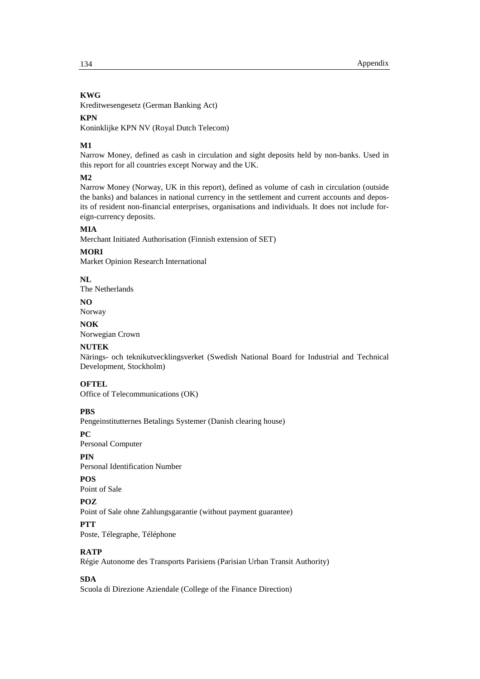## **KWG**

Kreditwesengesetz (German Banking Act)

## **KPN**

Koninklijke KPN NV (Royal Dutch Telecom)

## **M1**

Narrow Money, defined as cash in circulation and sight deposits held by non-banks. Used in this report for all countries except Norway and the UK.

## **M2**

Narrow Money (Norway, UK in this report), defined as volume of cash in circulation (outside the banks) and balances in national currency in the settlement and current accounts and deposits of resident non-financial enterprises, organisations and individuals. It does not include foreign-currency deposits.

## **MIA**

Merchant Initiated Authorisation (Finnish extension of SET)

## **MORI**

Market Opinion Research International

## **NL**

The Netherlands

# **NO**

Norway

## **NOK**

Norwegian Crown

#### **NUTEK**

Närings- och teknikutvecklingsverket (Swedish National Board for Industrial and Technical Development, Stockholm)

## **OFTEL**

Office of Telecommunications (OK)

#### **PBS**

Pengeinstitutternes Betalings Systemer (Danish clearing house)

#### **PC**

Personal Computer

## **PIN**

Personal Identification Number

# **POS**

Point of Sale

## **POZ**

Point of Sale ohne Zahlungsgarantie (without payment guarantee)

### **PTT**

Poste, Télegraphe, Téléphone

## **RATP**

Régie Autonome des Transports Parisiens (Parisian Urban Transit Authority)

## **SDA**

Scuola di Direzione Aziendale (College of the Finance Direction)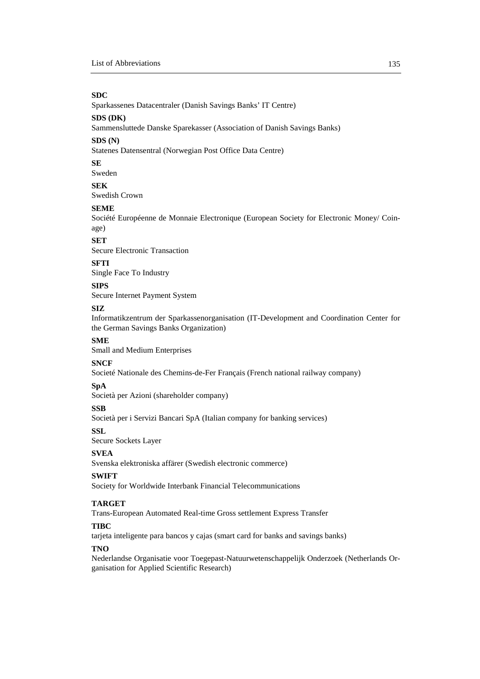## **SDC**

Sparkassenes Datacentraler (Danish Savings Banks' IT Centre)

#### **SDS (DK)**

Sammensluttede Danske Sparekasser (Association of Danish Savings Banks)

#### **SDS (N)**

Statenes Datensentral (Norwegian Post Office Data Centre)

#### **SE**

Sweden

## **SEK**

Swedish Crown

#### **SEME**

Société Européenne de Monnaie Electronique (European Society for Electronic Money/ Coinage)

## **SET**

Secure Electronic Transaction

## **SFTI**

Single Face To Industry

#### **SIPS**

Secure Internet Payment System

#### **SIZ**

Informatikzentrum der Sparkassenorganisation (IT-Development and Coordination Center for the German Savings Banks Organization)

#### **SME**

Small and Medium Enterprises

#### **SNCF**

Societé Nationale des Chemins-de-Fer Français (French national railway company)

#### **SpA**

Società per Azioni (shareholder company)

#### **SSB**

Società per i Servizi Bancari SpA (Italian company for banking services)

#### **SSL**

Secure Sockets Layer

## **SVEA**

Svenska elektroniska affärer (Swedish electronic commerce)

#### **SWIFT**

Society for Worldwide Interbank Financial Telecommunications

### **TARGET**

Trans-European Automated Real-time Gross settlement Express Transfer

#### **TIBC**

tarjeta inteligente para bancos y cajas (smart card for banks and savings banks)

#### **TNO**

Nederlandse Organisatie voor Toegepast-Natuurwetenschappelijk Onderzoek (Netherlands Organisation for Applied Scientific Research)